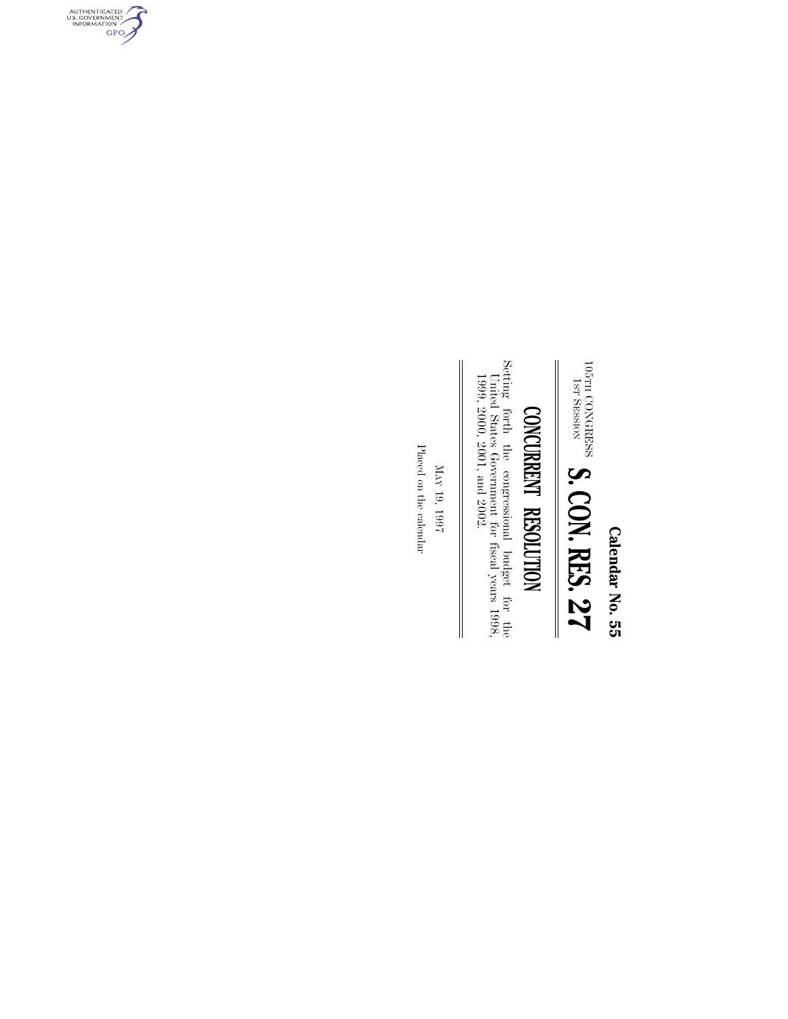**Calendar No. 55 Calendar No. 55**

 $\frac{181}{\rm H}$ CONGRESS SESSION **S. CON. RES. 27**

# CONCURRENT RESOLUTION **CONCURRENT RESOLUTION**

Setting forth the congressional budget for the United States Government for fiscal years  $1998, 2000, 2001,$  and  $2002.$ Setting forth the congressional budget for the United States Government for fiscal years 1998, 1999, 2000, 2001, and 2002.

 $_{\rm NN}$ 19, 1997

 $\parallel$ 

Placed on the calendar Placed on the calendar

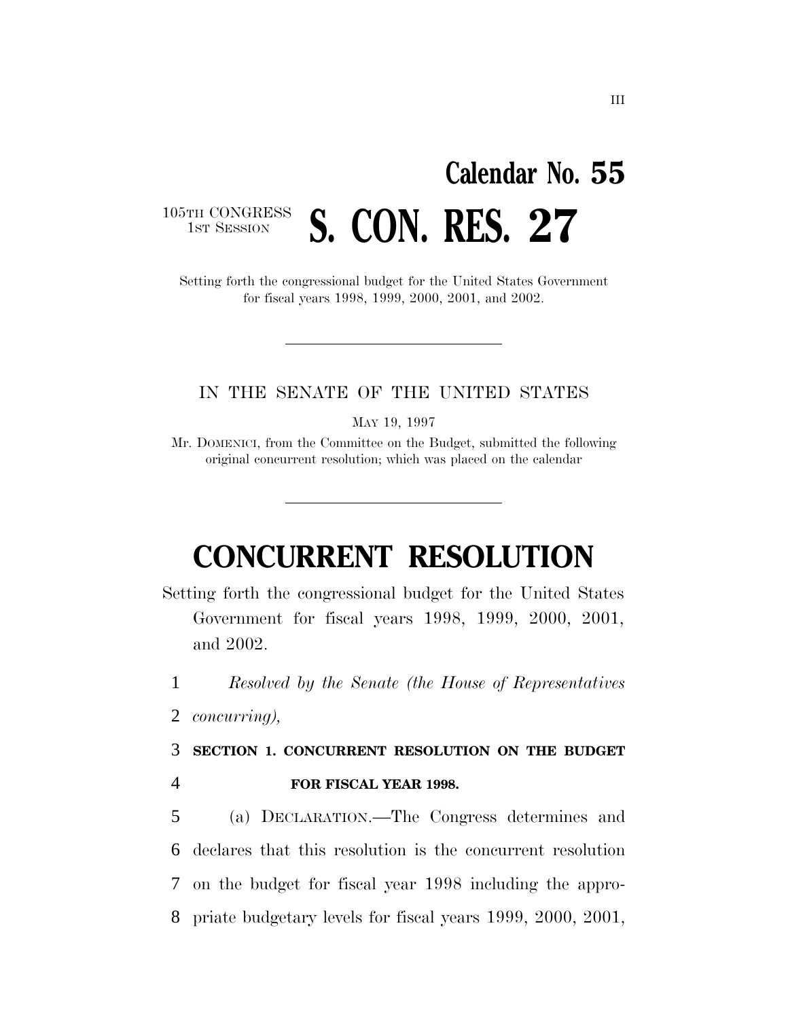# **Calendar No. 55** 1ST SESSION **S. CON. RES. 27**

105TH CONGRESS<br>1st Session

#### Setting forth the congressional budget for the United States Government for fiscal years 1998, 1999, 2000, 2001, and 2002.

#### IN THE SENATE OF THE UNITED STATES

MAY 19, 1997

Mr. DOMENICI, from the Committee on the Budget, submitted the following original concurrent resolution; which was placed on the calendar

## **CONCURRENT RESOLUTION**

Setting forth the congressional budget for the United States Government for fiscal years 1998, 1999, 2000, 2001, and 2002.

1 *Resolved by the Senate (the House of Representatives*

2 *concurring),*

3 **SECTION 1. CONCURRENT RESOLUTION ON THE BUDGET**

4 **FOR FISCAL YEAR 1998.**

 (a) DECLARATION.—The Congress determines and declares that this resolution is the concurrent resolution on the budget for fiscal year 1998 including the appro-priate budgetary levels for fiscal years 1999, 2000, 2001,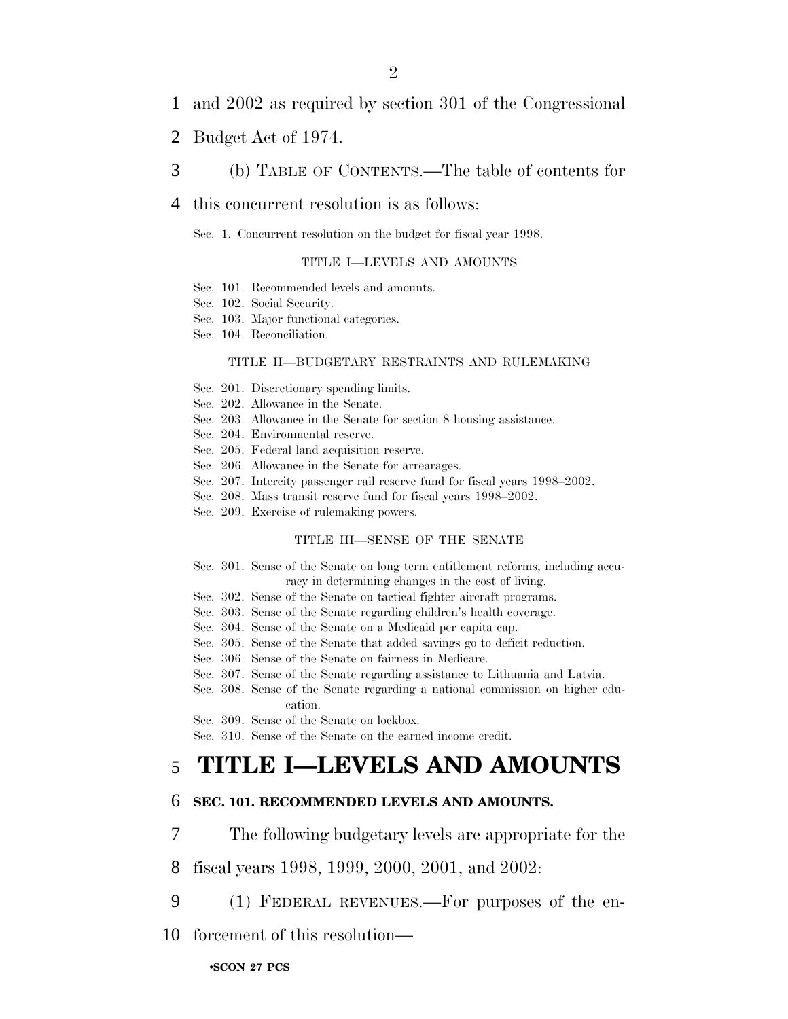- 1 and 2002 as required by section 301 of the Congressional
- 2 Budget Act of 1974.
- 3 (b) TABLE OF CONTENTS.—The table of contents for

#### 4 this concurrent resolution is as follows:

Sec. 1. Concurrent resolution on the budget for fiscal year 1998.

#### TITLE I—LEVELS AND AMOUNTS

- Sec. 101. Recommended levels and amounts.
- Sec. 102. Social Security.
- Sec. 103. Major functional categories.
- Sec. 104. Reconciliation.

#### TITLE II—BUDGETARY RESTRAINTS AND RULEMAKING

- Sec. 201. Discretionary spending limits.
- Sec. 202. Allowance in the Senate.
- Sec. 203. Allowance in the Senate for section 8 housing assistance.
- Sec. 204. Environmental reserve.
- Sec. 205. Federal land acquisition reserve.
- Sec. 206. Allowance in the Senate for arrearages.
- Sec. 207. Intercity passenger rail reserve fund for fiscal years 1998–2002.
- Sec. 208. Mass transit reserve fund for fiscal years 1998–2002.
- Sec. 209. Exercise of rulemaking powers.

#### TITLE III—SENSE OF THE SENATE

- Sec. 301. Sense of the Senate on long term entitlement reforms, including accuracy in determining changes in the cost of living.
- Sec. 302. Sense of the Senate on tactical fighter aircraft programs.
- Sec. 303. Sense of the Senate regarding children's health coverage.
- Sec. 304. Sense of the Senate on a Medicaid per capita cap.
- Sec. 305. Sense of the Senate that added savings go to deficit reduction.
- Sec. 306. Sense of the Senate on fairness in Medicare.
- Sec. 307. Sense of the Senate regarding assistance to Lithuania and Latvia.
- Sec. 308. Sense of the Senate regarding a national commission on higher education.

Sec. 309. Sense of the Senate on lockbox.

Sec. 310. Sense of the Senate on the earned income credit.

### 5 **TITLE I—LEVELS AND AMOUNTS**

#### 6 **SEC. 101. RECOMMENDED LEVELS AND AMOUNTS.**

- 7 The following budgetary levels are appropriate for the
- 8 fiscal years 1998, 1999, 2000, 2001, and 2002:
- 9 (1) FEDERAL REVENUES.—For purposes of the en-
- 10 forcement of this resolution—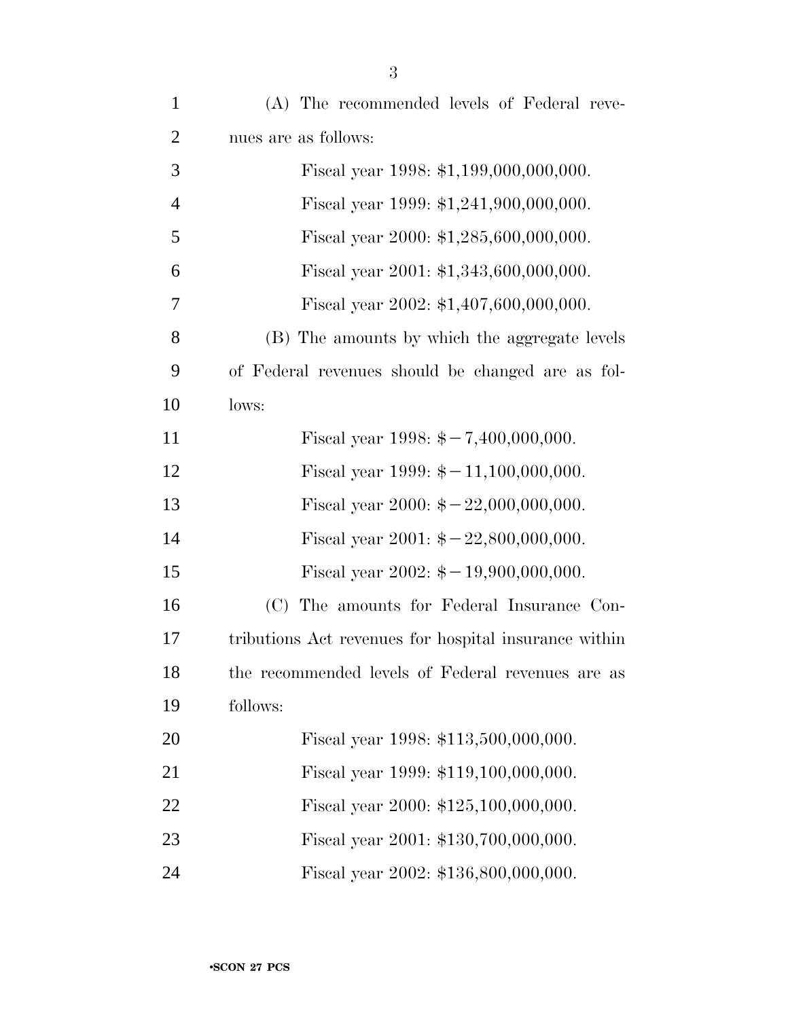| $\mathbf{1}$   | (A) The recommended levels of Federal reve-              |
|----------------|----------------------------------------------------------|
| $\overline{2}$ | nues are as follows:                                     |
| 3              | Fiscal year 1998: \$1,199,000,000,000.                   |
| $\overline{4}$ | Fiscal year 1999: \$1,241,900,000,000.                   |
| 5              | Fiscal year 2000: $$1,285,600,000,000$ .                 |
| 6              | Fiscal year 2001: \$1,343,600,000,000.                   |
| 7              | Fiscal year 2002: \$1,407,600,000,000.                   |
| 8              | (B) The amounts by which the aggregate levels            |
| 9              | of Federal revenues should be changed are as fol-        |
| 10             | lows:                                                    |
| 11             | Fiscal year 1998: $\frac{2}{5} - 7,400,000,000$ .        |
| 12             | Fiscal year 1999: $\frac{2}{7} - 11,100,000,000$ .       |
| 13             | Fiscal year 2000: $\frac{2000 \div 22,000,000,000}{5}$ . |
| 14             | Fiscal year 2001: $\frac{2001}{9}$ = 22,800,000,000.     |
| 15             | Fiscal year 2002: $\frac{2002}{1}$ + 19,900,000,000.     |
| 16             | (C) The amounts for Federal Insurance Con-               |
| 17             | tributions Act revenues for hospital insurance within    |
| 18             | the recommended levels of Federal revenues are as        |
| 19             | follows:                                                 |
| 20             | Fiscal year 1998: \$113,500,000,000.                     |
| 21             | Fiscal year 1999: \$119,100,000,000.                     |
| 22             | Fiscal year 2000: \$125,100,000,000.                     |
| 23             | Fiscal year 2001: \$130,700,000,000.                     |
| 24             | Fiscal year 2002: \$136,800,000,000.                     |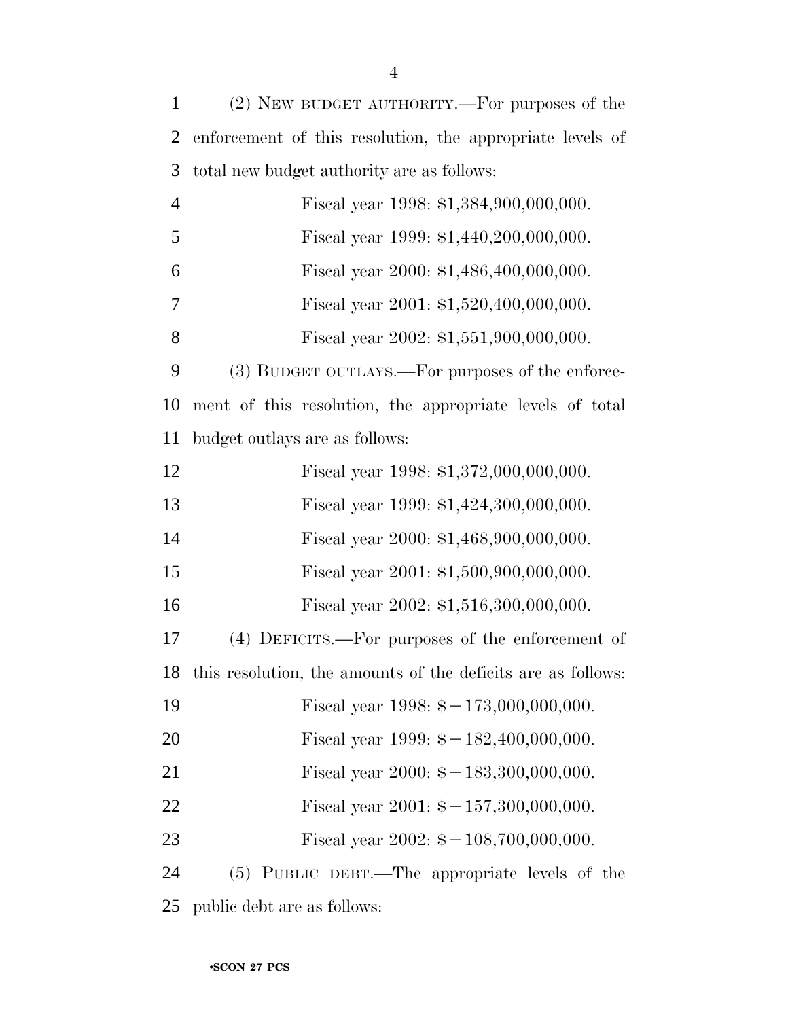| $\mathbf{1}$   | (2) NEW BUDGET AUTHORITY.—For purposes of the                   |
|----------------|-----------------------------------------------------------------|
| $\overline{2}$ | enforcement of this resolution, the appropriate levels of       |
| 3              | total new budget authority are as follows:                      |
| $\overline{4}$ | Fiscal year 1998: \$1,384,900,000,000.                          |
| 5              | Fiscal year 1999: \$1,440,200,000,000.                          |
| 6              | Fiscal year 2000: \$1,486,400,000,000.                          |
| 7              | Fiscal year 2001: $$1,520,400,000,000$ .                        |
| 8              | Fiscal year 2002: \$1,551,900,000,000.                          |
| 9              | (3) BUDGET OUTLAYS.—For purposes of the enforce-                |
| 10             | ment of this resolution, the appropriate levels of total        |
| 11             | budget outlays are as follows:                                  |
| 12             | Fiscal year 1998: \$1,372,000,000,000.                          |
| 13             | Fiscal year 1999: \$1,424,300,000,000.                          |
| 14             | Fiscal year 2000: \$1,468,900,000,000.                          |
| 15             | Fiscal year 2001: \$1,500,900,000,000.                          |
| 16             | Fiscal year 2002: \$1,516,300,000,000.                          |
| 17             | (4) DEFICITS.—For purposes of the enforcement of                |
|                | 18 this resolution, the amounts of the deficits are as follows: |
| 19             | Fiscal year 1998: $\frac{2}{3} - 173,000,000,000$ .             |
| 20             | Fiscal year 1999: $\frac{1}{9} - 182,400,000,000$ .             |
| 21             | Fiscal year 2000: $\frac{2000 \div 183,300,000,000}{5}$ .       |
| 22             | Fiscal year 2001: $\frac{2001}{9}$ + -157,300,000,000.          |
| 23             | Fiscal year 2002: $\frac{1}{2} - 108,700,000,000$ .             |
| 24             | (5) PUBLIC DEBT.—The appropriate levels of the                  |
| 25             | public debt are as follows:                                     |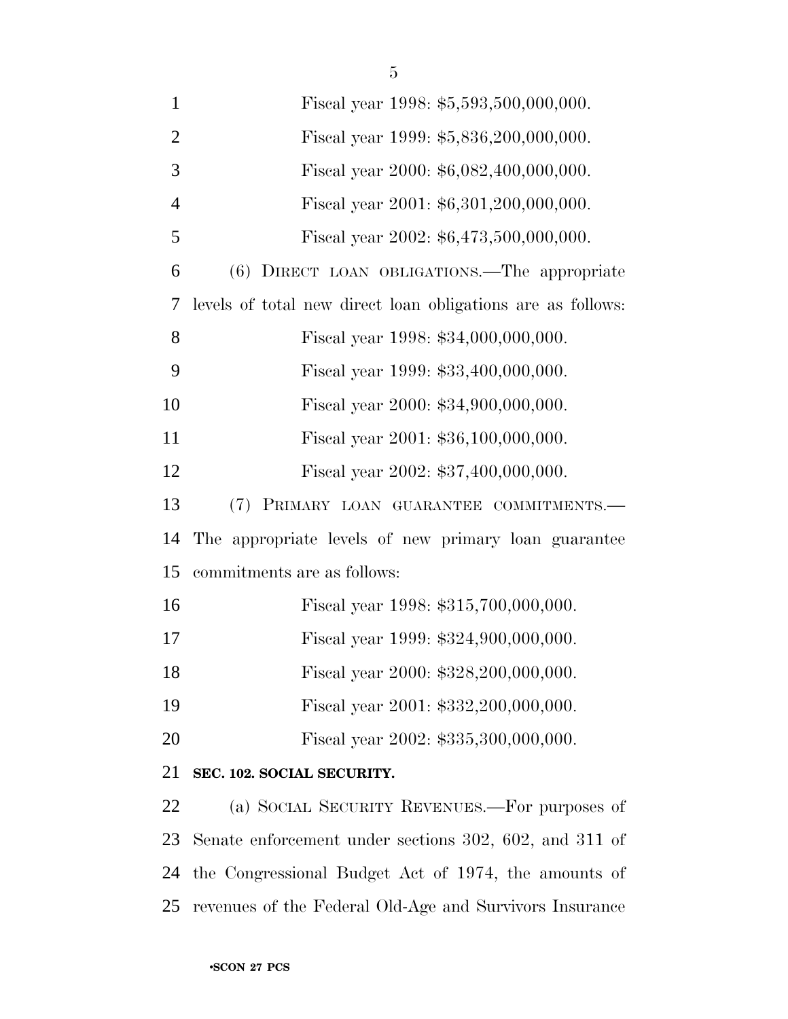| $\mathbf{1}$   | Fiscal year 1998: \$5,593,500,000,000.                      |
|----------------|-------------------------------------------------------------|
| $\overline{2}$ | Fiscal year 1999: \$5,836,200,000,000.                      |
| 3              | Fiscal year 2000: \$6,082,400,000,000.                      |
| $\overline{4}$ | Fiscal year 2001: \$6,301,200,000,000.                      |
| 5              | Fiscal year 2002: \$6,473,500,000,000.                      |
| 6              | (6) DIRECT LOAN OBLIGATIONS.—The appropriate                |
| 7              | levels of total new direct loan obligations are as follows: |
| 8              | Fiscal year 1998: \$34,000,000,000.                         |
| 9              | Fiscal year 1999: \$33,400,000,000.                         |
| 10             | Fiscal year 2000: \$34,900,000,000.                         |
| 11             | Fiscal year 2001: \$36,100,000,000.                         |
| 12             | Fiscal year 2002: \$37,400,000,000.                         |
| 13             | (7) PRIMARY LOAN GUARANTEE COMMITMENTS.                     |
| 14             | The appropriate levels of new primary loan guarantee        |
| 15             | commitments are as follows:                                 |
| 16             | Fiscal year 1998: \$315,700,000,000.                        |
| 17             | Fiscal year 1999: \$324,900,000,000.                        |
| 18             | Fiscal year 2000: \$328,200,000,000.                        |
| 19             | Fiscal year 2001: \$332,200,000,000.                        |
| 20             | Fiscal year 2002: \$335,300,000,000.                        |
| 21             | SEC. 102. SOCIAL SECURITY.                                  |
| 22             | (a) SOCIAL SECURITY REVENUES.—For purposes of               |
| 23             | Senate enforcement under sections 302, 602, and 311 of      |
| 24             | the Congressional Budget Act of 1974, the amounts of        |

revenues of the Federal Old-Age and Survivors Insurance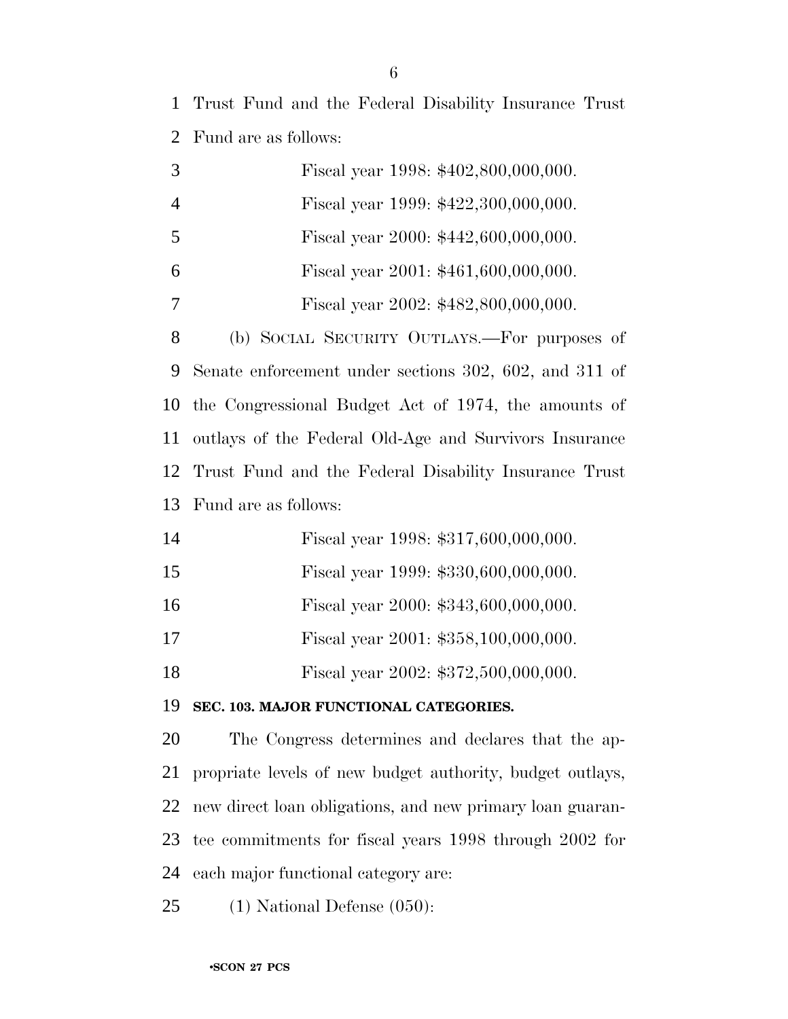Trust Fund and the Federal Disability Insurance Trust Fund are as follows:

|   | Fiscal year 1998: \$402,800,000,000.         |
|---|----------------------------------------------|
|   | Fiscal year 1999: \$422,300,000,000.         |
|   | Fiscal year 2000: \$442,600,000,000.         |
| 6 | Fiscal year 2001: \$461,600,000,000.         |
|   | Fiscal year 2002: \$482,800,000,000.         |
| 8 | (b) SOCIAL SECURITY OUTLAYS.—For purposes of |

 Senate enforcement under sections 302, 602, and 311 of the Congressional Budget Act of 1974, the amounts of outlays of the Federal Old-Age and Survivors Insurance Trust Fund and the Federal Disability Insurance Trust Fund are as follows:

| 14 |  | Fiscal year 1998: \$317,600,000,000. |
|----|--|--------------------------------------|
| 15 |  | Fiscal year 1999: \$330,600,000,000. |

- 16 Fiscal year 2000: \$343,600,000,000.
- Fiscal year 2001: \$358,100,000,000.

18 Fiscal year 2002: \$372,500,000,000.

**SEC. 103. MAJOR FUNCTIONAL CATEGORIES.**

 The Congress determines and declares that the ap- propriate levels of new budget authority, budget outlays, new direct loan obligations, and new primary loan guaran- tee commitments for fiscal years 1998 through 2002 for each major functional category are:

(1) National Defense (050):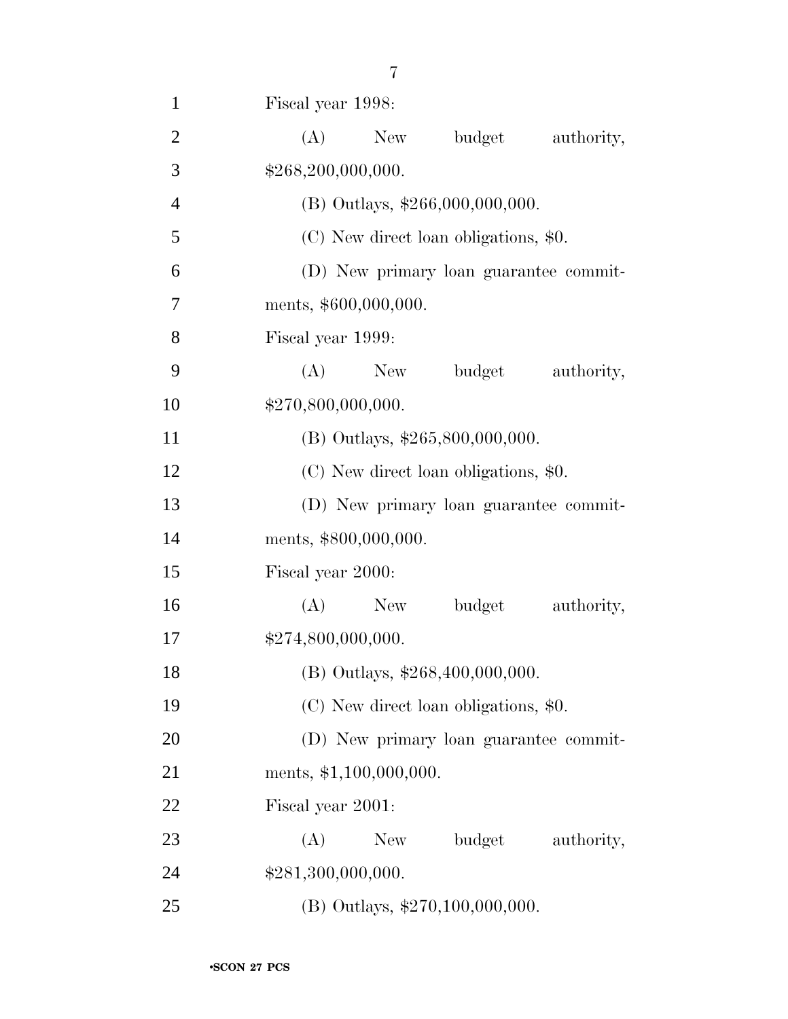| $\mathbf{1}$   | Fiscal year 1998:                      |
|----------------|----------------------------------------|
| $\overline{2}$ | (A)<br>New<br>budget<br>authority,     |
| 3              | \$268,200,000,000.                     |
| $\overline{4}$ | $(B)$ Outlays, \$266,000,000,000.      |
| 5              | (C) New direct loan obligations, \$0.  |
| 6              | (D) New primary loan guarantee commit- |
| 7              | ments, \$600,000,000.                  |
| 8              | Fiscal year 1999:                      |
| 9              | (A)<br>budget<br>authority,<br>New     |
| 10             | \$270,800,000,000.                     |
| 11             | (B) Outlays, \$265,800,000,000.        |
| 12             | (C) New direct loan obligations, \$0.  |
| 13             | (D) New primary loan guarantee commit- |
| 14             | ments, \$800,000,000.                  |
| 15             | Fiscal year 2000:                      |
| 16             | (A)<br>budget<br>New<br>authority,     |
| 17             | \$274,800,000,000.                     |
| 18             | (B) Outlays, \$268,400,000,000.        |
| 19             | (C) New direct loan obligations, \$0.  |
| 20             | (D) New primary loan guarantee commit- |
| 21             | ments, \$1,100,000,000.                |
| 22             | Fiscal year 2001:                      |
| 23             | (A)<br>budget<br>New \,<br>authority,  |
| 24             | \$281,300,000,000.                     |
| 25             | (B) Outlays, \$270,100,000,000.        |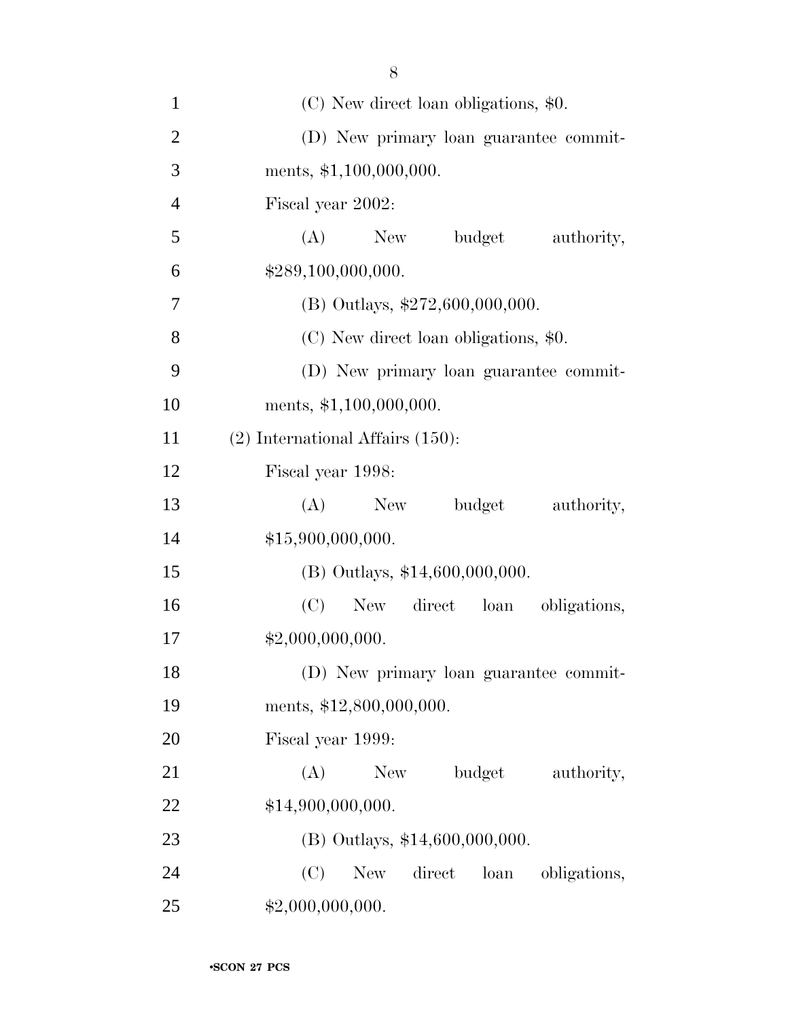| $\mathbf{1}$   | $(C)$ New direct loan obligations, \$0.             |
|----------------|-----------------------------------------------------|
| $\overline{2}$ | (D) New primary loan guarantee commit-              |
| 3              | ments, \$1,100,000,000.                             |
| $\overline{4}$ | Fiscal year 2002:                                   |
| 5              | (A)<br>New<br>budget<br>authority,                  |
| 6              | \$289,100,000,000.                                  |
| $\tau$         | (B) Outlays, \$272,600,000,000.                     |
| 8              | (C) New direct loan obligations, \$0.               |
| 9              | (D) New primary loan guarantee commit-              |
| 10             | ments, $$1,100,000,000$ .                           |
| 11             | $(2)$ International Affairs $(150)$ :               |
| 12             | Fiscal year 1998:                                   |
| 13             | budget<br>(A)<br>New<br>authority,                  |
| 14             | \$15,900,000,000.                                   |
| 15             | (B) Outlays, \$14,600,000,000.                      |
| 16             | (C)<br>New direct loan<br>obligations,              |
| 17             | \$2,000,000,000.                                    |
| 18             | (D) New primary loan guarantee commit-              |
| 19             | ments, \$12,800,000,000.                            |
| 20             | Fiscal year 1999:                                   |
| 21             | budget<br>(A)<br>New<br>authority,                  |
| 22             | \$14,900,000,000.                                   |
| 23             | (B) Outlays, \$14,600,000,000.                      |
| 24             | (C)<br>direct<br><b>New</b><br>loan<br>obligations, |
| 25             | \$2,000,000,000.                                    |

8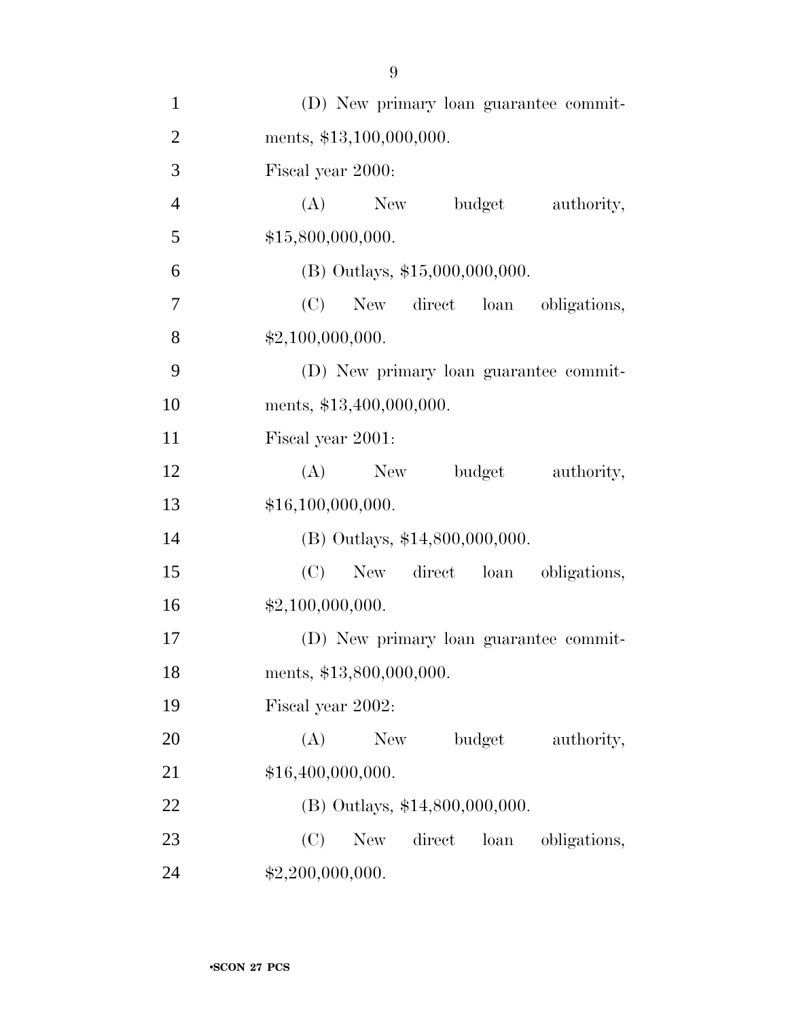| $\mathbf{1}$   | (D) New primary loan guarantee commit-              |
|----------------|-----------------------------------------------------|
| $\overline{2}$ | ments, \$13,100,000,000.                            |
| 3              | Fiscal year 2000:                                   |
| $\overline{4}$ | $(A)$ New<br>budget<br>authority,                   |
| 5              | \$15,800,000,000.                                   |
| 6              | $(B)$ Outlays, \$15,000,000,000.                    |
| 7              | (C)<br>New direct loan obligations,                 |
| 8              | \$2,100,000,000.                                    |
| 9              | (D) New primary loan guarantee commit-              |
| 10             | ments, \$13,400,000,000.                            |
| 11             | Fiscal year 2001:                                   |
| 12             | $(A)$ New<br>budget<br>authority,                   |
| 13             | \$16,100,000,000.                                   |
| 14             | (B) Outlays, \$14,800,000,000.                      |
| 15             | (C)<br>New direct loan obligations,                 |
| 16             | \$2,100,000,000.                                    |
| 17             | (D) New primary loan guarantee commit-              |
| 18             | ments, \$13,800,000,000.                            |
| 19             | Fiscal year 2002:                                   |
| 20             | budget<br>(A)<br>New<br>authority,                  |
| 21             | \$16,400,000,000.                                   |
| 22             | (B) Outlays, \$14,800,000,000.                      |
| 23             | (C)<br><b>New</b><br>direct<br>loan<br>obligations, |
| 24             | \$2,200,000,000.                                    |

9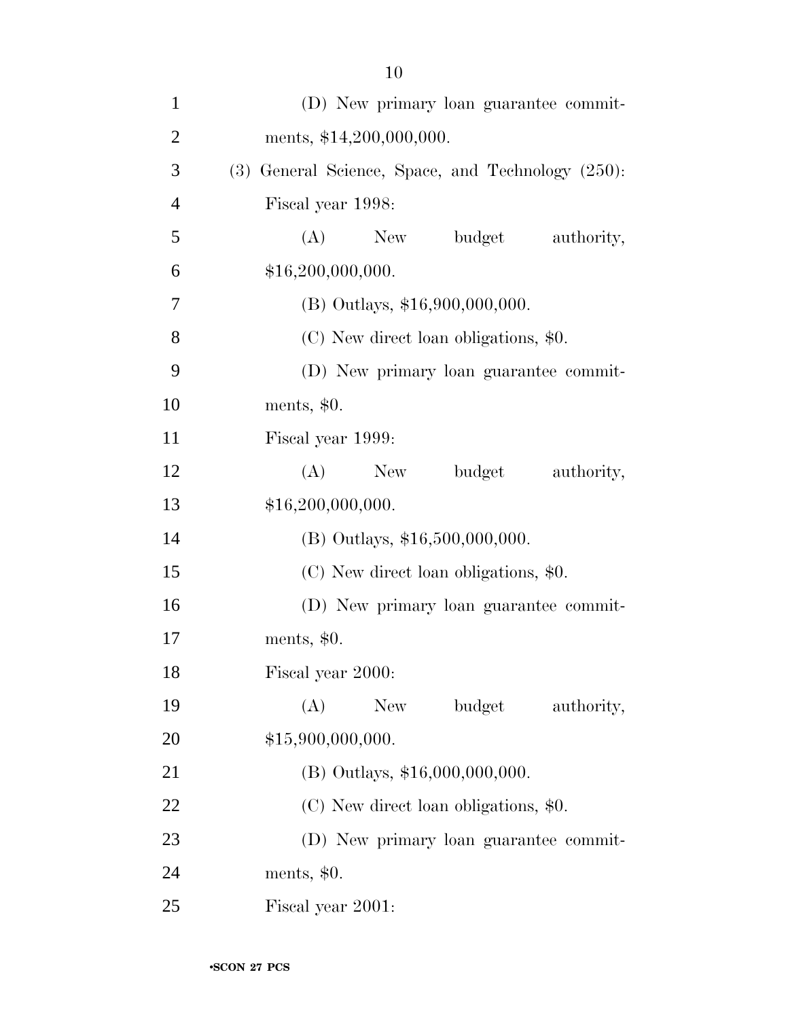| $\mathbf{1}$   | (D) New primary loan guarantee commit-            |
|----------------|---------------------------------------------------|
| $\overline{2}$ | ments, \$14,200,000,000.                          |
| 3              | (3) General Science, Space, and Technology (250): |
| $\overline{4}$ | Fiscal year 1998:                                 |
| 5              | budget<br>$(A)$ New<br>authority,                 |
| 6              | \$16,200,000,000.                                 |
| 7              | $(B)$ Outlays, \$16,900,000,000.                  |
| 8              | (C) New direct loan obligations, \$0.             |
| 9              | (D) New primary loan guarantee commit-            |
| 10             | ments, $$0.$                                      |
| 11             | Fiscal year 1999:                                 |
| 12             | (A)<br>budget<br>New<br>authority,                |
| 13             | \$16,200,000,000.                                 |
| 14             | (B) Outlays, \$16,500,000,000.                    |
| 15             | (C) New direct loan obligations, \$0.             |
| 16             | (D) New primary loan guarantee commit-            |
| 17             | ments, $$0.$                                      |
| 18             | Fiscal year 2000:                                 |
| 19             | (A)<br>budget<br>New \,<br>authority,             |
| 20             | \$15,900,000,000.                                 |
| 21             | $(B)$ Outlays, \$16,000,000,000.                  |
| 22             | (C) New direct loan obligations, \$0.             |
| 23             | (D) New primary loan guarantee commit-            |
| 24             | ments, $$0.$                                      |
| 25             | Fiscal year 2001:                                 |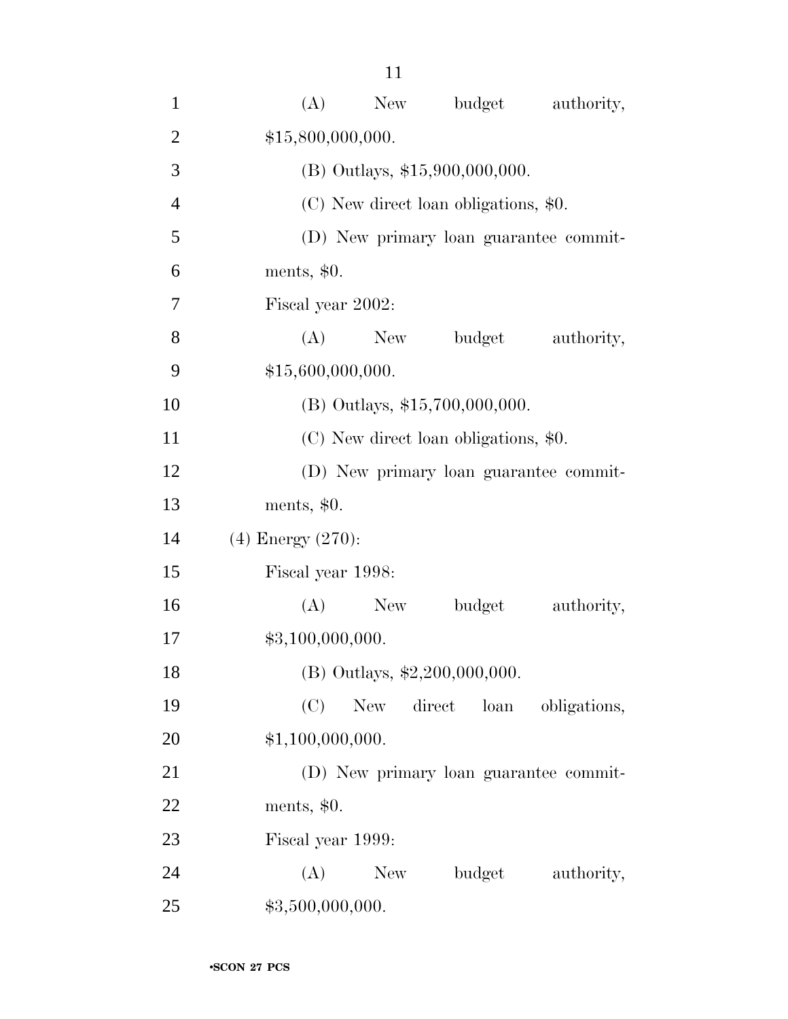| $\mathbf{1}$   | budget<br>(A)<br>New<br>authority,                  |
|----------------|-----------------------------------------------------|
| $\overline{2}$ | \$15,800,000,000.                                   |
| 3              | (B) Outlays, \$15,900,000,000.                      |
| $\overline{4}$ | (C) New direct loan obligations, \$0.               |
| 5              | (D) New primary loan guarantee commit-              |
| 6              | ments, $$0.$                                        |
| 7              | Fiscal year 2002:                                   |
| 8              | (A)<br>New<br>budget<br>authority,                  |
| 9              | \$15,600,000,000.                                   |
| 10             | (B) Outlays, \$15,700,000,000.                      |
| 11             | (C) New direct loan obligations, \$0.               |
| 12             | (D) New primary loan guarantee commit-              |
| 13             | ments, $$0.$                                        |
| 14             | $(4)$ Energy $(270)$ :                              |
| 15             | Fiscal year 1998:                                   |
| 16             | budget<br>authority,<br>(A)<br>New                  |
| 17             | \$3,100,000,000.                                    |
| 18             | (B) Outlays, $\text{$2,200,000,000}$ .              |
| 19             | (C)<br>direct<br><b>New</b><br>loan<br>obligations, |
| 20             | \$1,100,000,000.                                    |
| 21             | (D) New primary loan guarantee commit-              |
| 22             | ments, $$0.$                                        |
| 23             | Fiscal year 1999:                                   |
| 24             | (A)<br>budget<br>New<br>authority,                  |
| 25             | \$3,500,000,000.                                    |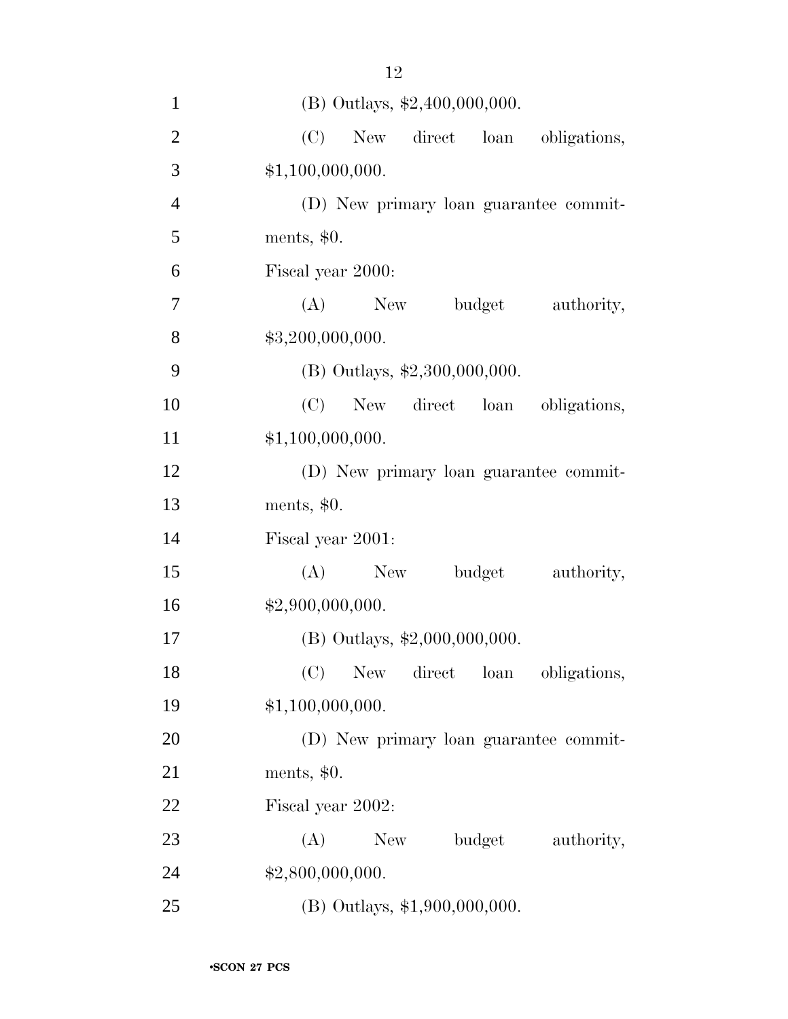| $\mathbf{1}$   | (B) Outlays, \$2,400,000,000.          |
|----------------|----------------------------------------|
| $\overline{2}$ | (C)<br>New direct loan<br>obligations, |
| 3              | \$1,100,000,000.                       |
| $\overline{4}$ | (D) New primary loan guarantee commit- |
| 5              | ments, $$0.$                           |
| 6              | Fiscal year 2000:                      |
| $\tau$         | (A)<br>New<br>budget<br>authority,     |
| 8              | \$3,200,000,000.                       |
| 9              | (B) Outlays, \$2,300,000,000.          |
| 10             | (C)<br>New direct loan obligations,    |
| 11             | \$1,100,000,000.                       |
| 12             | (D) New primary loan guarantee commit- |
| 13             | ments, $$0.$                           |
| 14             | Fiscal year 2001:                      |
| 15             | (A)<br>New<br>budget<br>authority,     |
| 16             | \$2,900,000,000.                       |
| 17             | (B) Outlays, \$2,000,000,000.          |
| 18             | New direct loan<br>(C)<br>obligations, |
| 19             | \$1,100,000,000.                       |
| 20             | (D) New primary loan guarantee commit- |
| 21             | ments, $$0.$                           |
| 22             | Fiscal year 2002:                      |
| 23             | (A)<br>budget<br>New<br>authority,     |
| 24             | \$2,800,000,000.                       |
| 25             | (B) Outlays, \$1,900,000,000.          |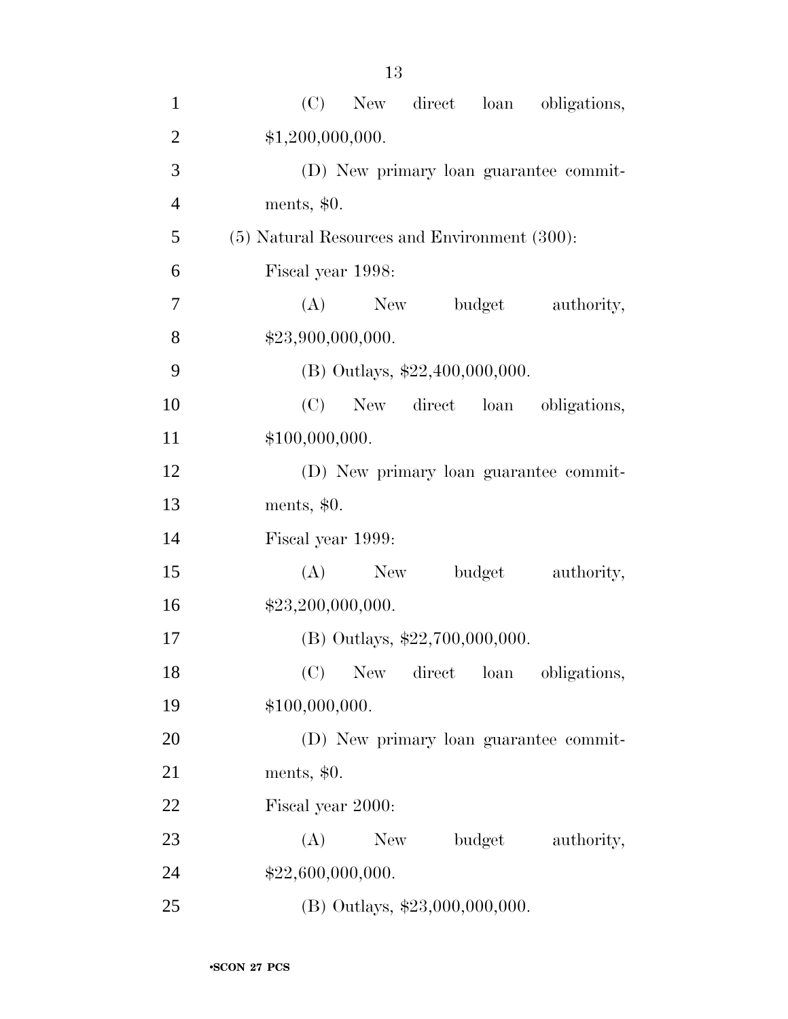| $\mathbf{1}$   | New direct loan obligations,<br>(C)          |
|----------------|----------------------------------------------|
| $\overline{2}$ | \$1,200,000,000.                             |
| 3              | (D) New primary loan guarantee commit-       |
| $\overline{4}$ | ments, \$0.                                  |
| 5              | (5) Natural Resources and Environment (300): |
| 6              | Fiscal year 1998:                            |
| 7              | (A)<br>budget<br>New<br>authority,           |
| 8              | \$23,900,000,000.                            |
| 9              | (B) Outlays, \$22,400,000,000.               |
| 10             | New direct loan obligations,<br>(C)          |
| 11             | \$100,000,000.                               |
| 12             | (D) New primary loan guarantee commit-       |
| 13             | ments, \$0.                                  |
| 14             | Fiscal year 1999:                            |
| 15             | (A)<br>budget<br>authority,<br>New           |
| 16             | \$23,200,000,000.                            |
| 17             | (B) Outlays, $$22,700,000,000$ .             |
| 18             | (C) New direct loan obligations,             |
| 19             | \$100,000,000.                               |
| 20             | (D) New primary loan guarantee commit-       |
| 21             | ments, $$0.$                                 |
| 22             | Fiscal year 2000:                            |
| 23             | budget<br>(A)<br>New<br>authority,           |
| 24             | \$22,600,000,000.                            |
| 25             | (B) Outlays, \$23,000,000,000.               |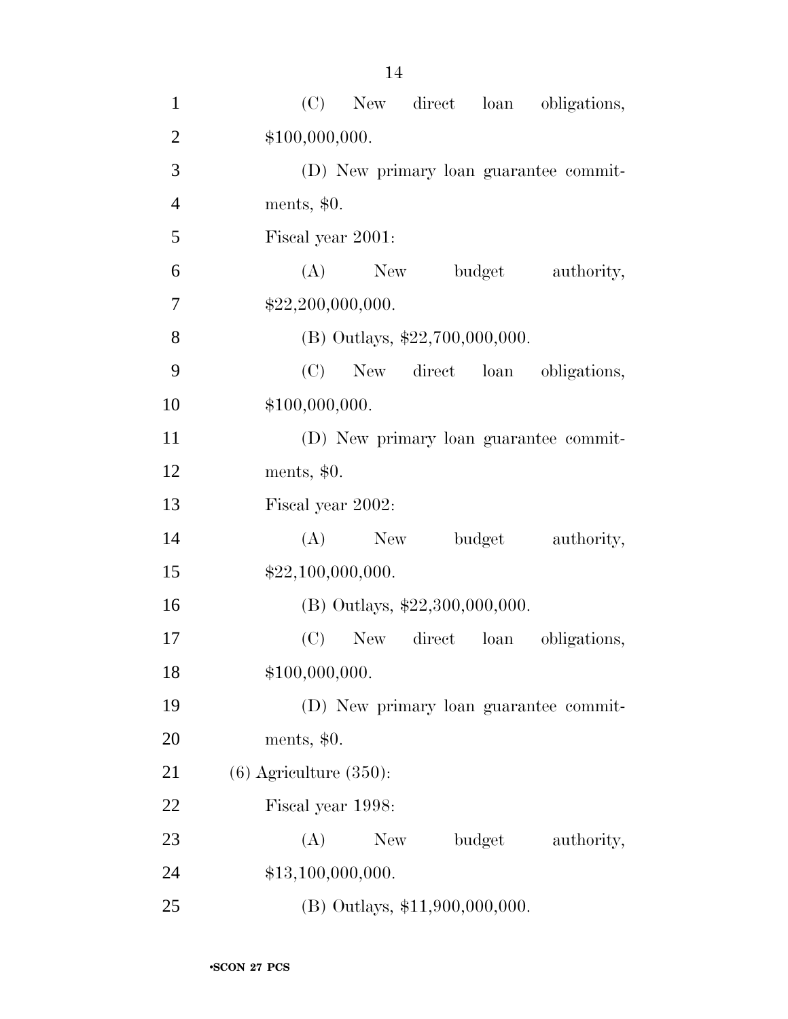| $\mathbf{1}$   | (C)<br>New direct loan obligations,    |
|----------------|----------------------------------------|
| $\overline{2}$ | \$100,000,000.                         |
| 3              | (D) New primary loan guarantee commit- |
| $\overline{4}$ | ments, $$0.$                           |
| 5              | Fiscal year 2001:                      |
| 6              | $(A)$ New<br>budget<br>authority,      |
| 7              | \$22,200,000,000.                      |
| 8              | (B) Outlays, \$22,700,000,000.         |
| 9              | New direct loan obligations,<br>(C)    |
| 10             | \$100,000,000.                         |
| 11             | (D) New primary loan guarantee commit- |
| 12             | ments, $$0.$                           |
| 13             | Fiscal year 2002:                      |
| 14             | (A)<br>New<br>budget<br>authority,     |
| 15             | \$22,100,000,000.                      |
| 16             | (B) Outlays, \$22,300,000,000.         |
| 17             | (C)<br>New direct loan<br>obligations, |
| 18             | \$100,000,000.                         |
| 19             | (D) New primary loan guarantee commit- |
| 20             | ments, $$0.$                           |
| 21             | $(6)$ Agriculture $(350)$ :            |
| 22             | Fiscal year 1998:                      |
| 23             | (A)<br>budget<br>New<br>authority,     |
| 24             | \$13,100,000,000.                      |
| 25             | (B) Outlays, \$11,900,000,000.         |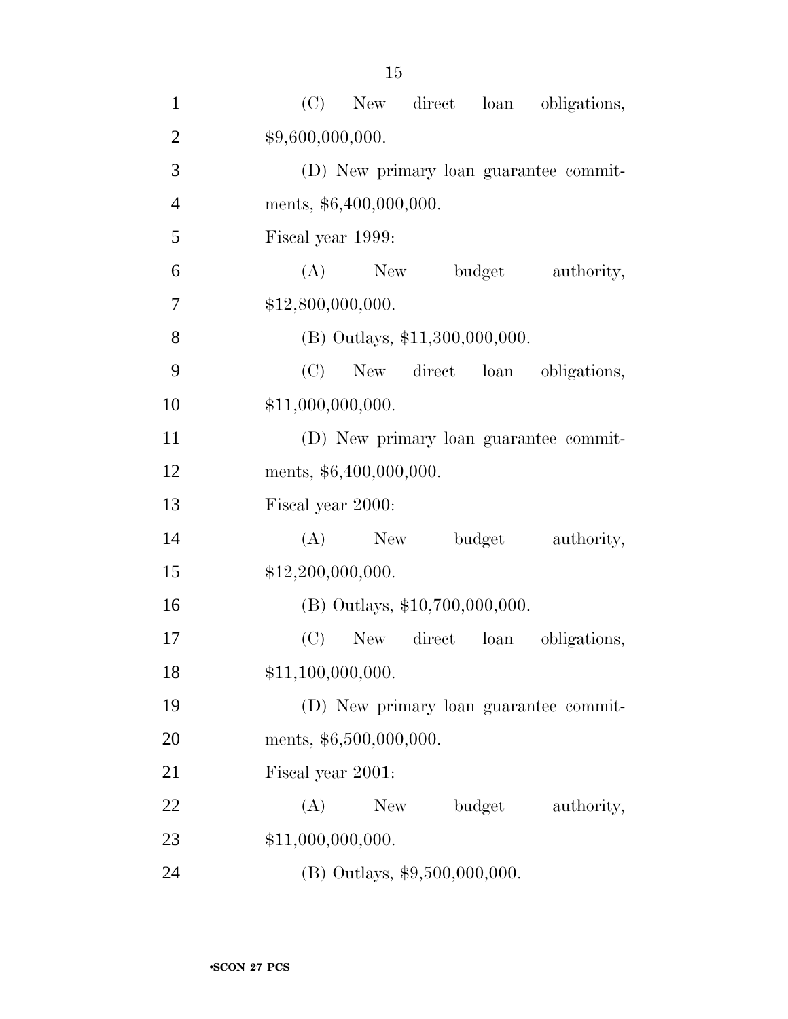| $\mathbf{1}$   | (C)<br>New direct<br>loan<br>obligations, |
|----------------|-------------------------------------------|
| $\overline{2}$ | \$9,600,000,000.                          |
| 3              | (D) New primary loan guarantee commit-    |
| $\overline{4}$ | ments, \$6,400,000,000.                   |
| 5              | Fiscal year 1999:                         |
| 6              | budget<br>(A)<br>New<br>authority,        |
| 7              | \$12,800,000,000.                         |
| 8              | (B) Outlays, \$11,300,000,000.            |
| 9              | New direct loan obligations,<br>(C)       |
| 10             | \$11,000,000,000.                         |
| 11             | (D) New primary loan guarantee commit-    |
| 12             | ments, \$6,400,000,000.                   |
| 13             | Fiscal year 2000:                         |
| 14             | (A)<br>New<br>budget<br>authority,        |
| 15             | \$12,200,000,000.                         |
| 16             | (B) Outlays, \$10,700,000,000.            |
| 17             | loan<br>(C)<br>New direct<br>obligations, |
| 18             | \$11,100,000,000.                         |
| 19             | (D) New primary loan guarantee commit-    |
| 20             | ments, \$6,500,000,000.                   |
| 21             | Fiscal year 2001:                         |
| 22             | (A)<br>New<br>budget<br>authority,        |
| 23             | \$11,000,000,000.                         |
| 24             | (B) Outlays, \$9,500,000,000.             |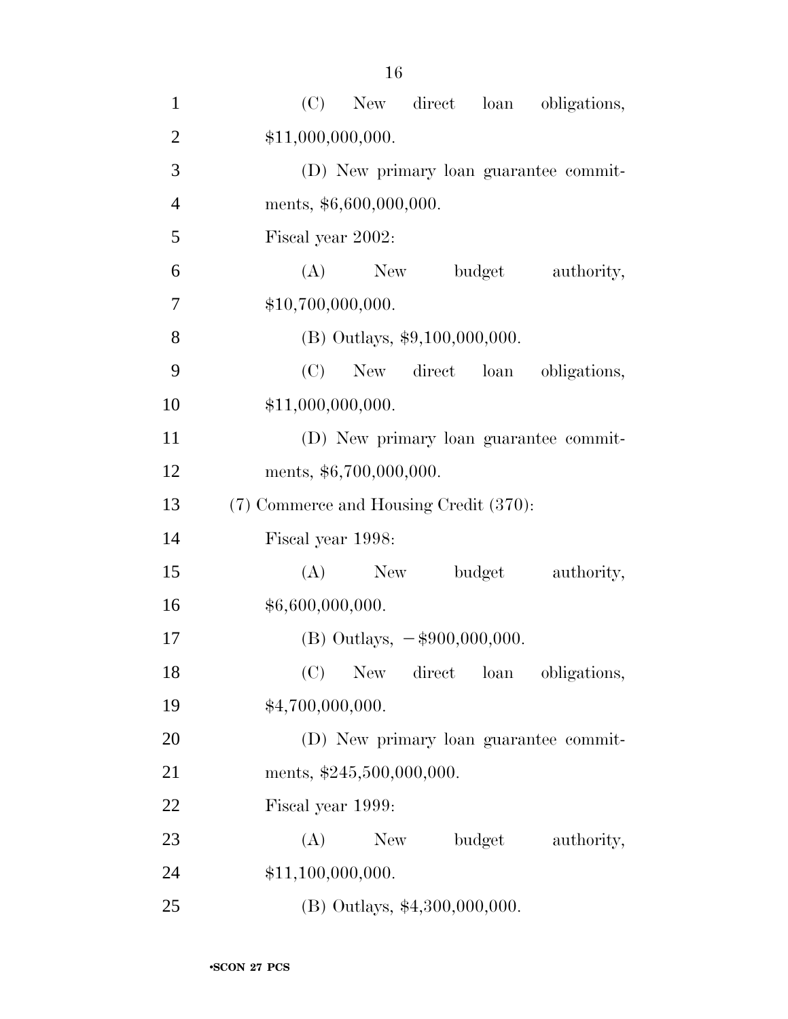| $\mathbf{1}$   | (C)<br>New direct loan<br>obligations, |
|----------------|----------------------------------------|
| $\overline{2}$ | \$11,000,000,000.                      |
| 3              | (D) New primary loan guarantee commit- |
| $\overline{4}$ | ments, \$6,600,000,000.                |
| 5              | Fiscal year 2002:                      |
| 6              | budget<br>$(A)$ New<br>authority,      |
| $\tau$         | \$10,700,000,000.                      |
| 8              | $(B)$ Outlays, \$9,100,000,000.        |
| 9              | (C)<br>New direct loan obligations,    |
| 10             | \$11,000,000,000.                      |
| 11             | (D) New primary loan guarantee commit- |
| 12             | ments, \$6,700,000,000.                |
| 13             | (7) Commerce and Housing Credit (370): |
| 14             | Fiscal year 1998:                      |
| 15             | (A)<br>New<br>budget<br>authority,     |
| 16             | \$6,600,000,000.                       |
| 17             | (B) Outlays, $-\$900,000,000$ .        |
| 18             | New direct loan<br>(C)<br>obligations, |
| 19             | \$4,700,000,000.                       |
| 20             | (D) New primary loan guarantee commit- |
| 21             | ments, \$245,500,000,000.              |
| 22             | Fiscal year 1999:                      |
| 23             | (A)<br>budget<br>New<br>authority,     |
| 24             | \$11,100,000,000.                      |
| 25             | (B) Outlays, \$4,300,000,000.          |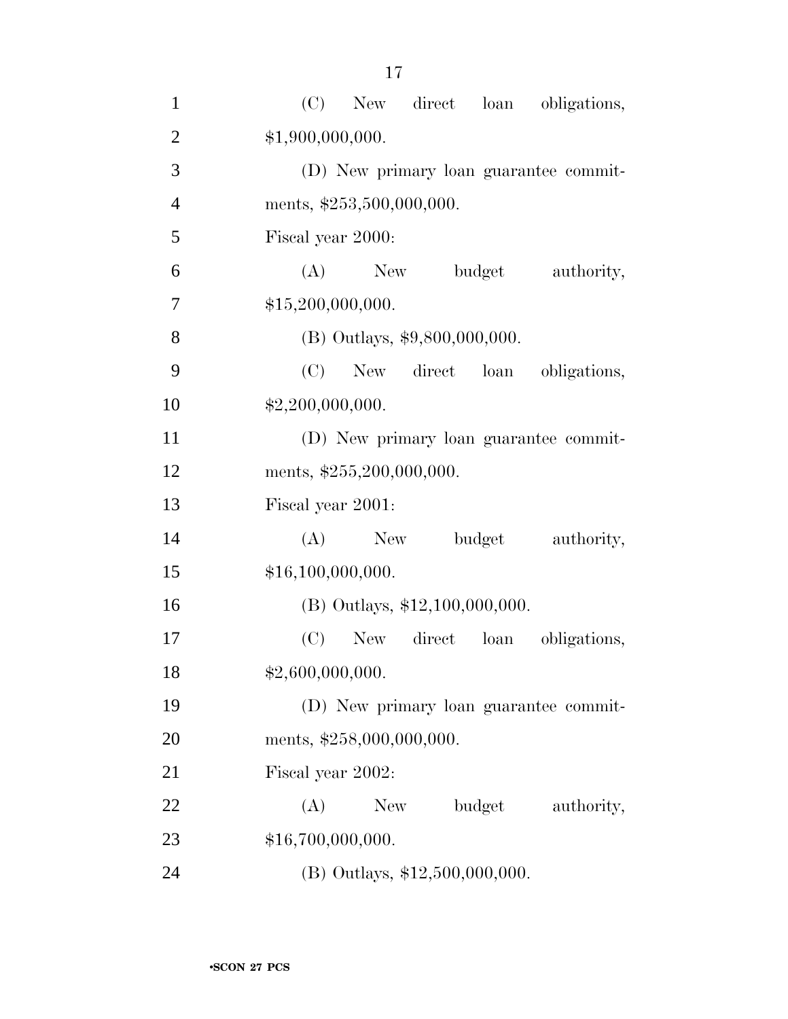| $\mathbf{1}$   | (C)<br>New direct loan<br>obligations, |
|----------------|----------------------------------------|
| $\overline{2}$ | \$1,900,000,000.                       |
| 3              | (D) New primary loan guarantee commit- |
| $\overline{4}$ | ments, \$253,500,000,000.              |
| 5              | Fiscal year 2000:                      |
| 6              | budget<br>$(A)$ New<br>authority,      |
| $\tau$         | \$15,200,000,000.                      |
| 8              | (B) Outlays, \$9,800,000,000.          |
| 9              | (C)<br>New direct loan obligations,    |
| 10             | \$2,200,000,000.                       |
| 11             | (D) New primary loan guarantee commit- |
| 12             | ments, \$255,200,000,000.              |
| 13             | Fiscal year 2001:                      |
| 14             | budget<br>$(A)$ New<br>authority,      |
| 15             | \$16,100,000,000.                      |
| 16             | (B) Outlays, \$12,100,000,000.         |
| 17             | New direct loan<br>(C)<br>obligations, |
| 18             | \$2,600,000,000.                       |
| 19             | (D) New primary loan guarantee commit- |
| 20             | ments, \$258,000,000,000.              |
| 21             | Fiscal year 2002:                      |
| 22             | budget<br>(A)<br>New<br>authority,     |
| 23             | \$16,700,000,000.                      |
| 24             | (B) Outlays, \$12,500,000,000.         |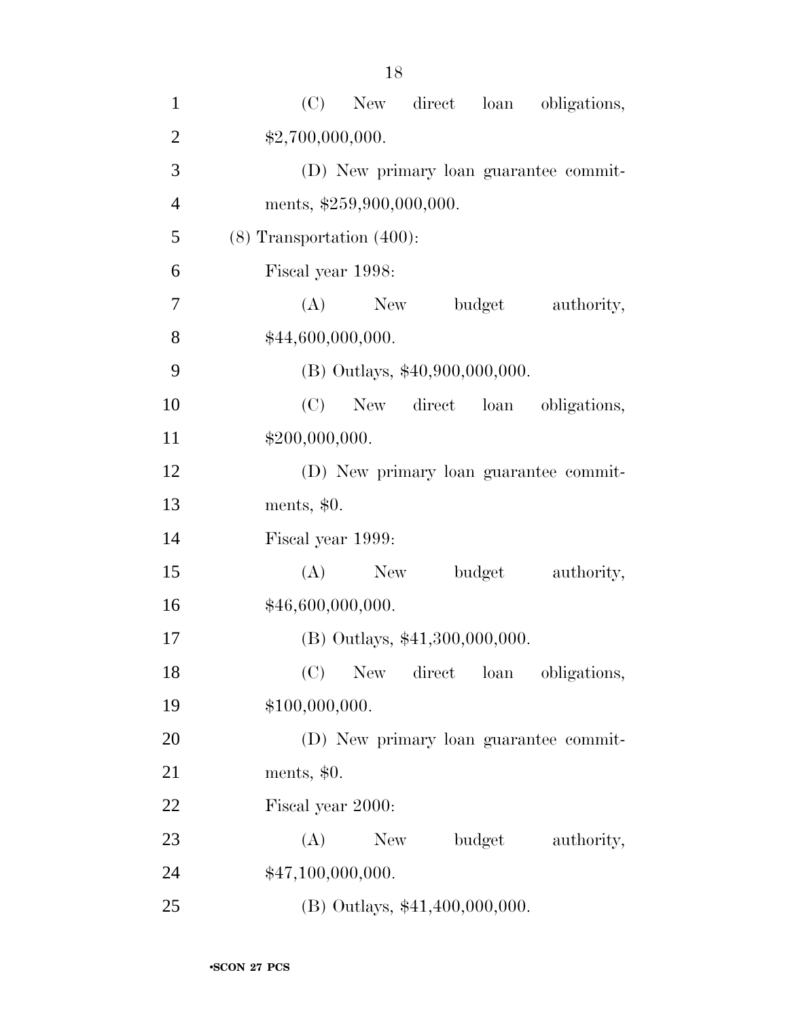| $\mathbf{1}$   | (C)<br>New direct<br>loan<br>obligations, |
|----------------|-------------------------------------------|
| $\overline{c}$ | \$2,700,000,000.                          |
| 3              | (D) New primary loan guarantee commit-    |
| $\overline{4}$ | ments, \$259,900,000,000.                 |
| 5              | $(8)$ Transportation $(400)$ :            |
| 6              | Fiscal year 1998:                         |
| 7              | budget<br>(A)<br>New<br>authority,        |
| 8              | \$44,600,000,000.                         |
| 9              | (B) Outlays, \$40,900,000,000.            |
| 10             | New direct loan<br>(C)<br>obligations,    |
| 11             | \$200,000,000.                            |
| 12             | (D) New primary loan guarantee commit-    |
| 13             | ments, $$0.$                              |
| 14             | Fiscal year 1999:                         |
| 15             | (A)<br>New<br>budget<br>authority,        |
| 16             | \$46,600,000,000.                         |
| 17             | (B) Outlays, \$41,300,000,000.            |
| 18             | (C) New direct loan obligations,          |
| 19             | \$100,000,000.                            |
| 20             | (D) New primary loan guarantee commit-    |
| 21             | ments, $$0.$                              |
| 22             | Fiscal year 2000:                         |
| 23             | budget<br>(A)<br>New \,<br>authority,     |
| 24             | \$47,100,000,000.                         |
| 25             | (B) Outlays, \$41,400,000,000.            |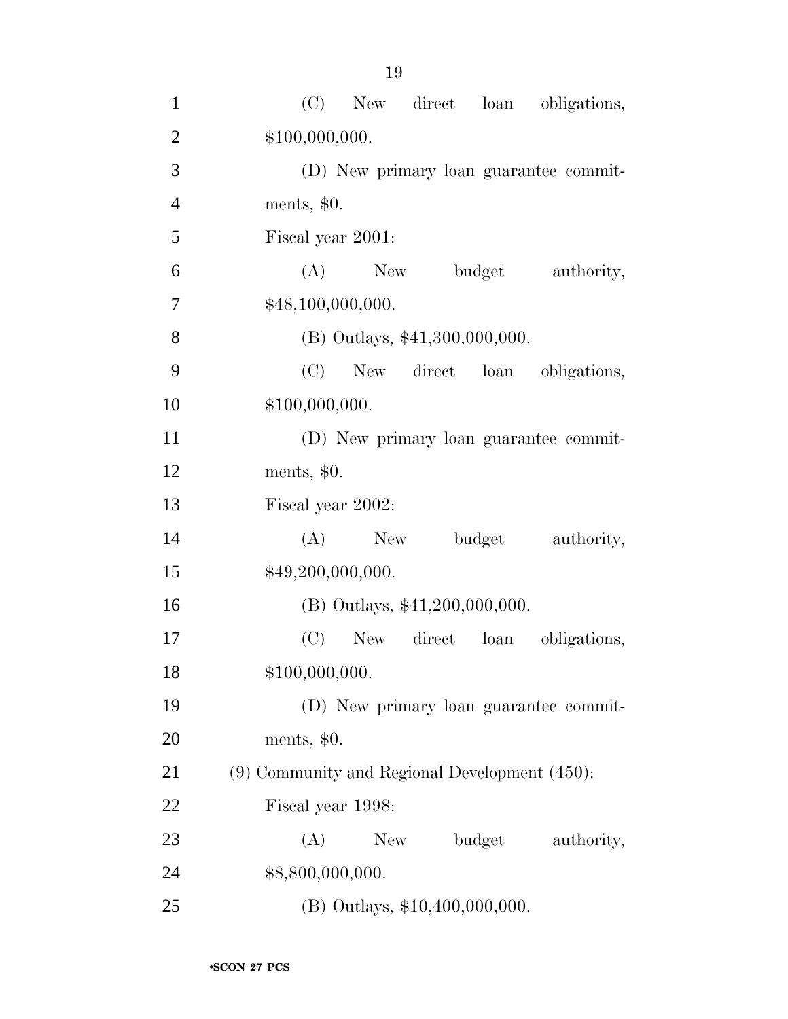| $\mathbf{1}$   | (C)<br>New direct loan<br>obligations,             |
|----------------|----------------------------------------------------|
| $\overline{2}$ | \$100,000,000.                                     |
| 3              | (D) New primary loan guarantee commit-             |
| $\overline{4}$ | ments, $$0.$                                       |
| 5              | Fiscal year 2001:                                  |
| 6              | $(A)$ New<br>budget<br>authority,                  |
| $\overline{7}$ | \$48,100,000,000.                                  |
| 8              | (B) Outlays, \$41,300,000,000.                     |
| 9              | (C)<br>New direct loan obligations,                |
| 10             | \$100,000,000.                                     |
| 11             | (D) New primary loan guarantee commit-             |
| 12             | ments, $$0.$                                       |
| 13             | Fiscal year 2002:                                  |
| 14             | (A)<br>New<br>budget<br>authority,                 |
| 15             | \$49,200,000,000.                                  |
| 16             | (B) Outlays, \$41,200,000,000.                     |
| 17             | (C)<br>New direct loan<br>obligations,             |
| 18             | \$100,000,000.                                     |
| 19             | (D) New primary loan guarantee commit-             |
| <b>20</b>      | ments, $$0.$                                       |
| 21             | $(9)$ Community and Regional Development $(450)$ : |
| 22             | Fiscal year 1998:                                  |
| 23             | (A)<br>New<br>budget<br>authority,                 |
| 24             | \$8,800,000,000.                                   |
| 25             | (B) Outlays, \$10,400,000,000.                     |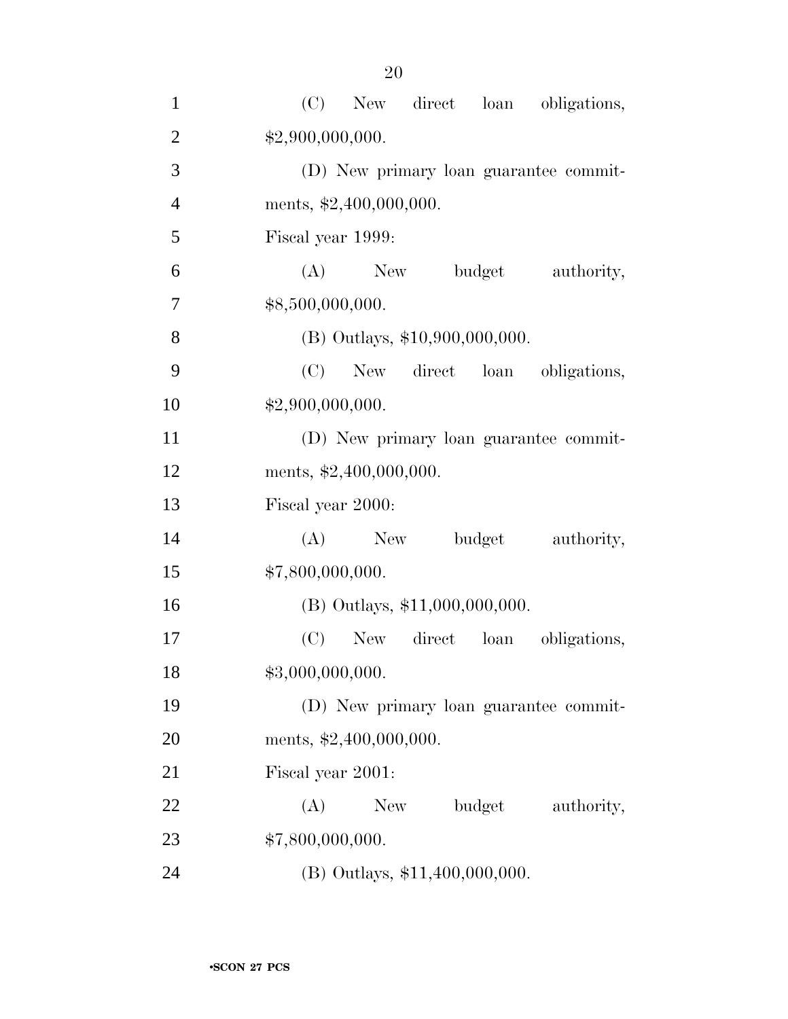| $\mathbf{1}$   | (C)<br>New direct loan<br>obligations, |
|----------------|----------------------------------------|
| $\overline{2}$ | \$2,900,000,000.                       |
| 3              | (D) New primary loan guarantee commit- |
| $\overline{4}$ | ments, \$2,400,000,000.                |
| 5              | Fiscal year 1999:                      |
| 6              | (A)<br>budget<br>New<br>authority,     |
| 7              | \$8,500,000,000.                       |
| 8              | (B) Outlays, \$10,900,000,000.         |
| 9              | New direct loan obligations,<br>(C)    |
| 10             | \$2,900,000,000.                       |
| 11             | (D) New primary loan guarantee commit- |
| 12             | ments, \$2,400,000,000.                |
| 13             | Fiscal year 2000:                      |
| 14             | (A)<br>New<br>budget<br>authority,     |
| 15             | \$7,800,000,000.                       |
| 16             | $(B)$ Outlays, \$11,000,000,000.       |
| 17             | (C)<br>New direct loan<br>obligations, |
| 18             | \$3,000,000,000.                       |
| 19             | (D) New primary loan guarantee commit- |
| 20             | ments, \$2,400,000,000.                |
| 21             | Fiscal year 2001:                      |
| 22             | (A)<br>budget<br>New \,<br>authority,  |
| 23             | \$7,800,000,000.                       |
| 24             | (B) Outlays, \$11,400,000,000.         |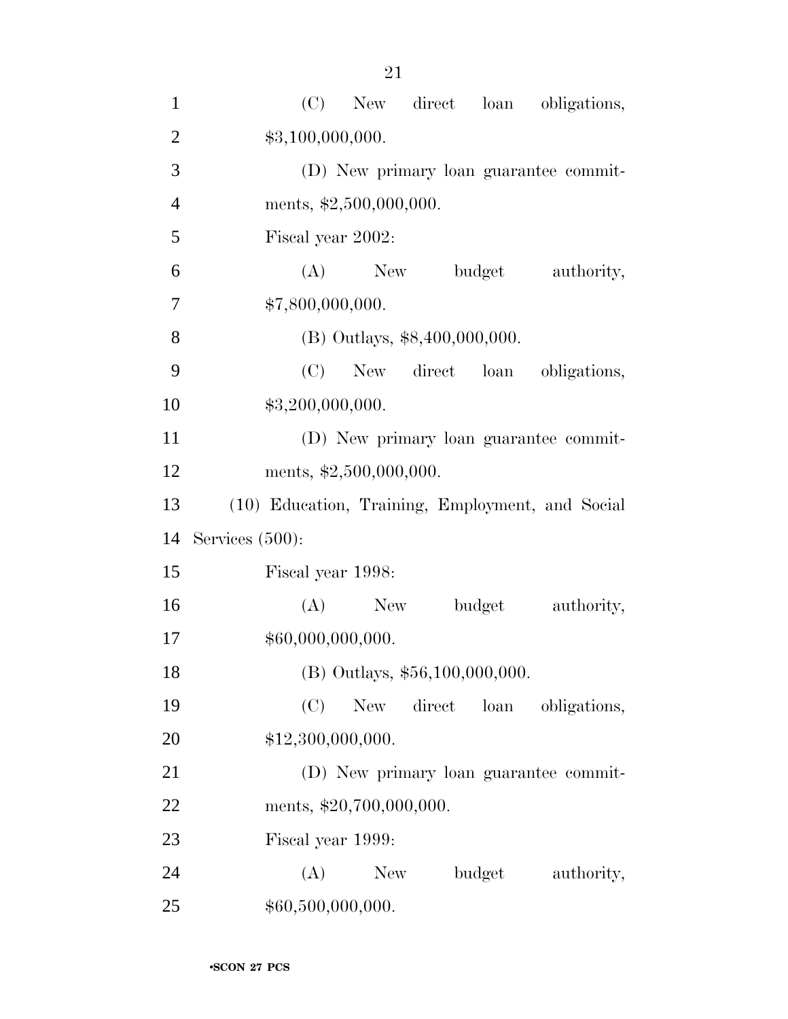| $\mathbf{1}$   | (C) New direct loan obligations,                 |
|----------------|--------------------------------------------------|
| $\overline{2}$ | \$3,100,000,000.                                 |
| 3              | (D) New primary loan guarantee commit-           |
| $\overline{4}$ | ments, \$2,500,000,000.                          |
| 5              | Fiscal year 2002:                                |
| 6              | $(A)$ New<br>budget<br>authority,                |
| 7              | \$7,800,000,000.                                 |
| 8              | (B) Outlays, \$8,400,000,000.                    |
| 9              | (C)<br>New direct loan obligations,              |
| 10             | \$3,200,000,000.                                 |
| 11             | (D) New primary loan guarantee commit-           |
| 12             | ments, $\text{$}2,500,000,000$ .                 |
| 13             | (10) Education, Training, Employment, and Social |
| 14             | Services $(500)$ :                               |
| 15             | Fiscal year 1998:                                |
| 16             | budget<br>$(A)$ New<br>authority,                |
| 17             | \$60,000,000,000.                                |
| 18             | (B) Outlays, \$56,100,000,000.                   |
| 19             | (C)<br>New<br>direct loan obligations,           |
| 20             | \$12,300,000,000.                                |
| 21             | (D) New primary loan guarantee commit-           |
| 22             | ments, \$20,700,000,000.                         |
| 23             | Fiscal year 1999:                                |
| 24             | (A)<br>New \,<br>budget<br>authority,            |
| 25             | \$60,500,000,000.                                |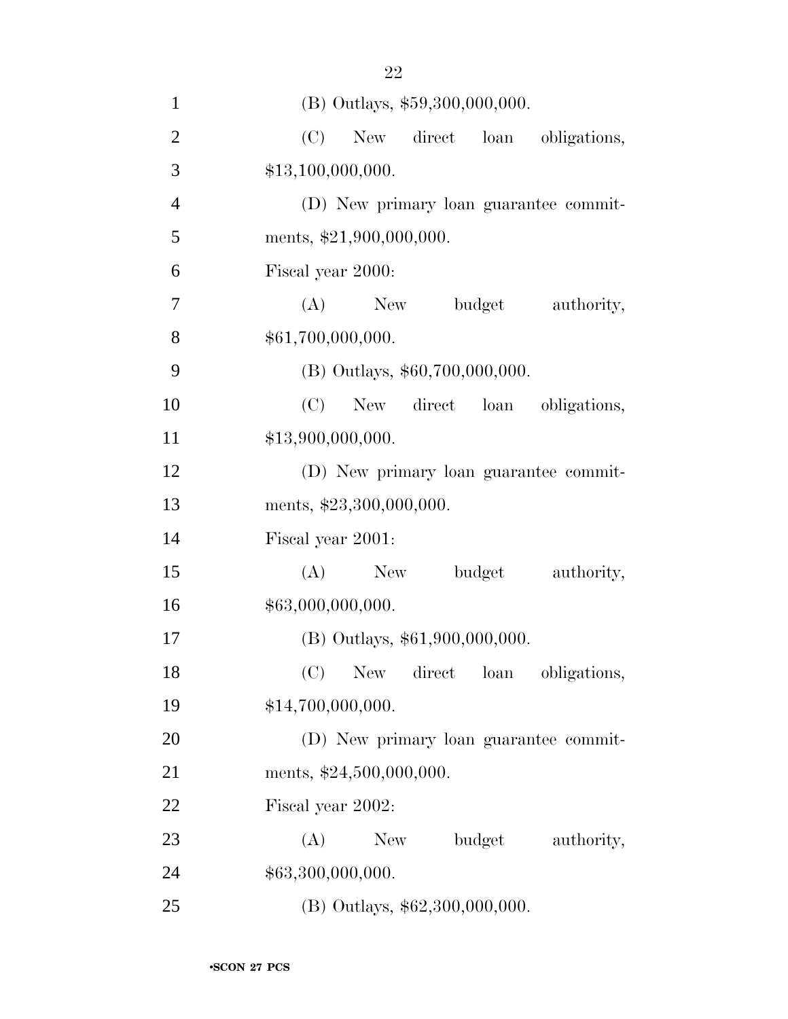| $\mathbf{1}$   | (B) Outlays, \$59,300,000,000.         |
|----------------|----------------------------------------|
| $\overline{2}$ | (C)<br>New direct loan<br>obligations, |
| 3              | \$13,100,000,000.                      |
| $\overline{4}$ | (D) New primary loan guarantee commit- |
| 5              | ments, \$21,900,000,000.               |
| 6              | Fiscal year 2000:                      |
| 7              | (A)<br>New<br>budget<br>authority,     |
| 8              | \$61,700,000,000.                      |
| 9              | (B) Outlays, \$60,700,000,000.         |
| 10             | (C)<br>New direct loan<br>obligations, |
| 11             | \$13,900,000,000.                      |
| 12             | (D) New primary loan guarantee commit- |
| 13             | ments, \$23,300,000,000.               |
| 14             | Fiscal year 2001:                      |
| 15             | (A)<br>budget<br>authority,<br>New     |
| 16             | \$63,000,000,000.                      |
| 17             | (B) Outlays, \$61,900,000,000.         |
| 18             | New direct loan<br>(C)<br>obligations, |
| 19             | \$14,700,000,000.                      |
| 20             | (D) New primary loan guarantee commit- |
| 21             | ments, \$24,500,000,000.               |
| 22             | Fiscal year 2002:                      |
| 23             | budget<br>(A)<br>New<br>authority,     |
| 24             | \$63,300,000,000.                      |
| 25             | (B) Outlays, \$62,300,000,000.         |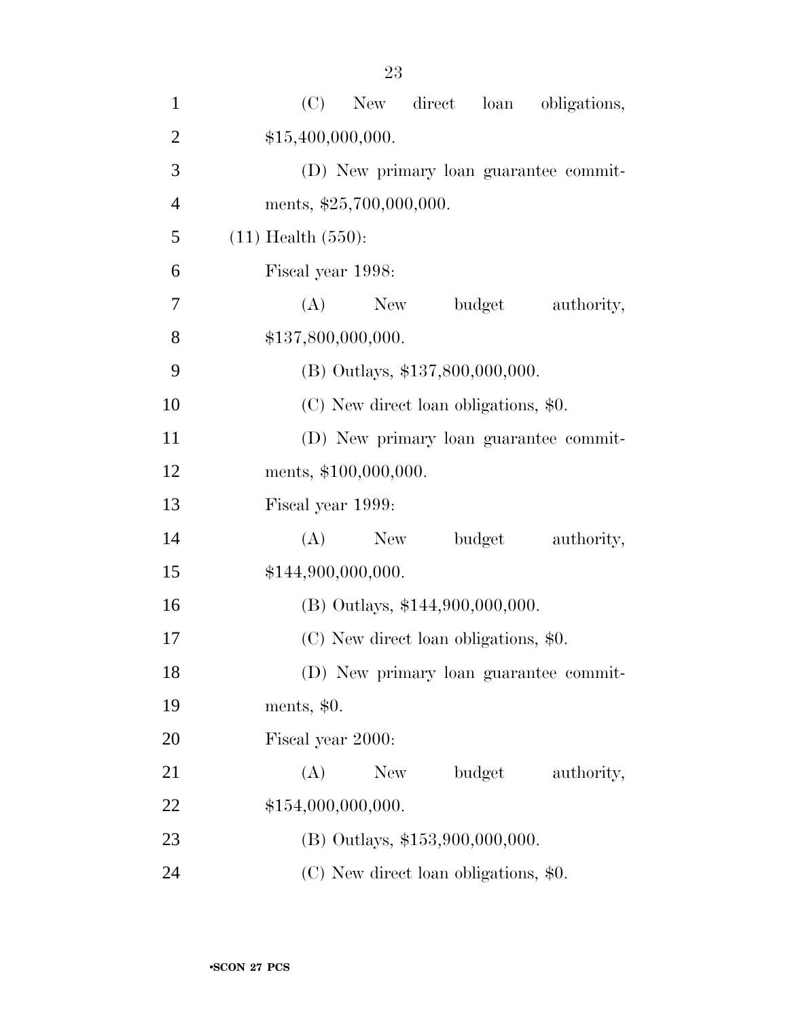| $\mathbf{1}$   | (C)<br>New direct<br>loan<br>obligations, |
|----------------|-------------------------------------------|
| $\mathfrak{2}$ | \$15,400,000,000.                         |
| 3              | (D) New primary loan guarantee commit-    |
| $\overline{4}$ | ments, \$25,700,000,000.                  |
| 5              | $(11)$ Health $(550)$ :                   |
| 6              | Fiscal year 1998:                         |
| 7              | budget<br>authority,<br>(A)<br>New        |
| 8              | \$137,800,000,000.                        |
| 9              | (B) Outlays, \$137,800,000,000.           |
| 10             | (C) New direct loan obligations, \$0.     |
| 11             | (D) New primary loan guarantee commit-    |
| 12             | ments, \$100,000,000.                     |
| 13             | Fiscal year 1999:                         |
| 14             | budget<br>(A)<br>New<br>authority,        |
| 15             | \$144,900,000,000.                        |
| 16             | (B) Outlays, \$144,900,000,000.           |
| 17             | (C) New direct loan obligations, \$0.     |
| 18             | (D) New primary loan guarantee commit-    |
| 19             | ments, $$0.$                              |
| 20             | Fiscal year 2000:                         |
| 21             | budget<br>(A)<br>New<br>authority,        |
| 22             | \$154,000,000,000.                        |
| 23             | $(B)$ Outlays, \$153,900,000,000.         |
| 24             | (C) New direct loan obligations, \$0.     |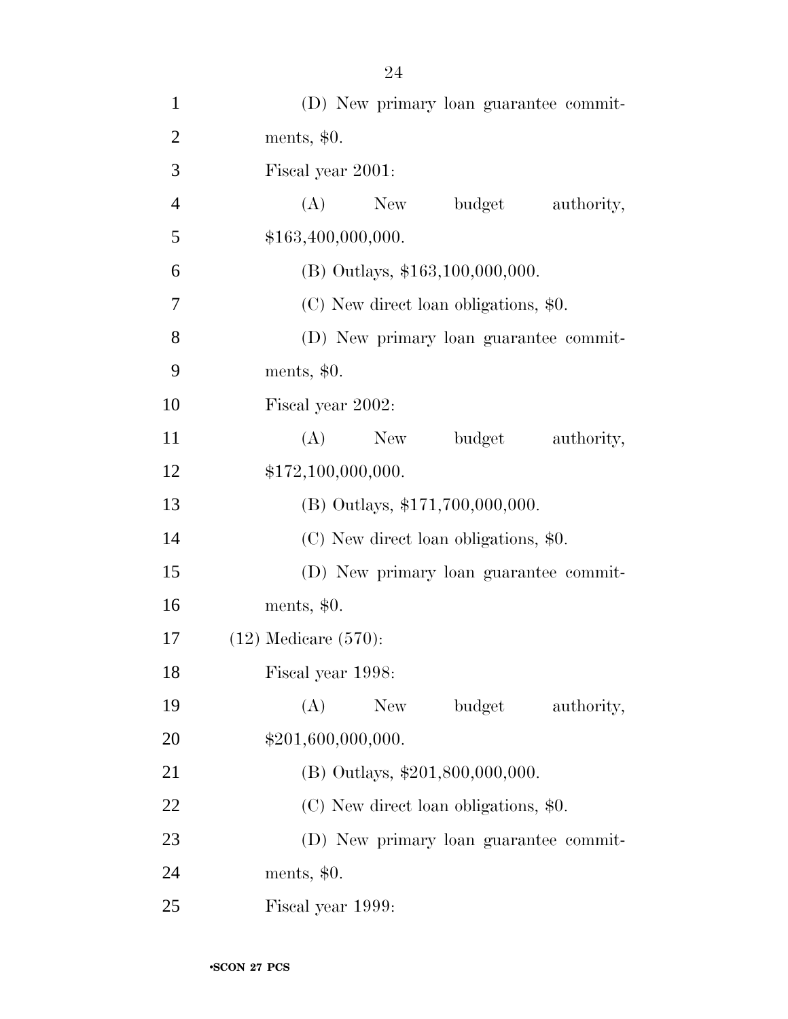| $\mathbf{1}$   | (D) New primary loan guarantee commit- |
|----------------|----------------------------------------|
| $\overline{2}$ | ments, $$0.$                           |
| 3              | Fiscal year 2001:                      |
| $\overline{4}$ | budget<br>(A)<br>New<br>authority,     |
| 5              | \$163,400,000,000.                     |
| 6              | (B) Outlays, \$163,100,000,000.        |
| 7              | (C) New direct loan obligations, \$0.  |
| 8              | (D) New primary loan guarantee commit- |
| 9              | ments, $$0.$                           |
| 10             | Fiscal year 2002:                      |
| 11             | budget<br>$(A)$ New<br>authority,      |
| 12             | \$172,100,000,000.                     |
| 13             | (B) Outlays, \$171,700,000,000.        |
| 14             | (C) New direct loan obligations, \$0.  |
| 15             | (D) New primary loan guarantee commit- |
| 16             | ments, $$0.$                           |
| 17             | $(12)$ Medicare $(570)$ :              |
| 18             | Fiscal year 1998:                      |
| 19             | budget<br>(A)<br>New<br>authority,     |
| 20             | \$201,600,000,000.                     |
| 21             | (B) Outlays, \$201,800,000,000.        |
| 22             | (C) New direct loan obligations, \$0.  |
| 23             | (D) New primary loan guarantee commit- |
| 24             | ments, $$0.$                           |
| 25             | Fiscal year 1999:                      |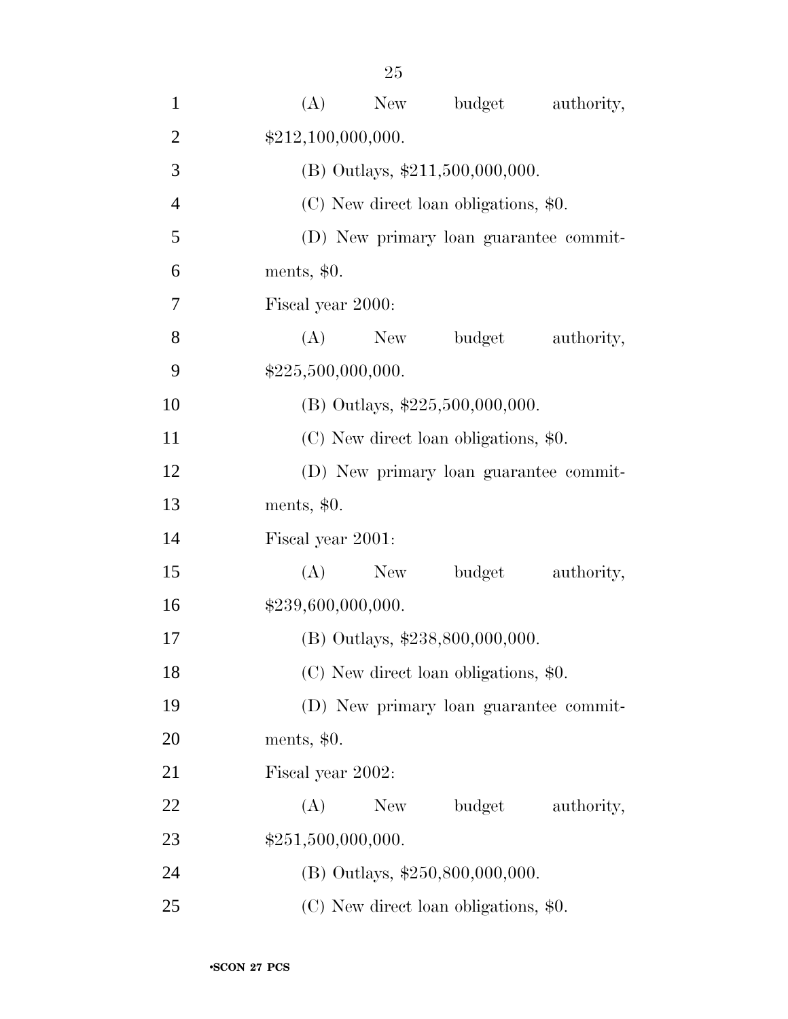| $\mathbf{1}$   | budget<br>(A)<br>New<br>authority,     |  |
|----------------|----------------------------------------|--|
| $\overline{2}$ | \$212,100,000,000.                     |  |
| 3              | (B) Outlays, \$211,500,000,000.        |  |
| $\overline{4}$ | (C) New direct loan obligations, \$0.  |  |
| 5              | (D) New primary loan guarantee commit- |  |
| 6              | ments, $$0.$                           |  |
| 7              | Fiscal year 2000:                      |  |
| 8              | budget<br>(A)<br>New<br>authority,     |  |
| 9              | \$225,500,000,000.                     |  |
| 10             | (B) Outlays, \$225,500,000,000.        |  |
| 11             | (C) New direct loan obligations, \$0.  |  |
| 12             | (D) New primary loan guarantee commit- |  |
| 13             | ments, $$0.$                           |  |
| 14             | Fiscal year 2001:                      |  |
| 15             | budget<br>(A)<br>New<br>authority,     |  |
| 16             | \$239,600,000,000.                     |  |
| 17             | (B) Outlays, \$238,800,000,000.        |  |
| 18             | (C) New direct loan obligations, \$0.  |  |
| 19             | (D) New primary loan guarantee commit- |  |
| 20             | ments, $$0.$                           |  |
| 21             | Fiscal year 2002:                      |  |
| 22             | budget<br>(A)<br>New<br>authority,     |  |
| 23             | \$251,500,000,000.                     |  |
| 24             | (B) Outlays, \$250,800,000,000.        |  |
| 25             | (C) New direct loan obligations, \$0.  |  |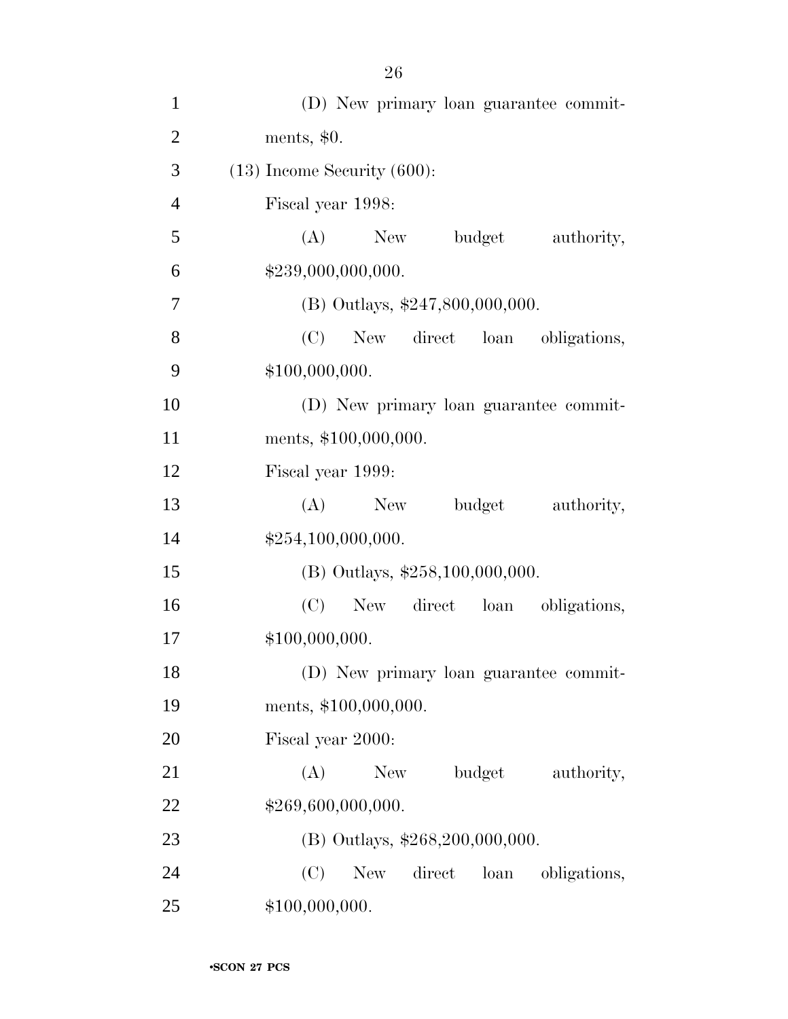| $\mathbf{1}$   | (D) New primary loan guarantee commit-       |
|----------------|----------------------------------------------|
| $\overline{2}$ | ments, $$0.$                                 |
| 3              | $(13)$ Income Security $(600)$ :             |
| $\overline{4}$ | Fiscal year 1998:                            |
| 5              | budget<br>$(A)$ New<br>authority,            |
| 6              | \$239,000,000,000.                           |
| 7              | $(B)$ Outlays, \$247,800,000,000.            |
| 8              | (C)<br>New direct loan obligations,          |
| 9              | \$100,000,000.                               |
| 10             | (D) New primary loan guarantee commit-       |
| 11             | ments, \$100,000,000.                        |
| 12             | Fiscal year 1999:                            |
| 13             | (A)<br>budget<br>authority,<br>New           |
| 14             | \$254,100,000,000.                           |
| 15             | (B) Outlays, \$258,100,000,000.              |
| 16             | (C)<br>New direct loan<br>obligations,       |
| 17             | \$100,000,000.                               |
| 18             | (D) New primary loan guarantee commit-       |
| 19             | ments, \$100,000,000.                        |
| 20             | Fiscal year 2000:                            |
| 21             | (A)<br>budget<br>New<br>authority,           |
| 22             | \$269,600,000,000.                           |
| 23             | (B) Outlays, \$268,200,000,000.              |
| 24             | (C)<br>direct<br>New<br>loan<br>obligations, |
| 25             | \$100,000,000.                               |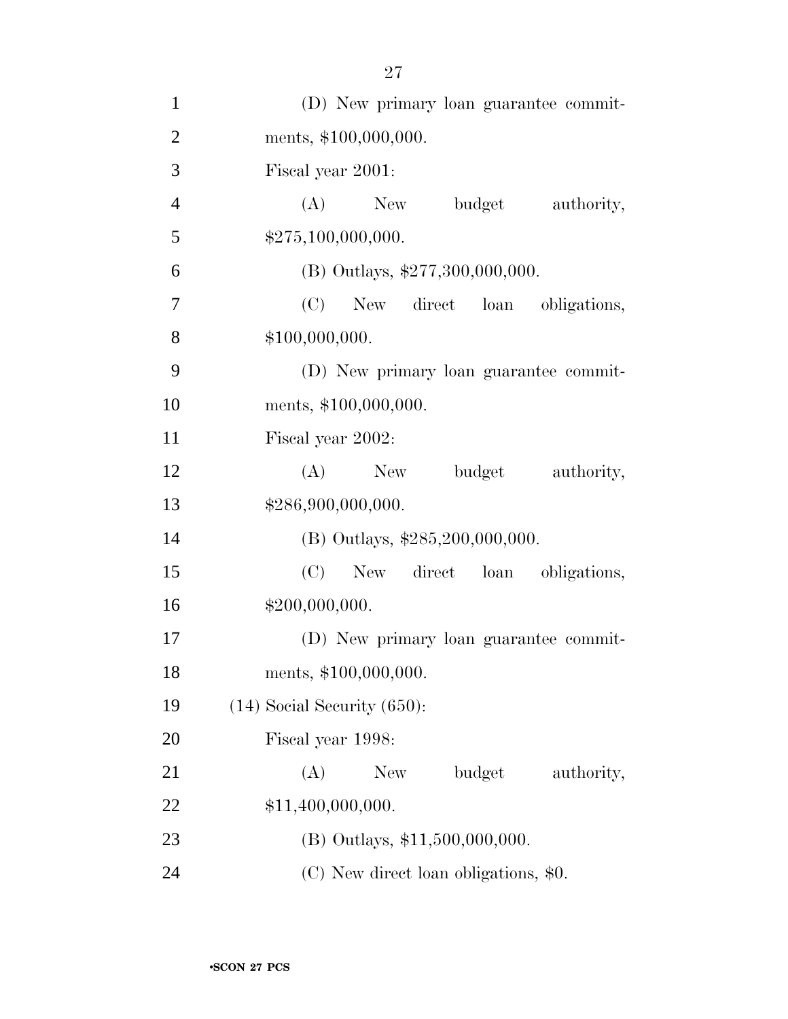| $\mathbf{1}$   | (D) New primary loan guarantee commit-    |
|----------------|-------------------------------------------|
| $\overline{2}$ | ments, \$100,000,000.                     |
| 3              | Fiscal year 2001:                         |
| $\overline{4}$ | $(A)$ New<br>budget<br>authority,         |
| 5              | \$275,100,000,000.                        |
| 6              | (B) Outlays, $$277,300,000,000$ .         |
| 7              | (C)<br>New direct loan obligations,       |
| 8              | \$100,000,000.                            |
| 9              | (D) New primary loan guarantee commit-    |
| 10             | ments, \$100,000,000.                     |
| 11             | Fiscal year 2002:                         |
| 12             | (A) New budget<br>authority,              |
| 13             | \$286,900,000,000.                        |
| 14             | (B) Outlays, \$285,200,000,000.           |
| 15             | (C)<br>New direct loan obligations,       |
| 16             | \$200,000,000.                            |
| 17             | (D) New primary loan guarantee commit-    |
| 18             | ments, \$100,000,000.                     |
| 19             | $(14)$ Social Security $(650)$ :          |
| 20             | Fiscal year 1998:                         |
| 21             | (A)<br><b>New</b><br>budget<br>authority, |
| 22             | \$11,400,000,000.                         |
| 23             | (B) Outlays, \$11,500,000,000.            |
| 24             | $(C)$ New direct loan obligations, \$0.   |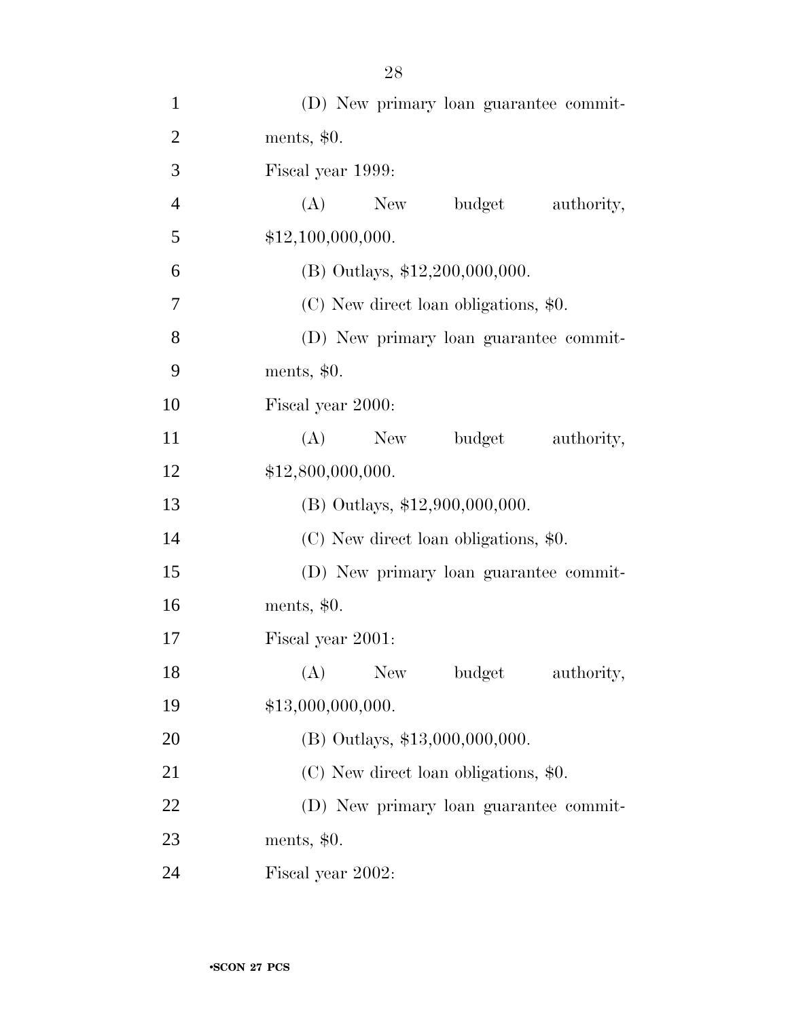| $\mathbf{1}$   | (D) New primary loan guarantee commit-    |
|----------------|-------------------------------------------|
| $\overline{2}$ | ments, $$0.$                              |
| 3              | Fiscal year 1999:                         |
| $\overline{4}$ | (A)<br>budget<br>New<br>authority,        |
| 5              | \$12,100,000,000.                         |
| 6              | $(B)$ Outlays, \$12,200,000,000.          |
| 7              | (C) New direct loan obligations, \$0.     |
| 8              | (D) New primary loan guarantee commit-    |
| 9              | ments, \$0.                               |
| 10             | Fiscal year 2000:                         |
| 11             | (A)<br>budget<br>authority,<br>New        |
| 12             | \$12,800,000,000.                         |
| 13             | $(B)$ Outlays, \$12,900,000,000.          |
| 14             | (C) New direct loan obligations, \$0.     |
| 15             | (D) New primary loan guarantee commit-    |
| 16             | ments, $$0.$                              |
| 17             | Fiscal year 2001:                         |
| 18             | (A)<br><b>New</b><br>budget<br>authority, |
| 19             | \$13,000,000,000.                         |
| 20             | (B) Outlays, \$13,000,000,000.            |
| 21             | (C) New direct loan obligations, \$0.     |
| 22             | (D) New primary loan guarantee commit-    |
|                |                                           |
| 23             | ments, $$0.$                              |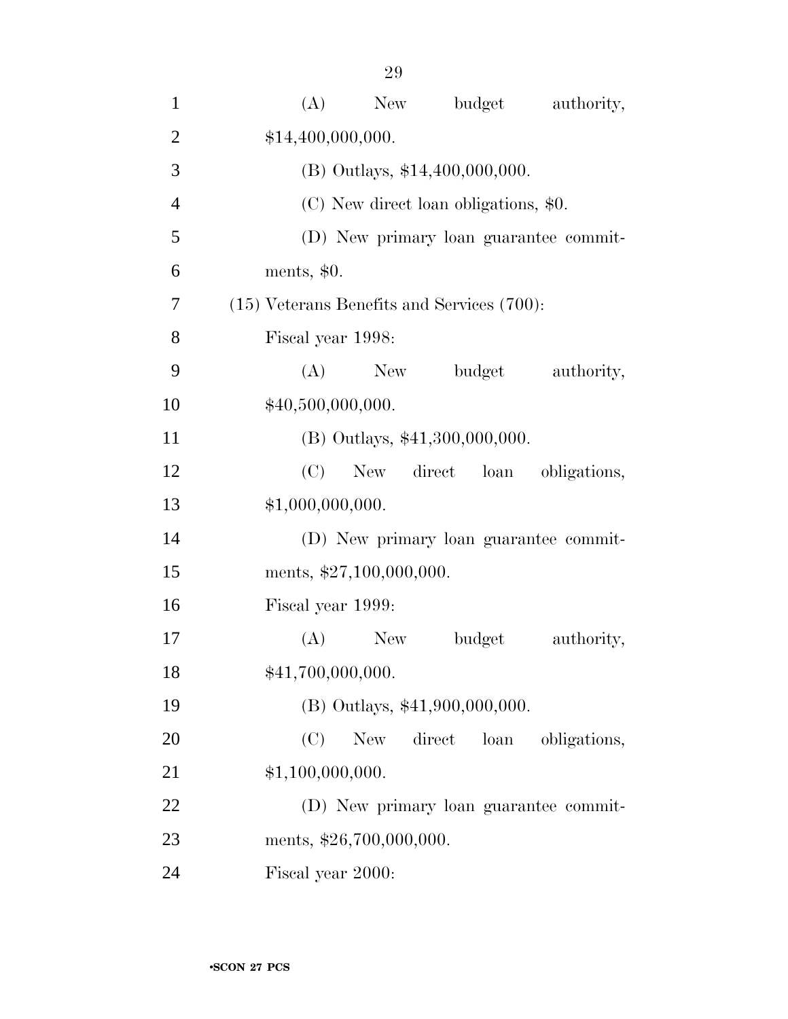| $\mathbf{1}$   | budget<br>(A)<br>New<br>authority,              |
|----------------|-------------------------------------------------|
| $\overline{2}$ | \$14,400,000,000.                               |
| 3              | (B) Outlays, \$14,400,000,000.                  |
| $\overline{4}$ | (C) New direct loan obligations, \$0.           |
| 5              | (D) New primary loan guarantee commit-          |
| 6              | ments, $$0.$                                    |
| 7              | $(15)$ Veterans Benefits and Services $(700)$ : |
| 8              | Fiscal year 1998:                               |
| 9              | (A)<br>New<br>budget<br>authority,              |
| 10             | \$40,500,000,000.                               |
| 11             | (B) Outlays, \$41,300,000,000.                  |
| 12             | (C)<br>New direct loan<br>obligations,          |
| 13             | \$1,000,000,000.                                |
| 14             | (D) New primary loan guarantee commit-          |
| 15             | ments, \$27,100,000,000.                        |
| 16             | Fiscal year 1999:                               |
| 17             | (A)<br><b>New</b><br>budget<br>authority,       |
| 18             | \$41,700,000,000.                               |
| 19             | (B) Outlays, \$41,900,000,000.                  |
| 20             | (C)<br>direct<br>New<br>loan<br>obligations,    |
| 21             | \$1,100,000,000.                                |
| 22             | (D) New primary loan guarantee commit-          |
| 23             | ments, \$26,700,000,000.                        |
| 24             | Fiscal year 2000:                               |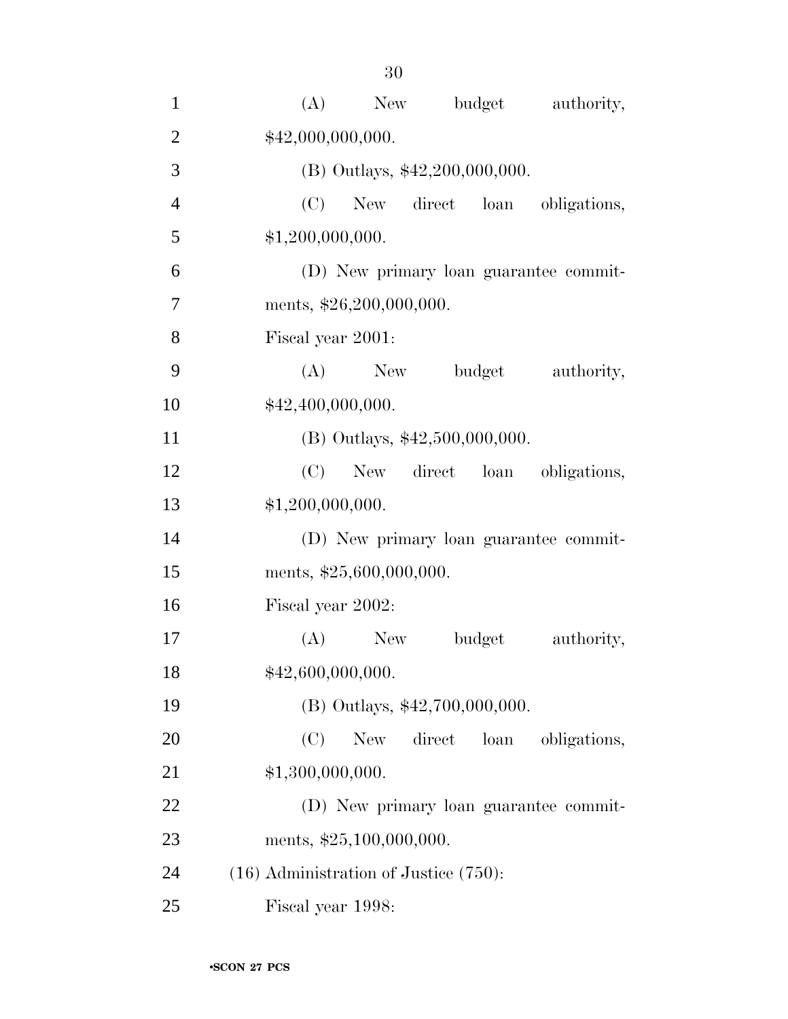| $\mathbf{1}$   | (A)<br>budget<br>New<br>authority,                  |
|----------------|-----------------------------------------------------|
| $\overline{2}$ | \$42,000,000,000.                                   |
| 3              | (B) Outlays, \$42,200,000,000.                      |
| $\overline{4}$ | (C)<br>New direct loan obligations,                 |
| 5              | \$1,200,000,000.                                    |
| 6              | (D) New primary loan guarantee commit-              |
| $\tau$         | ments, \$26,200,000,000.                            |
| 8              | Fiscal year 2001:                                   |
| 9              | (A)<br>New<br>budget<br>authority,                  |
| 10             | \$42,400,000,000.                                   |
| 11             | $(B)$ Outlays, \$42,500,000,000.                    |
| 12             | New direct loan<br>(C)<br>obligations,              |
| 13             | \$1,200,000,000.                                    |
| 14             | (D) New primary loan guarantee commit-              |
| 15             | ments, \$25,600,000,000.                            |
| 16             | Fiscal year 2002:                                   |
| 17             | (A)<br>New<br>budget<br>authority,                  |
| 18             | \$42,600,000,000.                                   |
| 19             | (B) Outlays, \$42,700,000,000.                      |
| 20             | (C)<br><b>New</b><br>direct<br>obligations,<br>loan |
| 21             | \$1,300,000,000.                                    |
| 22             | (D) New primary loan guarantee commit-              |
| 23             | ments, \$25,100,000,000.                            |
| 24             | $(16)$ Administration of Justice $(750)$ :          |
| 25             | Fiscal year 1998:                                   |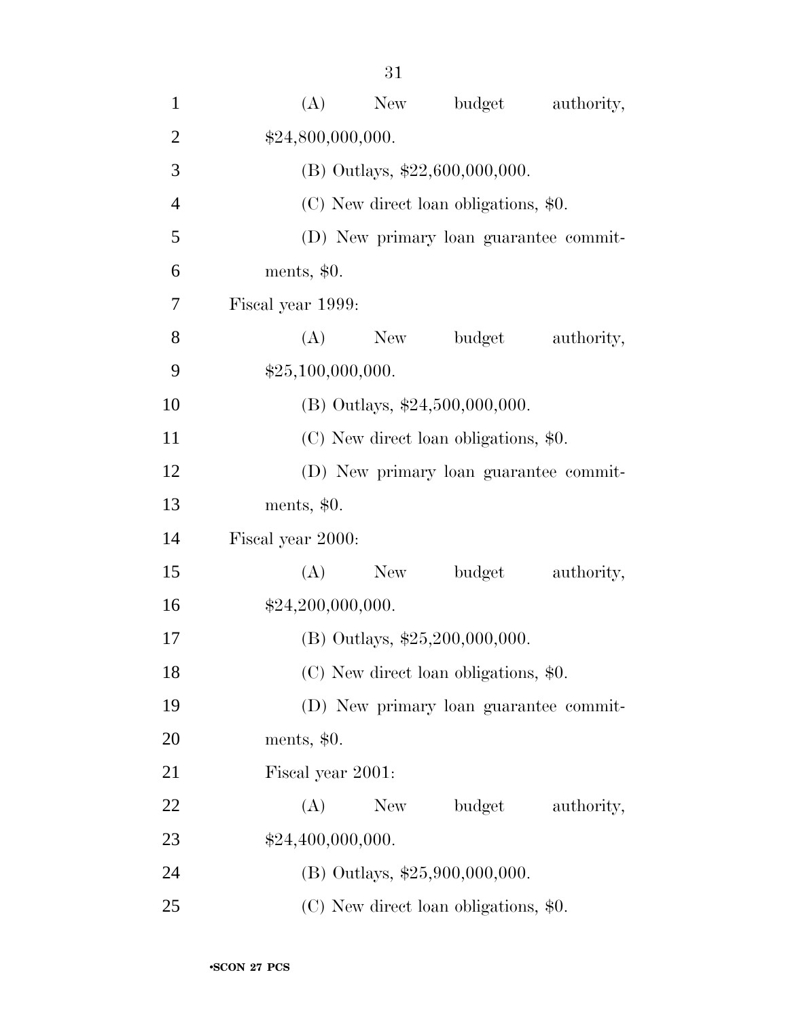| $\mathbf{1}$   | (A)<br>New<br>budget<br>authority,     |  |
|----------------|----------------------------------------|--|
| $\mathfrak{2}$ | \$24,800,000,000.                      |  |
| 3              | (B) Outlays, \$22,600,000,000.         |  |
| $\overline{4}$ | (C) New direct loan obligations, \$0.  |  |
| 5              | (D) New primary loan guarantee commit- |  |
| 6              | ments, $$0.$                           |  |
| 7              | Fiscal year 1999:                      |  |
| 8              | (A)<br>New<br>budget<br>authority,     |  |
| 9              | \$25,100,000,000.                      |  |
| 10             | (B) Outlays, \$24,500,000,000.         |  |
| 11             | (C) New direct loan obligations, \$0.  |  |
| 12             | (D) New primary loan guarantee commit- |  |
| 13             | ments, $$0.$                           |  |
| 14             | Fiscal year 2000:                      |  |
| 15             | budget<br>(A)<br>New<br>authority,     |  |
| 16             | \$24,200,000,000.                      |  |
| 17             | (B) Outlays, $$25,200,000,000$ .       |  |
| 18             | (C) New direct loan obligations, \$0.  |  |
| 19             | (D) New primary loan guarantee commit- |  |
| 20             | ments, $$0.$                           |  |
| 21             | Fiscal year 2001:                      |  |
| 22             | budget<br>New<br>(A)<br>authority,     |  |
| 23             | \$24,400,000,000.                      |  |
| 24             | (B) Outlays, \$25,900,000,000.         |  |
| 25             | (C) New direct loan obligations, \$0.  |  |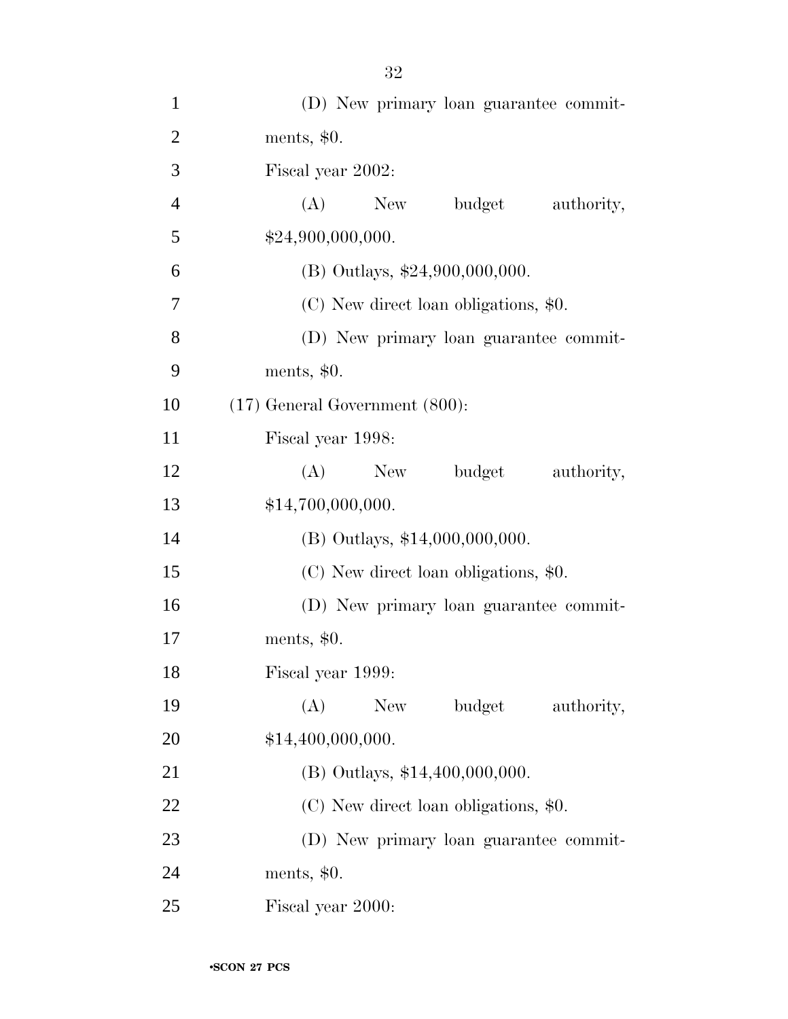| $\mathbf{1}$   | (D) New primary loan guarantee commit- |
|----------------|----------------------------------------|
| $\overline{2}$ | ments, $$0.$                           |
| 3              | Fiscal year 2002:                      |
| $\overline{4}$ | budget<br>(A)<br>New<br>authority,     |
| 5              | \$24,900,000,000.                      |
| 6              | (B) Outlays, \$24,900,000,000.         |
| 7              | (C) New direct loan obligations, \$0.  |
| $8\,$          | (D) New primary loan guarantee commit- |
| 9              | ments, $$0.$                           |
| 10             | $(17)$ General Government $(800)$ :    |
| 11             | Fiscal year 1998:                      |
| 12             | budget<br>(A)<br>New<br>authority,     |
| 13             | \$14,700,000,000.                      |
| 14             | (B) Outlays, \$14,000,000,000.         |
| 15             | (C) New direct loan obligations, \$0.  |
| 16             | (D) New primary loan guarantee commit- |
| 17             | ments, $$0.$                           |
| 18             | Fiscal year 1999:                      |
| 19             | budget<br>(A)<br>New<br>authority,     |
| 20             | \$14,400,000,000.                      |
| 21             | $(B)$ Outlays, \$14,400,000,000.       |
| 22             | (C) New direct loan obligations, \$0.  |
| 23             | (D) New primary loan guarantee commit- |
| 24             | ments, \$0.                            |
| 25             | Fiscal year 2000:                      |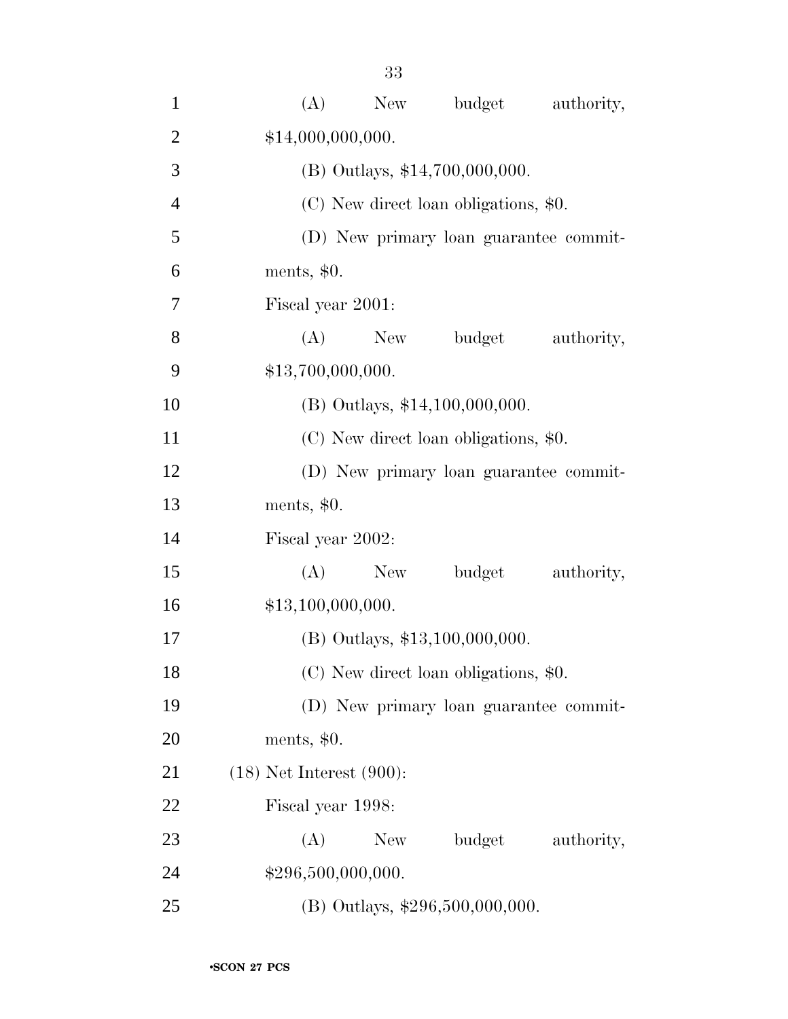| $\mathbf{1}$   | (A)<br>budget<br>New<br>authority,        |
|----------------|-------------------------------------------|
| $\overline{2}$ | \$14,000,000,000.                         |
| 3              | (B) Outlays, \$14,700,000,000.            |
| $\overline{4}$ | (C) New direct loan obligations, \$0.     |
| 5              | (D) New primary loan guarantee commit-    |
| 6              | ments, $$0.$                              |
| 7              | Fiscal year 2001:                         |
| 8              | budget<br>(A)<br>New<br>authority,        |
| 9              | \$13,700,000,000.                         |
| 10             | (B) Outlays, \$14,100,000,000.            |
| 11             | (C) New direct loan obligations, \$0.     |
| 12             | (D) New primary loan guarantee commit-    |
| 13             | ments, $$0.$                              |
| 14             | Fiscal year 2002:                         |
| 15             | budget<br>(A)<br>New<br>authority,        |
| 16             | \$13,100,000,000.                         |
| 17             | $(B)$ Outlays, \$13,100,000,000.          |
| 18             | (C) New direct loan obligations, \$0.     |
| 19             | (D) New primary loan guarantee commit-    |
| 20             | ments, $$0.$                              |
| 21             | $(18)$ Net Interest $(900)$ :             |
| 22             | Fiscal year 1998:                         |
| 23             | budget<br>(A)<br><b>New</b><br>authority, |
| 24             | \$296,500,000,000.                        |
| 25             | (B) Outlays, \$296,500,000,000.           |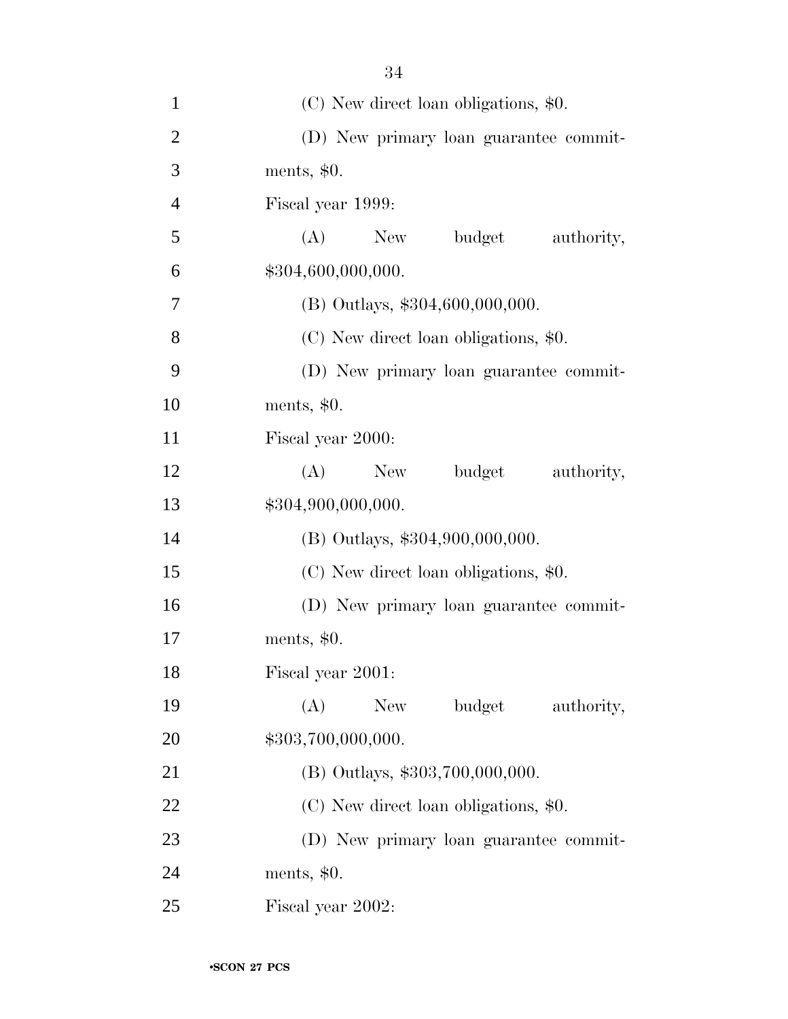| $\mathbf{1}$   | (C) New direct loan obligations, \$0.  |
|----------------|----------------------------------------|
| $\overline{2}$ | (D) New primary loan guarantee commit- |
| 3              | ments, $$0.$                           |
| $\overline{4}$ | Fiscal year 1999:                      |
| 5              | budget<br>$(A)$ New<br>authority,      |
| 6              | \$304,600,000,000.                     |
| $\overline{7}$ | $(B)$ Outlays, \$304,600,000,000.      |
| 8              | (C) New direct loan obligations, \$0.  |
| 9              | (D) New primary loan guarantee commit- |
| 10             | ments, $$0.$                           |
| 11             | Fiscal year 2000:                      |
| 12             | budget<br>(A)<br>New<br>authority,     |
| 13             | \$304,900,000,000.                     |
| 14             | (B) Outlays, \$304,900,000,000.        |
| 15             | (C) New direct loan obligations, \$0.  |
| 16             | (D) New primary loan guarantee commit- |
| 17             | ments, $$0.$                           |
| 18             | Fiscal year 2001:                      |
| 19             | (A)<br>budget<br>New \,<br>authority,  |
| 20             | \$303,700,000,000.                     |
| 21             | (B) Outlays, \$303,700,000,000.        |
| 22             | (C) New direct loan obligations, \$0.  |
| 23             | (D) New primary loan guarantee commit- |
| 24             | ments, $$0.$                           |
| 25             | Fiscal year 2002:                      |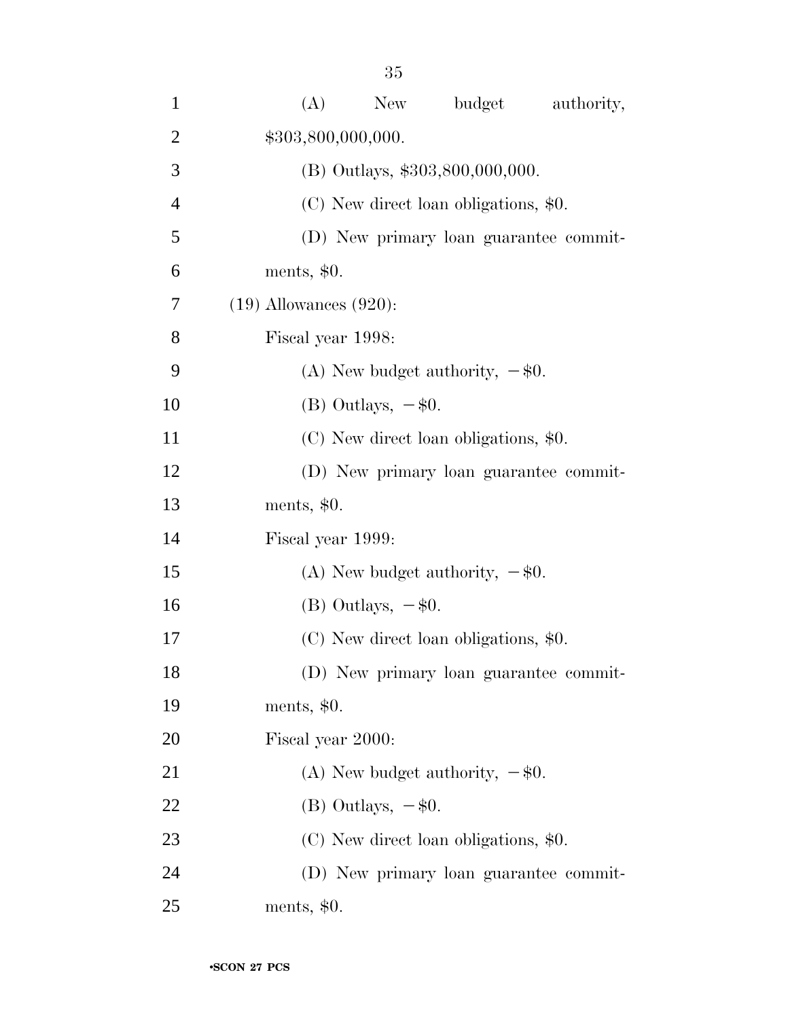| $\mathbf{1}$   | (A)<br>budget<br>New<br>authority,     |
|----------------|----------------------------------------|
| $\overline{2}$ | \$303,800,000,000.                     |
| 3              | (B) Outlays, \$303,800,000,000.        |
| $\overline{4}$ | (C) New direct loan obligations, \$0.  |
| 5              | (D) New primary loan guarantee commit- |
| 6              | ments, $$0.$                           |
| 7              | $(19)$ Allowances $(920)$ :            |
| 8              | Fiscal year 1998:                      |
| 9              | (A) New budget authority, $-\$0$ .     |
| 10             | $(B)$ Outlays, $-\$0$ .                |
| 11             | (C) New direct loan obligations, \$0.  |
| 12             | (D) New primary loan guarantee commit- |
| 13             | ments, $$0.$                           |
| 14             | Fiscal year 1999:                      |
| 15             | (A) New budget authority, $-\$0$ .     |
| 16             | $(B)$ Outlays, $-\$0$ .                |
| 17             | (C) New direct loan obligations, \$0.  |
| 18             | (D) New primary loan guarantee commit- |
| 19             | ments, $$0.$                           |
| 20             | Fiscal year 2000:                      |
| 21             | (A) New budget authority, $-\$0$ .     |
| 22             | $(B)$ Outlays, $-\$0$ .                |
| 23             | (C) New direct loan obligations, \$0.  |
| 24             | (D) New primary loan guarantee commit- |
| 25             | ments, $$0.$                           |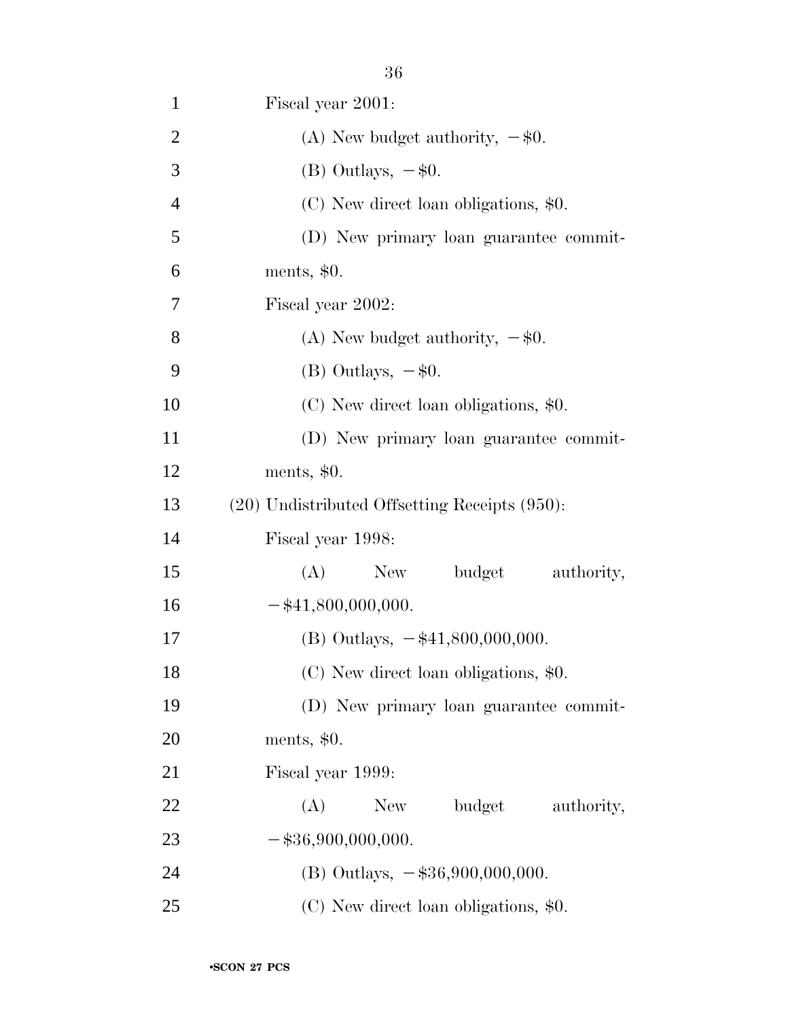| $\mathbf{1}$   | Fiscal year 2001:                                  |
|----------------|----------------------------------------------------|
| $\overline{2}$ | (A) New budget authority, $-\$0$ .                 |
| 3              | (B) Outlays, $-$ \$0.                              |
| $\overline{4}$ | (C) New direct loan obligations, \$0.              |
| 5              | (D) New primary loan guarantee commit-             |
| 6              | ments, $$0.$                                       |
| 7              | Fiscal year 2002:                                  |
| 8              | (A) New budget authority, $-\$0$ .                 |
| 9              | $(B)$ Outlays, $-\$0$ .                            |
| 10             | (C) New direct loan obligations, \$0.              |
| 11             | (D) New primary loan guarantee commit-             |
| 12             | ments, $$0.$                                       |
| 13             | $(20)$ Undistributed Offsetting Receipts $(950)$ : |
| 14             | Fiscal year 1998:                                  |
| 15             | budget authority,<br>(A)<br>New                    |
| 16             | $-$ \$41,800,000,000.                              |
| 17             | (B) Outlays, $-\frac{41,800,000,000}{500,000}$ .   |
| 18             | (C) New direct loan obligations, \$0.              |
|                |                                                    |
| 19             | (D) New primary loan guarantee commit-             |
| 20             | ments, $$0.$                                       |
| 21             | Fiscal year 1999:                                  |
| 22             | budget<br>(A)<br>New \,<br>authority,              |
| 23             | $-$ \$36,900,000,000.                              |

25 (C) New direct loan obligations, \$0.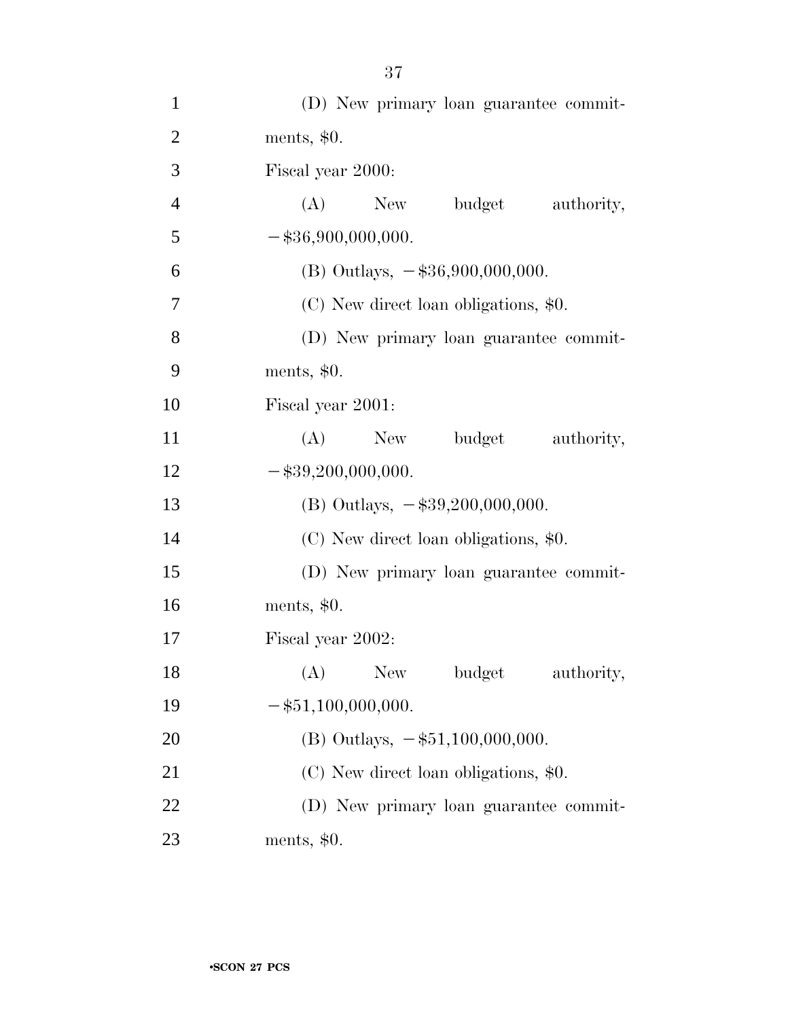| $\mathbf{1}$   | (D) New primary loan guarantee commit-    |
|----------------|-------------------------------------------|
| $\overline{2}$ | ments, $$0.$                              |
| 3              | Fiscal year 2000:                         |
| $\overline{4}$ | (A)<br>New<br>budget authority,           |
| 5              | $-$ \$36,900,000,000.                     |
| 6              | (B) Outlays, $-$ \$36,900,000,000.        |
| 7              | (C) New direct loan obligations, \$0.     |
| 8              | (D) New primary loan guarantee commit-    |
| 9              | ments, $$0.$                              |
| 10             | Fiscal year 2001:                         |
| 11             | budget<br>$(A)$ New<br>authority,         |
| 12             | $-$ \$39,200,000,000.                     |
| 13             | (B) Outlays, $-\$39,200,000,000$ .        |
| 14             | (C) New direct loan obligations, \$0.     |
| 15             | (D) New primary loan guarantee commit-    |
| 16             | ments, $$0.$                              |
| 17             | Fiscal year 2002:                         |
| 18             | (A)<br><b>New</b><br>budget<br>authority, |
| 19             | $-$ \$51,100,000,000.                     |
| 20             | (B) Outlays, $-\$51,100,000,000$ .        |
| 21             | (C) New direct loan obligations, \$0.     |
| 22             | (D) New primary loan guarantee commit-    |
| 23             | ments, $$0.$                              |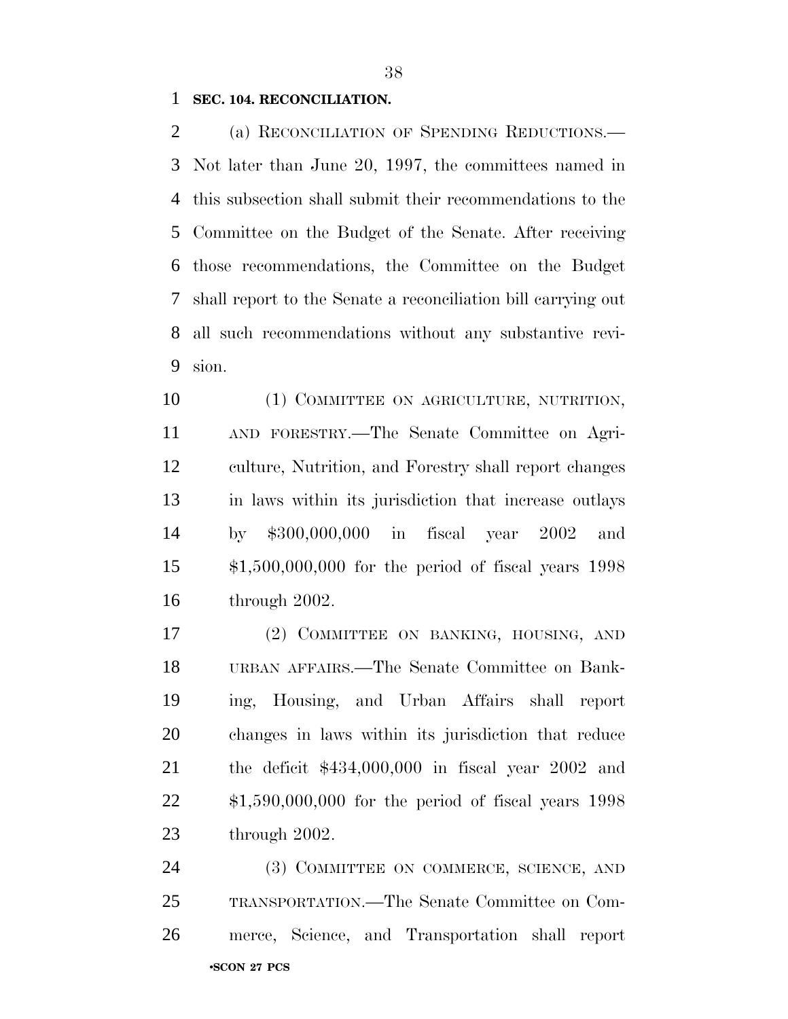#### **SEC. 104. RECONCILIATION.**

 (a) RECONCILIATION OF SPENDING REDUCTIONS.— Not later than June 20, 1997, the committees named in this subsection shall submit their recommendations to the Committee on the Budget of the Senate. After receiving those recommendations, the Committee on the Budget shall report to the Senate a reconciliation bill carrying out all such recommendations without any substantive revi-sion.

10 (1) COMMITTEE ON AGRICULTURE, NUTRITION, AND FORESTRY.—The Senate Committee on Agri- culture, Nutrition, and Forestry shall report changes in laws within its jurisdiction that increase outlays by \$300,000,000 in fiscal year 2002 and \$1,500,000,000 for the period of fiscal years 1998 through 2002.

 (2) COMMITTEE ON BANKING, HOUSING, AND URBAN AFFAIRS.—The Senate Committee on Bank- ing, Housing, and Urban Affairs shall report changes in laws within its jurisdiction that reduce the deficit \$434,000,000 in fiscal year 2002 and \$1,590,000,000 for the period of fiscal years 1998 through 2002.

•**SCON 27 PCS** 24 (3) COMMITTEE ON COMMERCE, SCIENCE, AND TRANSPORTATION.—The Senate Committee on Com-merce, Science, and Transportation shall report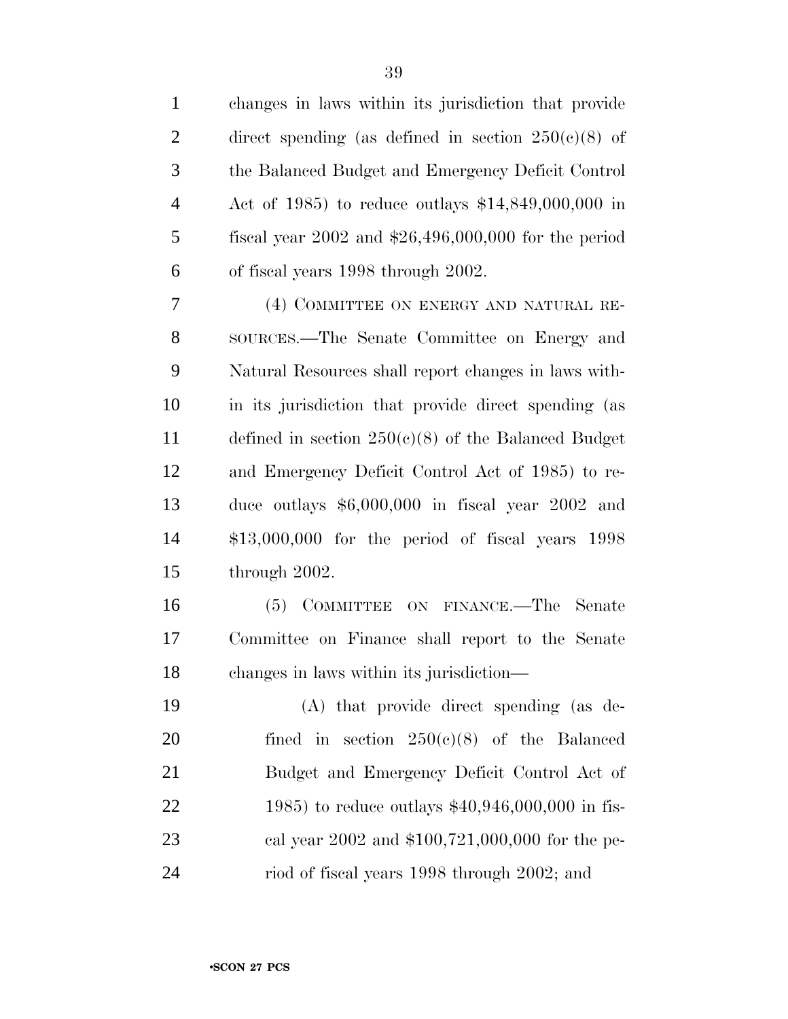| $\mathbf{1}$   | changes in laws within its jurisdiction that provide    |
|----------------|---------------------------------------------------------|
| $\mathfrak{2}$ | direct spending (as defined in section $250(c)(8)$ of   |
| 3              | the Balanced Budget and Emergency Deficit Control       |
| $\overline{4}$ | Act of 1985) to reduce outlays $$14,849,000,000$ in     |
| $\mathfrak{S}$ | fiscal year $2002$ and $$26,496,000,000$ for the period |
| 6              | of fiscal years 1998 through 2002.                      |
| 7              | (4) COMMITTEE ON ENERGY AND NATURAL RE-                 |
| 8              | SOURCES.—The Senate Committee on Energy and             |
| 9              | Natural Resources shall report changes in laws with-    |
| 10             | in its jurisdiction that provide direct spending (as    |
| 11             | defined in section $250(c)(8)$ of the Balanced Budget   |
| 12             | and Emergency Deficit Control Act of 1985) to re-       |
| 13             | duce outlays $$6,000,000$ in fiscal year 2002 and       |
| 14             | $$13,000,000$ for the period of fiscal years $1998$     |
| 15             | through 2002.                                           |
| 16             | COMMITTEE ON FINANCE.—The Senate<br>(5)                 |
| 17             | Committee on Finance shall report to the Senate         |
| 18             | changes in laws within its jurisdiction—                |
| 19             | (A) that provide direct spending (as de-                |
| 20             | fined in section $250(e)(8)$ of the Balanced            |
| 21             | Budget and Emergency Deficit Control Act of             |
| 22             | 1985) to reduce outlays $$40,946,000,000$ in fis-       |
| 23             | cal year 2002 and \$100,721,000,000 for the pe-         |
| 24             | riod of fiscal years 1998 through 2002; and             |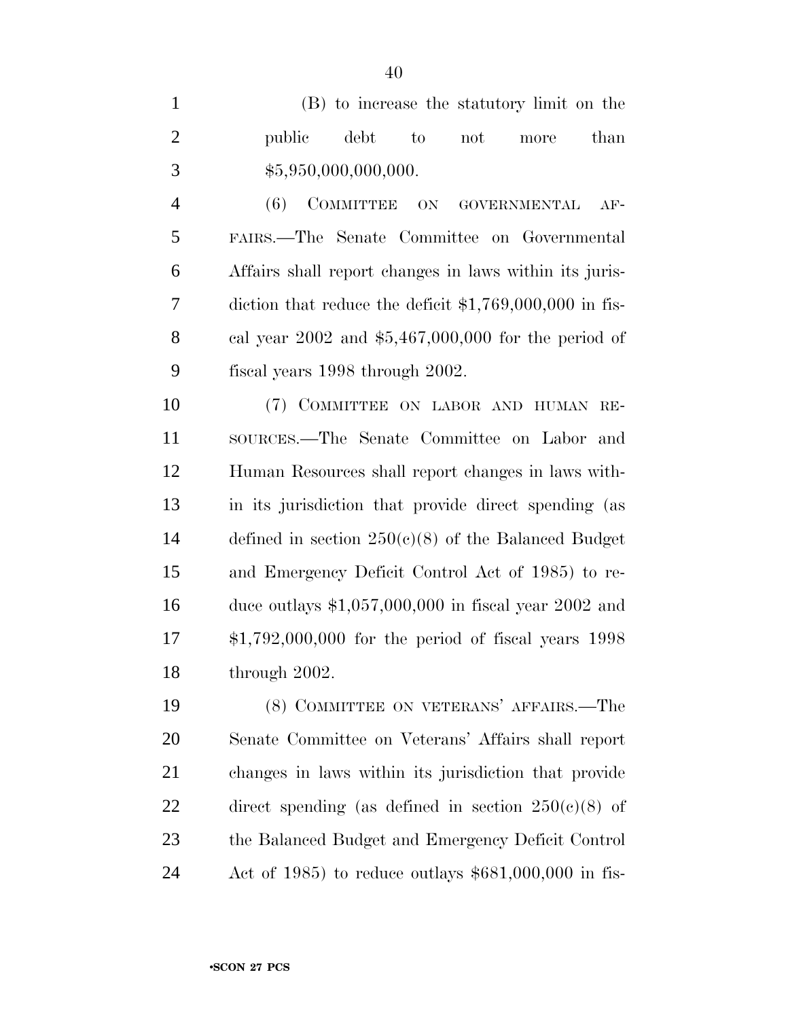(B) to increase the statutory limit on the **public** debt to not more than 3  $$5,950,000,000,000.$ 

 (6) COMMITTEE ON GOVERNMENTAL AF- FAIRS.—The Senate Committee on Governmental Affairs shall report changes in laws within its juris- diction that reduce the deficit \$1,769,000,000 in fis- cal year 2002 and \$5,467,000,000 for the period of fiscal years 1998 through 2002.

 (7) COMMITTEE ON LABOR AND HUMAN RE- SOURCES.—The Senate Committee on Labor and Human Resources shall report changes in laws with- in its jurisdiction that provide direct spending (as defined in section 250(c)(8) of the Balanced Budget and Emergency Deficit Control Act of 1985) to re- duce outlays \$1,057,000,000 in fiscal year 2002 and \$1,792,000,000 for the period of fiscal years 1998 through 2002.

 (8) COMMITTEE ON VETERANS' AFFAIRS.—The Senate Committee on Veterans' Affairs shall report changes in laws within its jurisdiction that provide 22 direct spending (as defined in section  $250(c)(8)$  of the Balanced Budget and Emergency Deficit Control Act of 1985) to reduce outlays \$681,000,000 in fis-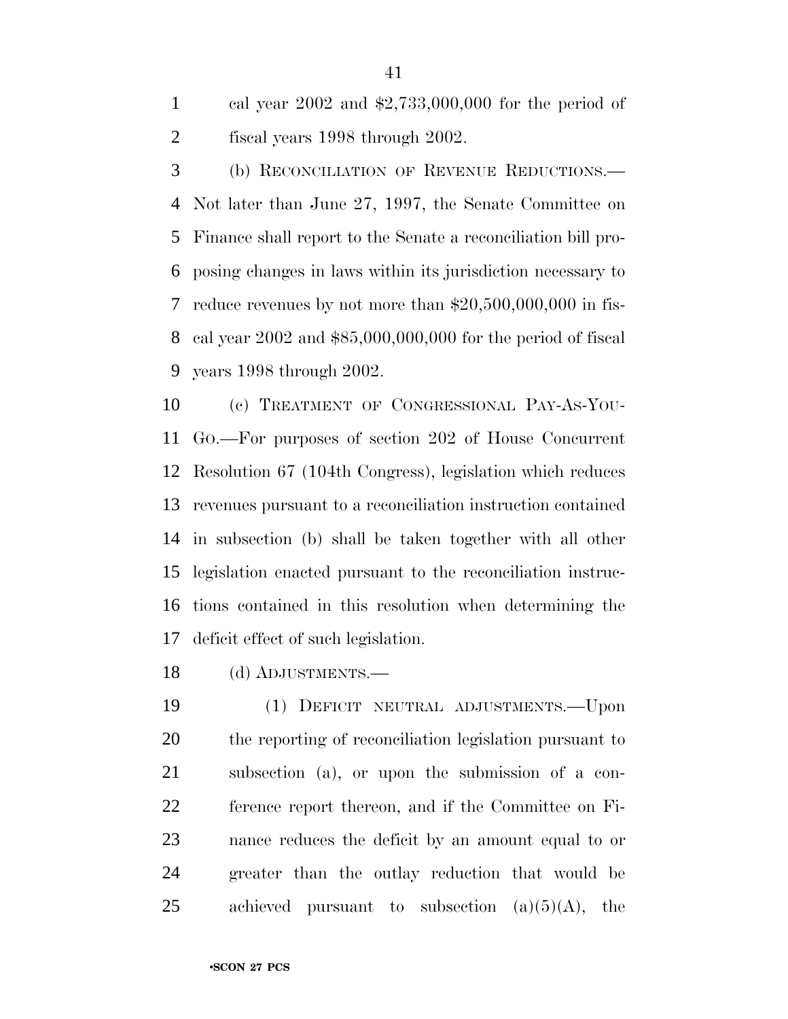cal year 2002 and \$2,733,000,000 for the period of fiscal years 1998 through 2002.

 (b) RECONCILIATION OF REVENUE REDUCTIONS.— Not later than June 27, 1997, the Senate Committee on Finance shall report to the Senate a reconciliation bill pro- posing changes in laws within its jurisdiction necessary to reduce revenues by not more than \$20,500,000,000 in fis- cal year 2002 and \$85,000,000,000 for the period of fiscal years 1998 through 2002.

 (c) TREATMENT OF CONGRESSIONAL PAY-AS-YOU- GO.—For purposes of section 202 of House Concurrent Resolution 67 (104th Congress), legislation which reduces revenues pursuant to a reconciliation instruction contained in subsection (b) shall be taken together with all other legislation enacted pursuant to the reconciliation instruc- tions contained in this resolution when determining the deficit effect of such legislation.

(d) ADJUSTMENTS.—

 (1) DEFICIT NEUTRAL ADJUSTMENTS.—Upon the reporting of reconciliation legislation pursuant to subsection (a), or upon the submission of a con- ference report thereon, and if the Committee on Fi- nance reduces the deficit by an amount equal to or greater than the outlay reduction that would be 25 achieved pursuant to subsection  $(a)(5)(A)$ , the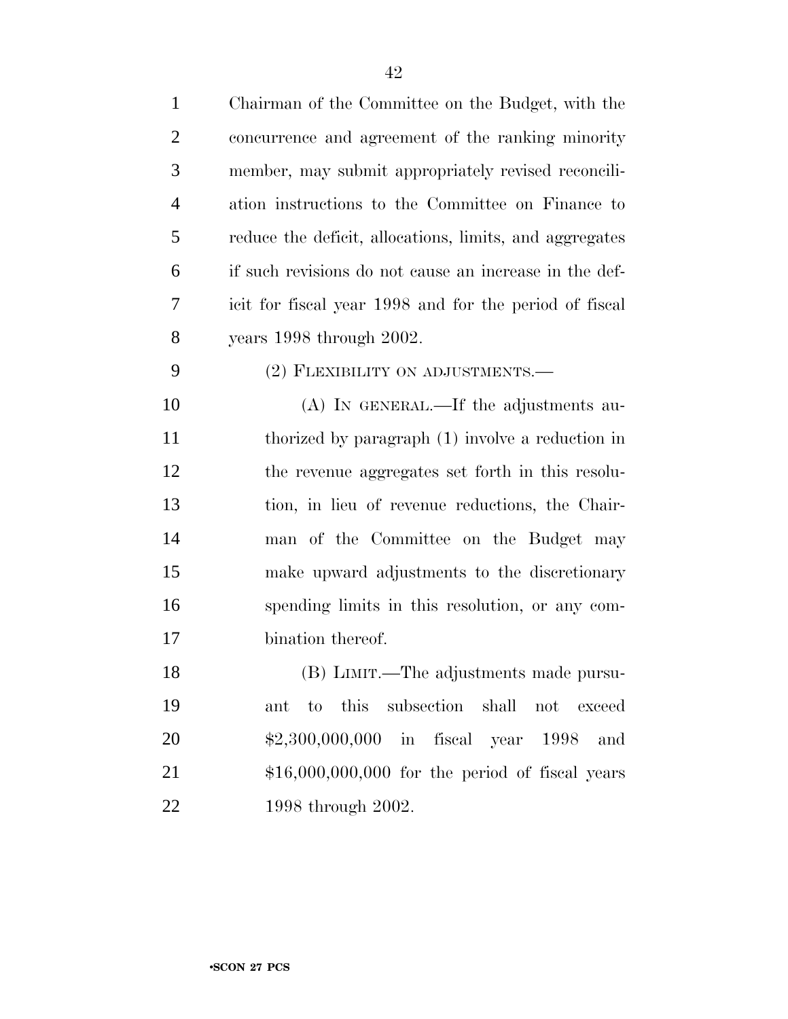| $\mathbf{1}$   | Chairman of the Committee on the Budget, with the         |
|----------------|-----------------------------------------------------------|
| $\overline{2}$ | concurrence and agreement of the ranking minority         |
| 3              | member, may submit appropriately revised reconcili-       |
| $\overline{4}$ | ation instructions to the Committee on Finance to         |
| 5              | reduce the deficit, allocations, limits, and aggregates   |
| 6              | if such revisions do not cause an increase in the def-    |
| 7              | icit for fiscal year 1998 and for the period of fiscal    |
| 8              | years 1998 through 2002.                                  |
| 9              | (2) FLEXIBILITY ON ADJUSTMENTS.—                          |
| 10             | (A) IN GENERAL.—If the adjustments au-                    |
| 11             | thorized by paragraph (1) involve a reduction in          |
| 12             | the revenue aggregates set forth in this resolu-          |
| 13             | tion, in lieu of revenue reductions, the Chair-           |
| 14             | man of the Committee on the Budget may                    |
| 15             | make upward adjustments to the discretionary              |
| 16             | spending limits in this resolution, or any com-           |
| 17             | bination thereof.                                         |
| 18             | (B) LIMIT.—The adjustments made pursu-                    |
| 19             | this<br>subsection<br>shall<br>to<br>not<br>exceed<br>ant |
| 20             | \$2,300,000,000 in fiscal year 1998<br>and                |
| 21             | $$16,000,000,000$ for the period of fiscal years          |
| 22             | 1998 through 2002.                                        |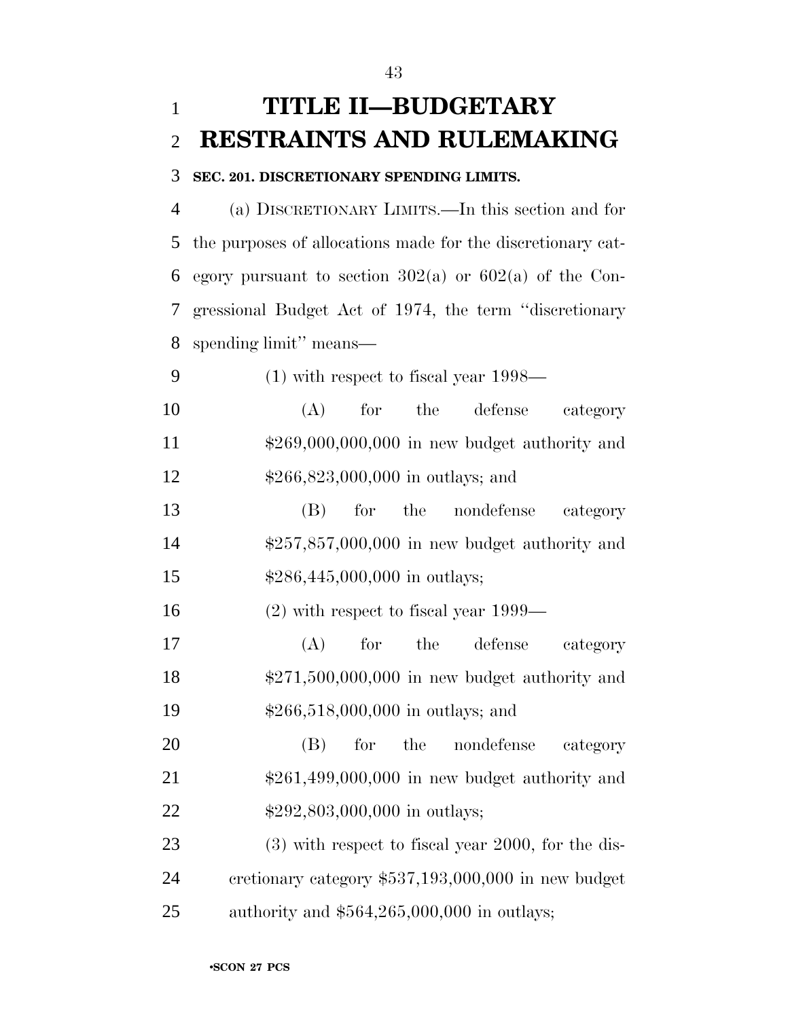## **TITLE II—BUDGETARY RESTRAINTS AND RULEMAKING**

#### **SEC. 201. DISCRETIONARY SPENDING LIMITS.**

 (a) DISCRETIONARY LIMITS.—In this section and for the purposes of allocations made for the discretionary cat-6 egory pursuant to section  $302(a)$  or  $602(a)$  of the Con- gressional Budget Act of 1974, the term ''discretionary spending limit'' means—

(1) with respect to fiscal year 1998—

 (A) for the defense category \$269,000,000,000 in new budget authority and \$266,823,000,000 in outlays; and

 (B) for the nondefense category \$257,857,000,000 in new budget authority and 15  $$286,445,000,000$  in outlays;

(2) with respect to fiscal year 1999—

 (A) for the defense category \$271,500,000,000 in new budget authority and \$266,518,000,000 in outlays; and

 (B) for the nondefense category \$261,499,000,000 in new budget authority and 22 \$292,803,000,000 in outlays;

 (3) with respect to fiscal year 2000, for the dis- cretionary category \$537,193,000,000 in new budget authority and \$564,265,000,000 in outlays;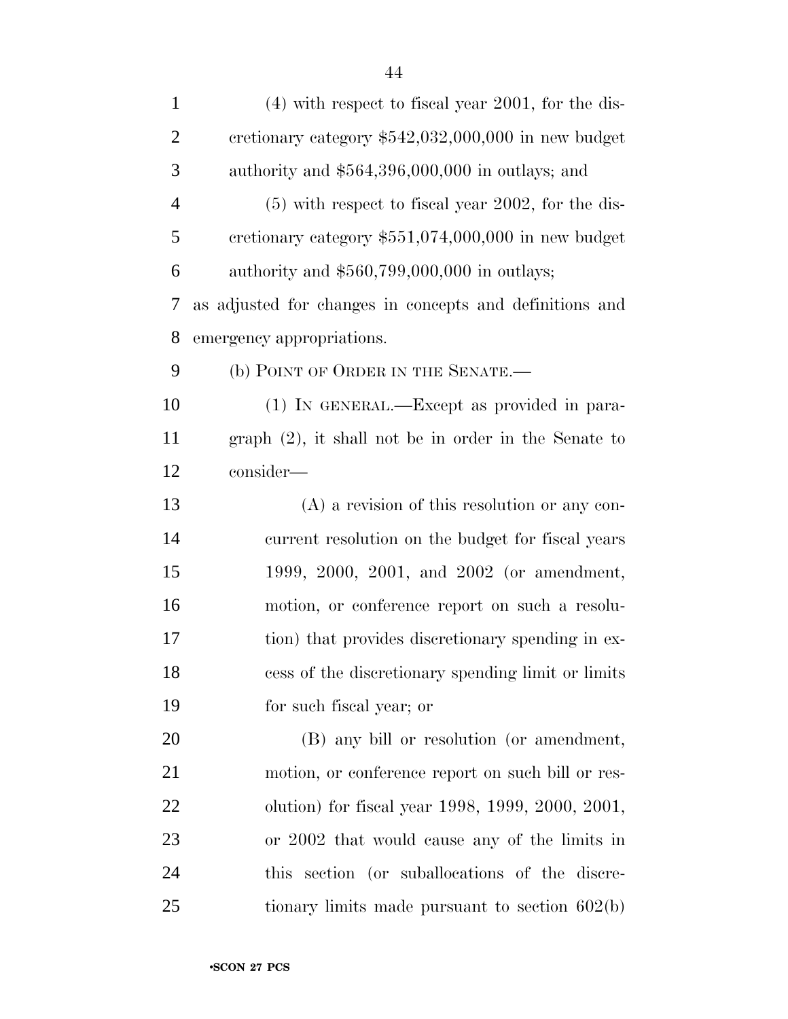| $\mathbf{1}$   | $(4)$ with respect to fiscal year 2001, for the dis-    |
|----------------|---------------------------------------------------------|
| $\overline{2}$ | cretionary category $$542,032,000,000$ in new budget    |
| $\mathfrak{Z}$ | authority and $$564,396,000,000$ in outlays; and        |
| $\overline{4}$ | $(5)$ with respect to fiscal year 2002, for the dis-    |
| 5              | cretionary category $$551,074,000,000$ in new budget    |
| 6              | authority and $$560,799,000,000$ in outlays;            |
| 7              | as adjusted for changes in concepts and definitions and |
| 8              | emergency appropriations.                               |
| 9              | (b) POINT OF ORDER IN THE SENATE.-                      |
| 10             | (1) IN GENERAL.—Except as provided in para-             |
| 11             | $graph (2)$ , it shall not be in order in the Senate to |
| 12             | consider-                                               |
| 13             | $(A)$ a revision of this resolution or any con-         |
| 14             | current resolution on the budget for fiscal years       |
| 15             | 1999, 2000, 2001, and 2002 (or amendment,               |
| 16             | motion, or conference report on such a resolu-          |
| 17             | tion) that provides discretionary spending in ex-       |
| 18             | cess of the discretionary spending limit or limits      |
| 19             | for such fiscal year; or                                |
| 20             | (B) any bill or resolution (or amendment,               |
| 21             | motion, or conference report on such bill or res-       |
| 22             | olution) for fiscal year 1998, 1999, 2000, 2001,        |
| 23             | or 2002 that would cause any of the limits in           |
| 24             | this section (or suballocations of the discre-          |
| 25             | tionary limits made pursuant to section $602(b)$        |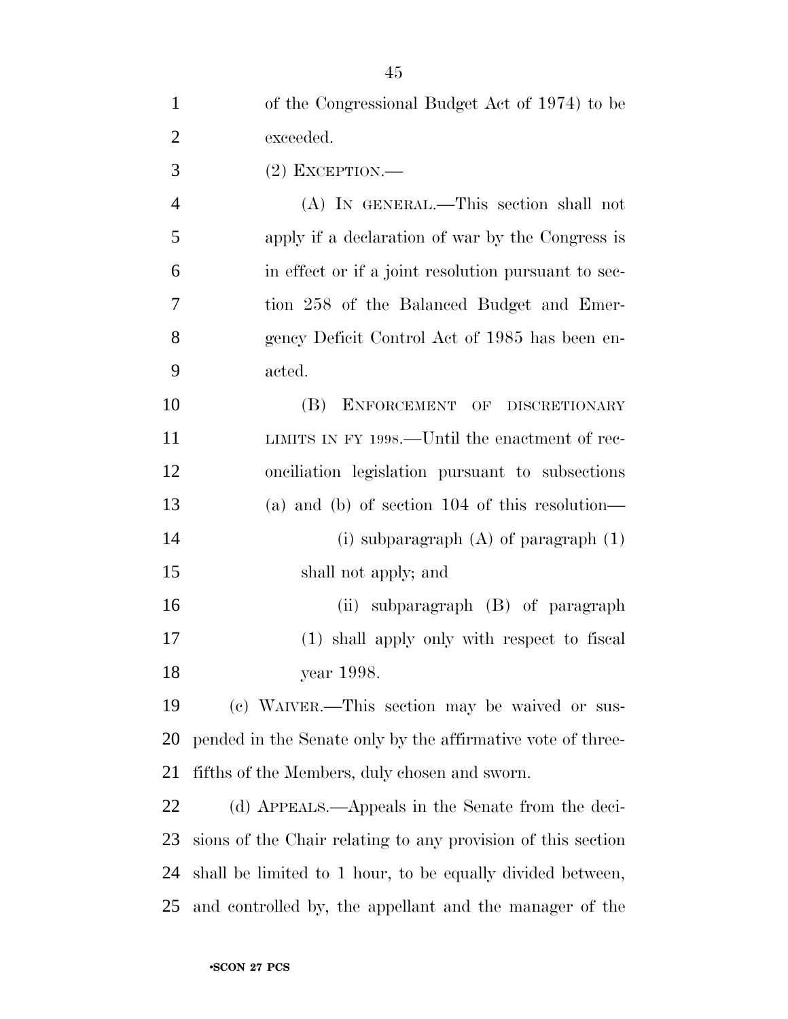| $\mathbf{1}$   | of the Congressional Budget Act of 1974) to be               |
|----------------|--------------------------------------------------------------|
| $\overline{2}$ | exceeded.                                                    |
| 3              | $(2)$ EXCEPTION.—                                            |
| $\overline{4}$ | (A) IN GENERAL.—This section shall not                       |
| 5              | apply if a declaration of war by the Congress is             |
| 6              | in effect or if a joint resolution pursuant to sec-          |
| 7              | tion 258 of the Balanced Budget and Emer-                    |
| 8              | gency Deficit Control Act of 1985 has been en-               |
| 9              | acted.                                                       |
| 10             | (B)<br>ENFORCEMENT OF DISCRETIONARY                          |
| 11             | LIMITS IN FY 1998.—Until the enactment of rec-               |
| 12             | onciliation legislation pursuant to subsections              |
| 13             | (a) and (b) of section $104$ of this resolution—             |
| 14             | (i) subparagraph $(A)$ of paragraph $(1)$                    |
| 15             | shall not apply; and                                         |
| 16             | (ii) subparagraph (B) of paragraph                           |
| 17             | (1) shall apply only with respect to fiscal                  |
| 18             | year 1998.                                                   |
| 19             | (c) WAIVER.—This section may be waived or sus-               |
| 20             | pended in the Senate only by the affirmative vote of three-  |
| 21             | fifths of the Members, duly chosen and sworn.                |
| 22             | (d) APPEALS.—Appeals in the Senate from the deci-            |
| 23             | sions of the Chair relating to any provision of this section |
| 24             | shall be limited to 1 hour, to be equally divided between,   |
| 25             | and controlled by, the appellant and the manager of the      |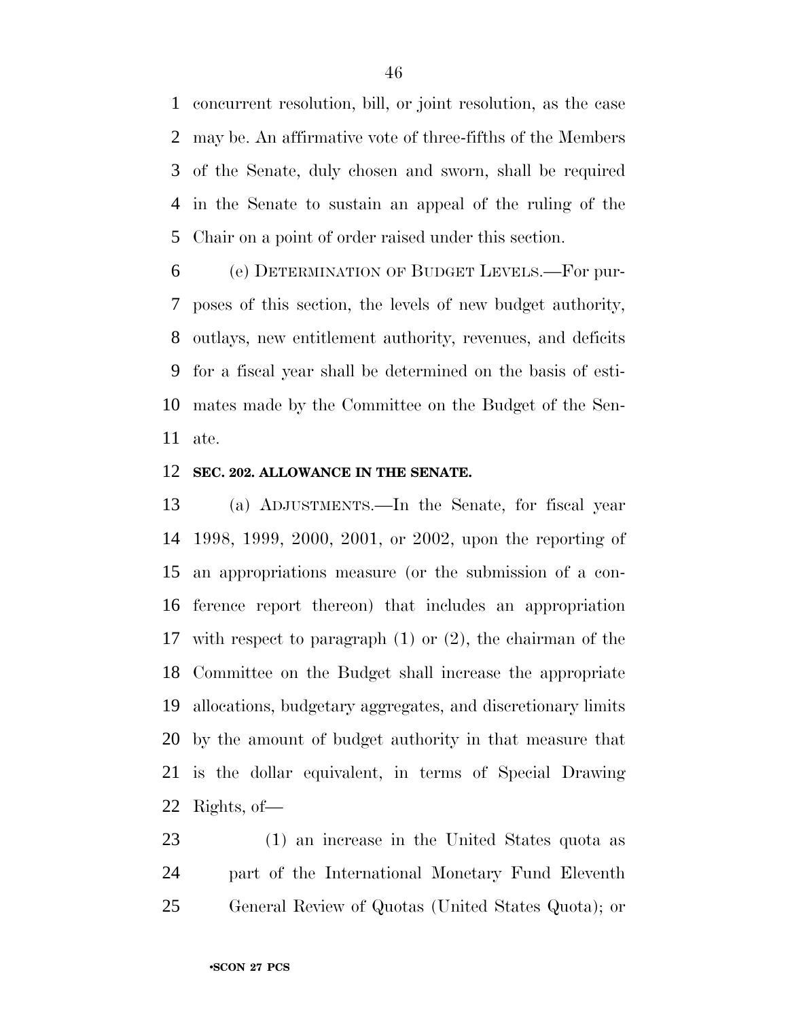concurrent resolution, bill, or joint resolution, as the case may be. An affirmative vote of three-fifths of the Members of the Senate, duly chosen and sworn, shall be required in the Senate to sustain an appeal of the ruling of the Chair on a point of order raised under this section.

 (e) DETERMINATION OF BUDGET LEVELS.—For pur- poses of this section, the levels of new budget authority, outlays, new entitlement authority, revenues, and deficits for a fiscal year shall be determined on the basis of esti- mates made by the Committee on the Budget of the Sen-ate.

#### **SEC. 202. ALLOWANCE IN THE SENATE.**

 (a) ADJUSTMENTS.—In the Senate, for fiscal year 1998, 1999, 2000, 2001, or 2002, upon the reporting of an appropriations measure (or the submission of a con- ference report thereon) that includes an appropriation with respect to paragraph (1) or (2), the chairman of the Committee on the Budget shall increase the appropriate allocations, budgetary aggregates, and discretionary limits by the amount of budget authority in that measure that is the dollar equivalent, in terms of Special Drawing Rights, of—

 (1) an increase in the United States quota as part of the International Monetary Fund Eleventh General Review of Quotas (United States Quota); or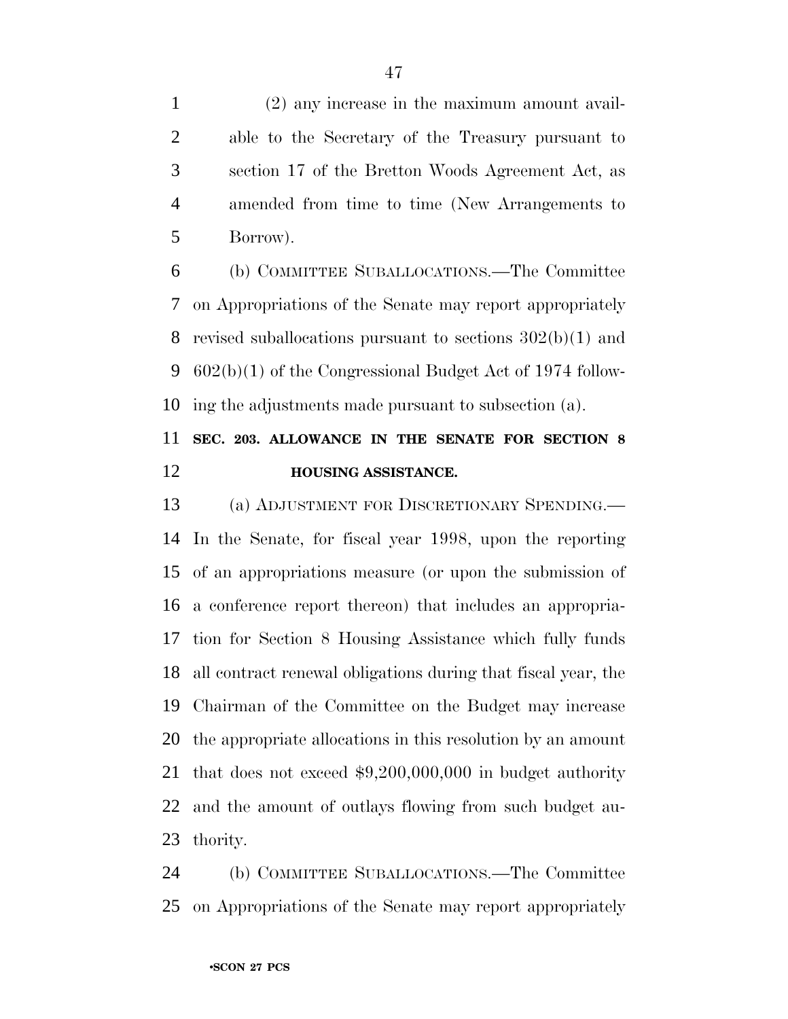(2) any increase in the maximum amount avail- able to the Secretary of the Treasury pursuant to section 17 of the Bretton Woods Agreement Act, as amended from time to time (New Arrangements to Borrow).

 (b) COMMITTEE SUBALLOCATIONS.—The Committee on Appropriations of the Senate may report appropriately revised suballocations pursuant to sections 302(b)(1) and 602(b)(1) of the Congressional Budget Act of 1974 follow-ing the adjustments made pursuant to subsection (a).

### **SEC. 203. ALLOWANCE IN THE SENATE FOR SECTION 8 HOUSING ASSISTANCE.**

 (a) ADJUSTMENT FOR DISCRETIONARY SPENDING.— In the Senate, for fiscal year 1998, upon the reporting of an appropriations measure (or upon the submission of a conference report thereon) that includes an appropria- tion for Section 8 Housing Assistance which fully funds all contract renewal obligations during that fiscal year, the Chairman of the Committee on the Budget may increase the appropriate allocations in this resolution by an amount that does not exceed \$9,200,000,000 in budget authority and the amount of outlays flowing from such budget au-thority.

 (b) COMMITTEE SUBALLOCATIONS.—The Committee on Appropriations of the Senate may report appropriately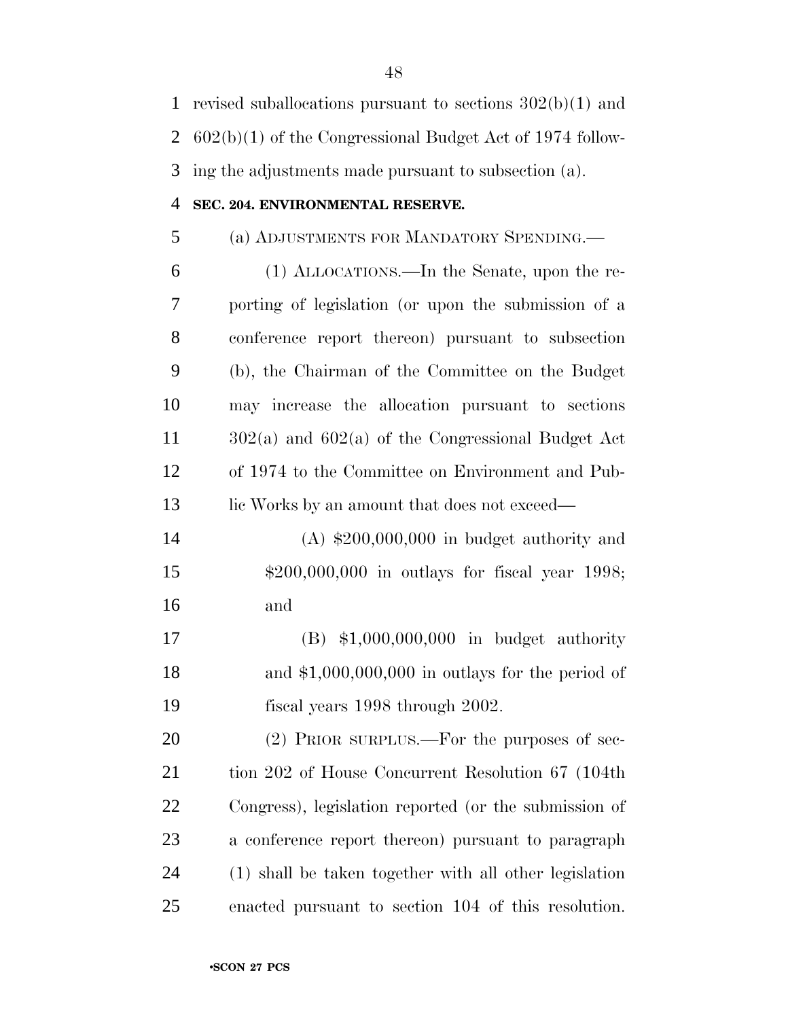| $\mathbf{1}$ | revised suballocations pursuant to sections $302(b)(1)$ and |
|--------------|-------------------------------------------------------------|
| 2            | $602(b)(1)$ of the Congressional Budget Act of 1974 follow- |
| 3            | ing the adjustments made pursuant to subsection (a).        |
| 4            | SEC. 204. ENVIRONMENTAL RESERVE.                            |
| 5            | (a) ADJUSTMENTS FOR MANDATORY SPENDING.                     |
| 6            | (1) ALLOCATIONS.—In the Senate, upon the re-                |
| 7            | porting of legislation (or upon the submission of a         |
| 8            | conference report thereon) pursuant to subsection           |
| 9            | (b), the Chairman of the Committee on the Budget            |
| 10           | may increase the allocation pursuant to sections            |
| 11           | $302(a)$ and $602(a)$ of the Congressional Budget Act       |
| 12           | of 1974 to the Committee on Environment and Pub-            |
| 13           | lic Works by an amount that does not exceed—                |
| 14           | $(A)$ \$200,000,000 in budget authority and                 |
| 15           | $$200,000,000$ in outlays for fiscal year 1998;             |
| 16           | and                                                         |
| 17           | $(B)$ \$1,000,000,000 in budget authority                   |
| 18           | and $$1,000,000,000$ in outlays for the period of           |
| 19           | fiscal years 1998 through 2002.                             |
| 20           | (2) PRIOR SURPLUS.—For the purposes of sec-                 |
| 21           | tion 202 of House Concurrent Resolution 67 (104th)          |
| 22           | Congress), legislation reported (or the submission of       |
| 23           | a conference report thereon) pursuant to paragraph          |

 (1) shall be taken together with all other legislation enacted pursuant to section 104 of this resolution.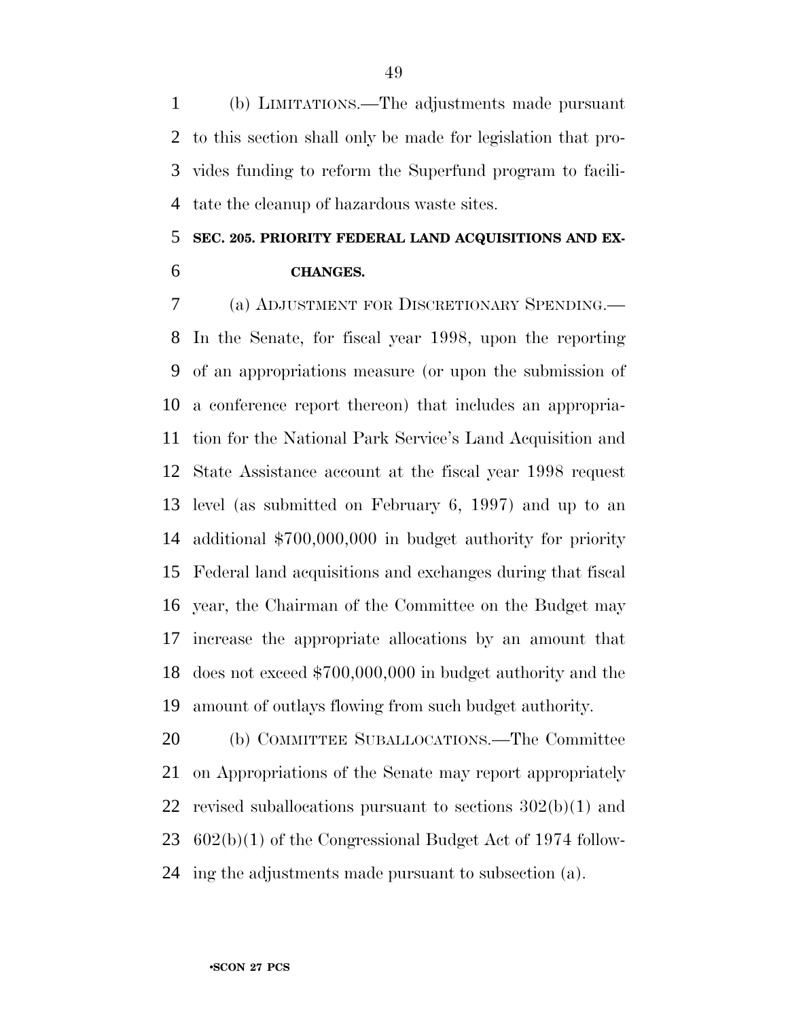(b) LIMITATIONS.—The adjustments made pursuant to this section shall only be made for legislation that pro- vides funding to reform the Superfund program to facili-tate the cleanup of hazardous waste sites.

# **SEC. 205. PRIORITY FEDERAL LAND ACQUISITIONS AND EX-**

**CHANGES.**

 (a) ADJUSTMENT FOR DISCRETIONARY SPENDING.— In the Senate, for fiscal year 1998, upon the reporting of an appropriations measure (or upon the submission of a conference report thereon) that includes an appropria- tion for the National Park Service's Land Acquisition and State Assistance account at the fiscal year 1998 request level (as submitted on February 6, 1997) and up to an additional \$700,000,000 in budget authority for priority Federal land acquisitions and exchanges during that fiscal year, the Chairman of the Committee on the Budget may increase the appropriate allocations by an amount that does not exceed \$700,000,000 in budget authority and the amount of outlays flowing from such budget authority.

 (b) COMMITTEE SUBALLOCATIONS.—The Committee on Appropriations of the Senate may report appropriately revised suballocations pursuant to sections 302(b)(1) and 602(b)(1) of the Congressional Budget Act of 1974 follow-ing the adjustments made pursuant to subsection (a).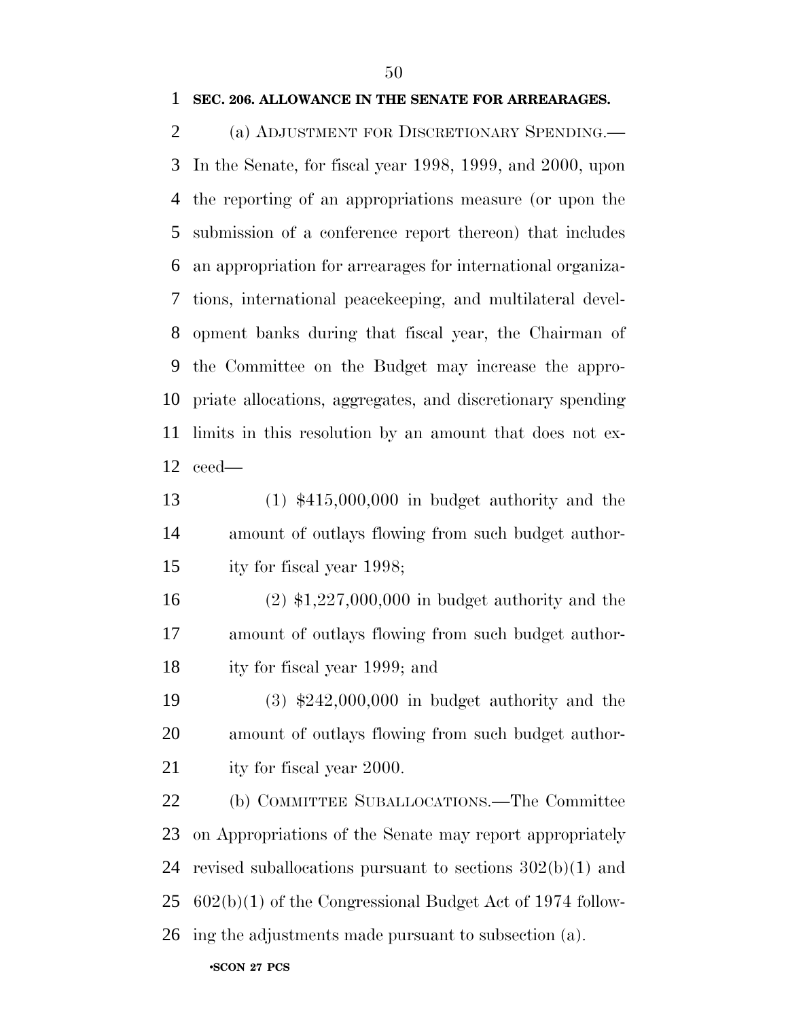(a) ADJUSTMENT FOR DISCRETIONARY SPENDING.— In the Senate, for fiscal year 1998, 1999, and 2000, upon the reporting of an appropriations measure (or upon the submission of a conference report thereon) that includes an appropriation for arrearages for international organiza- tions, international peacekeeping, and multilateral devel- opment banks during that fiscal year, the Chairman of the Committee on the Budget may increase the appro- priate allocations, aggregates, and discretionary spending limits in this resolution by an amount that does not ex-ceed—

 (1) \$415,000,000 in budget authority and the amount of outlays flowing from such budget author-ity for fiscal year 1998;

 (2) \$1,227,000,000 in budget authority and the amount of outlays flowing from such budget author-ity for fiscal year 1999; and

 (3) \$242,000,000 in budget authority and the amount of outlays flowing from such budget author-21 ity for fiscal year 2000.

 (b) COMMITTEE SUBALLOCATIONS.—The Committee on Appropriations of the Senate may report appropriately revised suballocations pursuant to sections 302(b)(1) and 602(b)(1) of the Congressional Budget Act of 1974 follow-ing the adjustments made pursuant to subsection (a).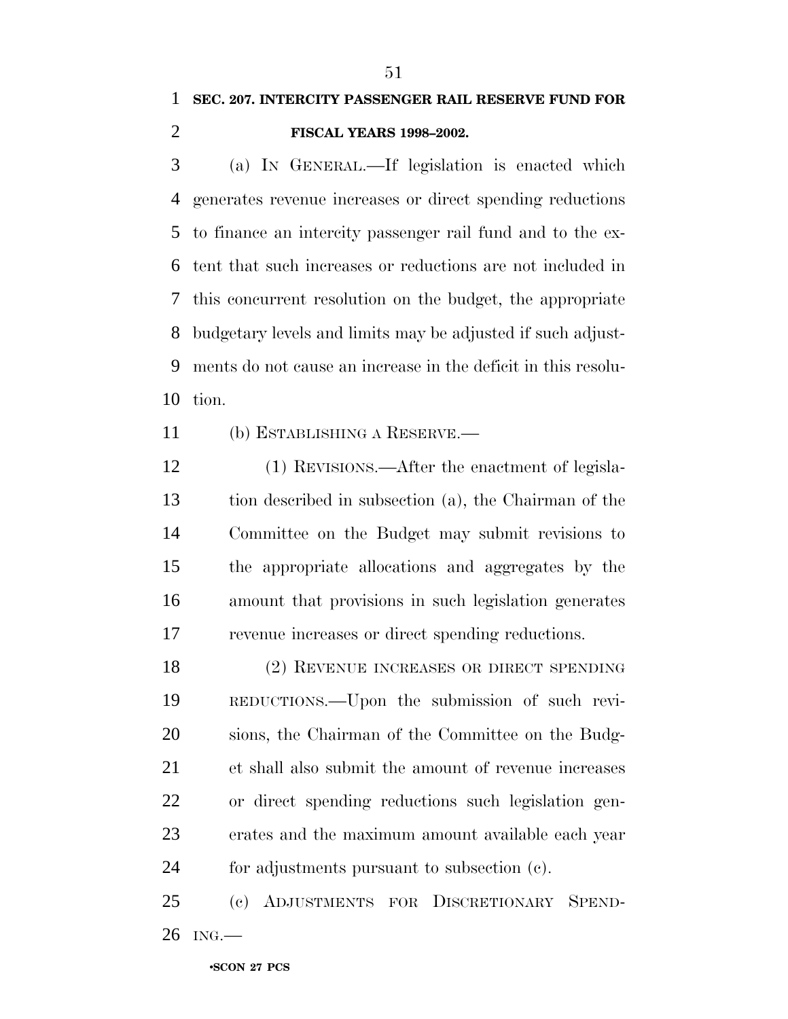### **SEC. 207. INTERCITY PASSENGER RAIL RESERVE FUND FOR FISCAL YEARS 1998–2002.**

 (a) IN GENERAL.—If legislation is enacted which generates revenue increases or direct spending reductions to finance an intercity passenger rail fund and to the ex- tent that such increases or reductions are not included in this concurrent resolution on the budget, the appropriate budgetary levels and limits may be adjusted if such adjust- ments do not cause an increase in the deficit in this resolu-tion.

(b) ESTABLISHING A RESERVE.—

 (1) REVISIONS.—After the enactment of legisla- tion described in subsection (a), the Chairman of the Committee on the Budget may submit revisions to the appropriate allocations and aggregates by the amount that provisions in such legislation generates revenue increases or direct spending reductions.

 (2) REVENUE INCREASES OR DIRECT SPENDING REDUCTIONS.—Upon the submission of such revi- sions, the Chairman of the Committee on the Budg- et shall also submit the amount of revenue increases or direct spending reductions such legislation gen- erates and the maximum amount available each year for adjustments pursuant to subsection (c).

 (c) ADJUSTMENTS FOR DISCRETIONARY SPEND-ING.—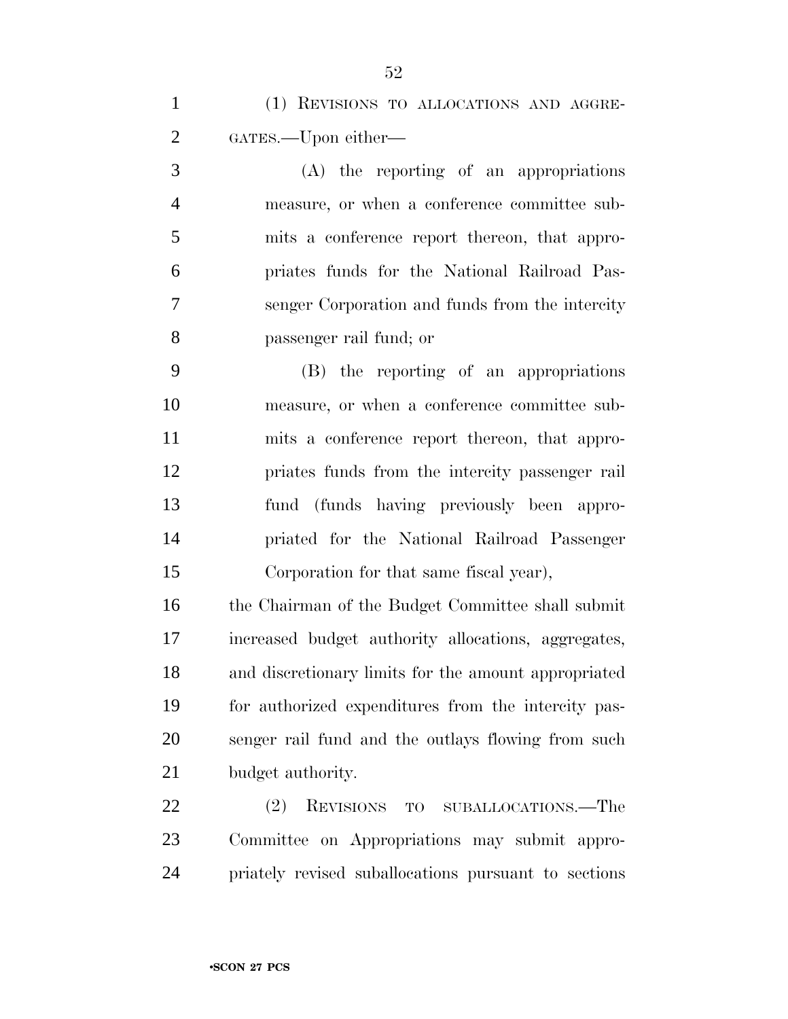(A) the reporting of an appropriations measure, or when a conference committee sub- mits a conference report thereon, that appro- priates funds for the National Railroad Pas- senger Corporation and funds from the intercity passenger rail fund; or

 (B) the reporting of an appropriations measure, or when a conference committee sub- mits a conference report thereon, that appro- priates funds from the intercity passenger rail fund (funds having previously been appro- priated for the National Railroad Passenger Corporation for that same fiscal year),

 the Chairman of the Budget Committee shall submit increased budget authority allocations, aggregates, and discretionary limits for the amount appropriated for authorized expenditures from the intercity pas- senger rail fund and the outlays flowing from such budget authority.

 (2) REVISIONS TO SUBALLOCATIONS.—The Committee on Appropriations may submit appro-priately revised suballocations pursuant to sections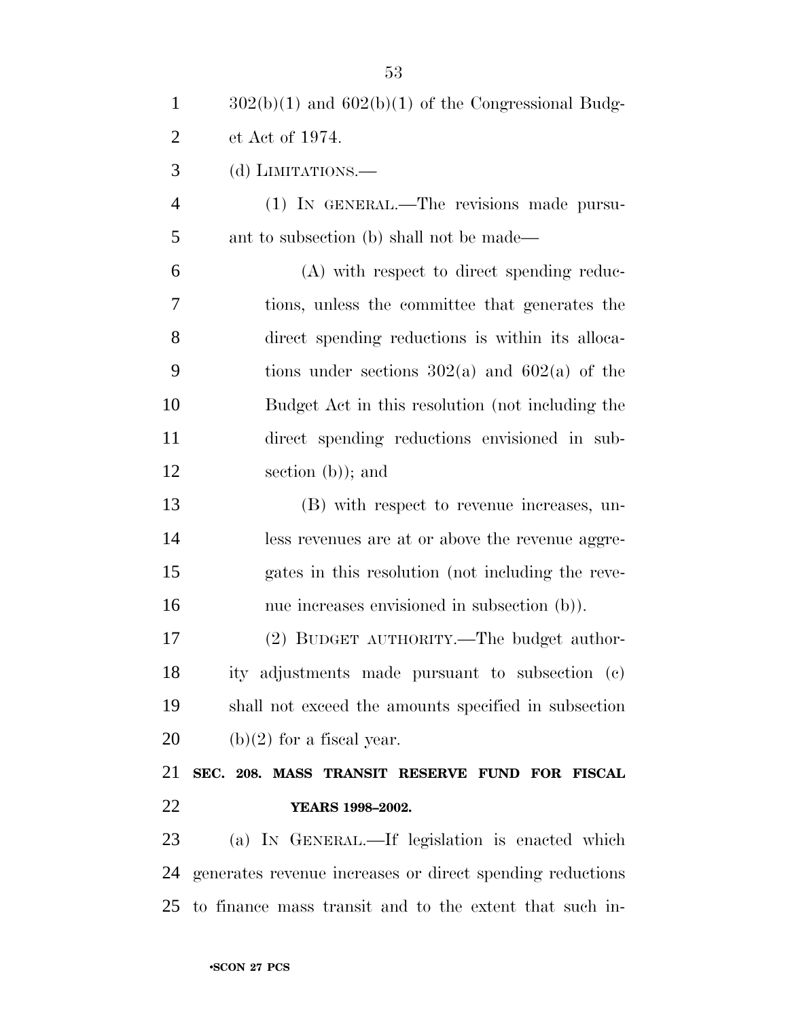| $\mathbf{1}$   | $302(b)(1)$ and $602(b)(1)$ of the Congressional Budg-     |
|----------------|------------------------------------------------------------|
| $\overline{2}$ | et Act of 1974.                                            |
| 3              | (d) LIMITATIONS.                                           |
| $\overline{4}$ | (1) IN GENERAL.—The revisions made pursu-                  |
| 5              | ant to subsection (b) shall not be made—                   |
| 6              | (A) with respect to direct spending reduc-                 |
| 7              | tions, unless the committee that generates the             |
| 8              | direct spending reductions is within its alloca-           |
| 9              | tions under sections $302(a)$ and $602(a)$ of the          |
| 10             | Budget Act in this resolution (not including the           |
| 11             | direct spending reductions envisioned in sub-              |
| 12             | section $(b)$ ; and                                        |
| 13             | (B) with respect to revenue increases, un-                 |
| 14             | less revenues are at or above the revenue aggre-           |
| 15             | gates in this resolution (not including the reve-          |
| 16             | nue increases envisioned in subsection (b)).               |
| 17             | (2) BUDGET AUTHORITY.—The budget author-                   |
| 18             | ity adjustments made pursuant to subsection (c)            |
| 19             | shall not exceed the amounts specified in subsection       |
| 20             | $(b)(2)$ for a fiscal year.                                |
| 21             | SEC. 208. MASS TRANSIT RESERVE FUND FOR FISCAL             |
| 22             | YEARS 1998-2002.                                           |
| 23             | (a) IN GENERAL.—If legislation is enacted which            |
| 24             | generates revenue increases or direct spending reductions  |
|                | 25 to finance mass transit and to the extent that such in- |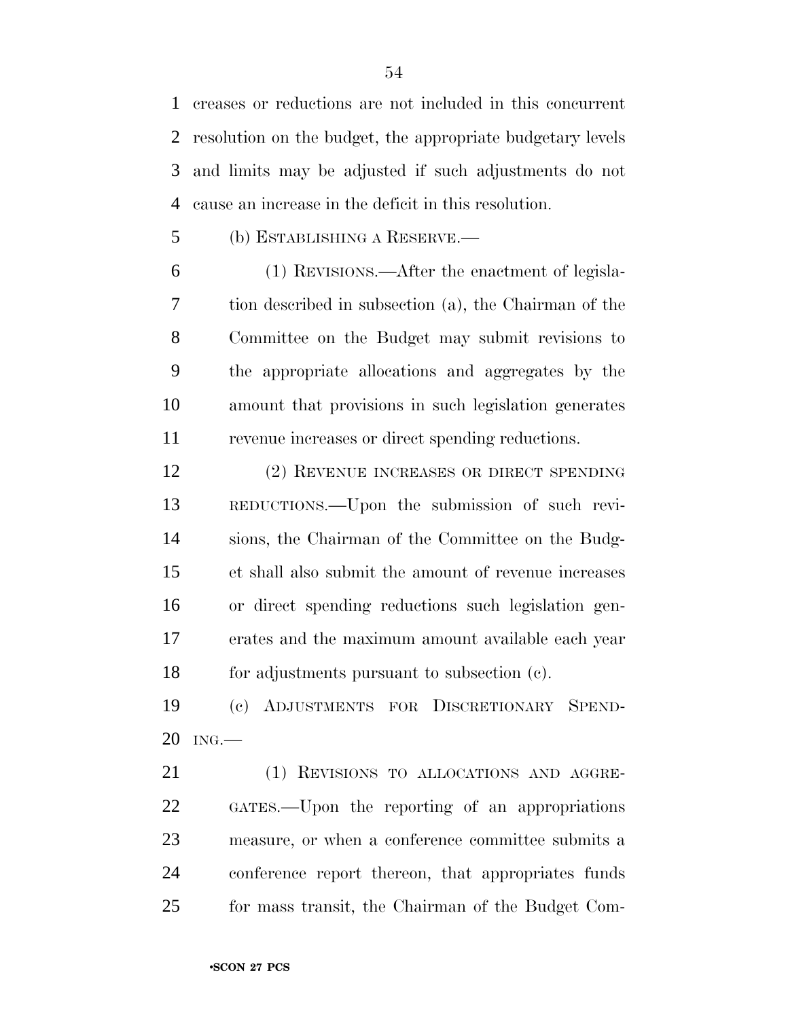creases or reductions are not included in this concurrent resolution on the budget, the appropriate budgetary levels and limits may be adjusted if such adjustments do not cause an increase in the deficit in this resolution.

(b) ESTABLISHING A RESERVE.—

 (1) REVISIONS.—After the enactment of legisla- tion described in subsection (a), the Chairman of the Committee on the Budget may submit revisions to the appropriate allocations and aggregates by the amount that provisions in such legislation generates revenue increases or direct spending reductions.

 (2) REVENUE INCREASES OR DIRECT SPENDING REDUCTIONS.—Upon the submission of such revi- sions, the Chairman of the Committee on the Budg- et shall also submit the amount of revenue increases or direct spending reductions such legislation gen- erates and the maximum amount available each year for adjustments pursuant to subsection (c).

 (c) ADJUSTMENTS FOR DISCRETIONARY SPEND-ING.—

21 (1) REVISIONS TO ALLOCATIONS AND AGGRE- GATES.—Upon the reporting of an appropriations measure, or when a conference committee submits a conference report thereon, that appropriates funds for mass transit, the Chairman of the Budget Com-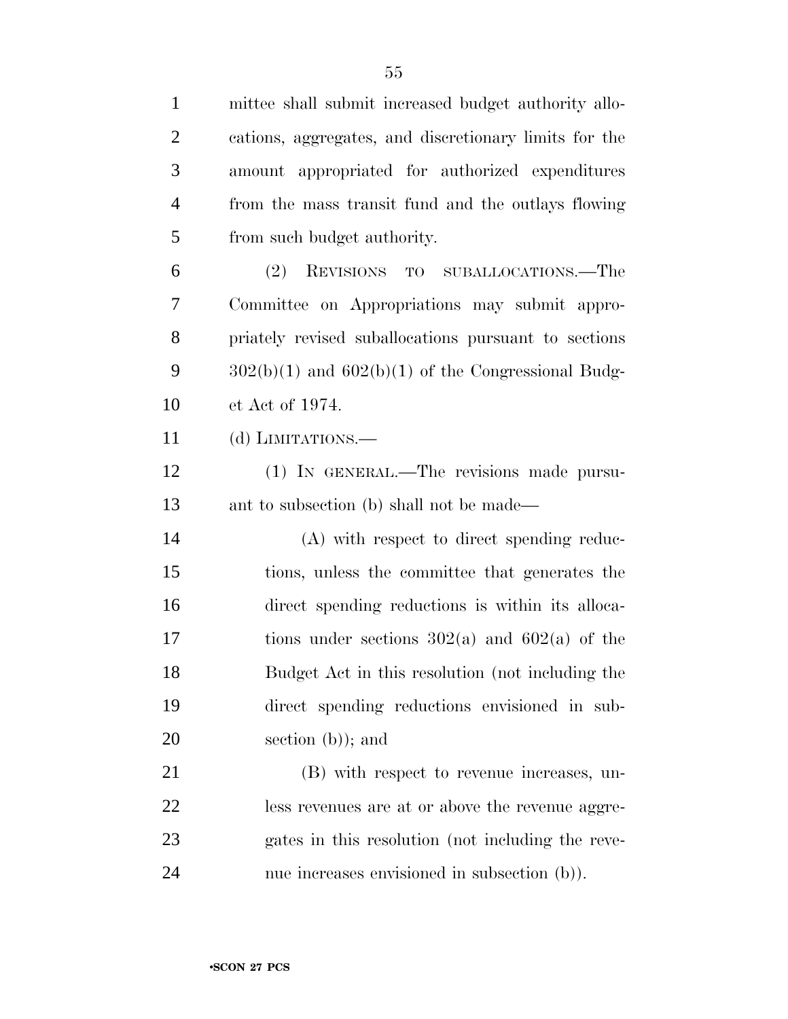| $\mathbf{1}$   | mittee shall submit increased budget authority allo-   |
|----------------|--------------------------------------------------------|
| $\overline{2}$ | cations, aggregates, and discretionary limits for the  |
| 3              | amount appropriated for authorized expenditures        |
| $\overline{4}$ | from the mass transit fund and the outlays flowing     |
| 5              | from such budget authority.                            |
| 6              | (2) REVISIONS TO SUBALLOCATIONS.—The                   |
| 7              | Committee on Appropriations may submit appro-          |
| 8              | priately revised suballocations pursuant to sections   |
| 9              | $302(b)(1)$ and $602(b)(1)$ of the Congressional Budg- |
| 10             | et Act of 1974.                                        |
| 11             | (d) LIMITATIONS.—                                      |
| 12             | (1) IN GENERAL.—The revisions made pursu-              |
| 13             | ant to subsection (b) shall not be made—               |
| 14             | (A) with respect to direct spending reduc-             |
| 15             | tions, unless the committee that generates the         |
| 16             | direct spending reductions is within its alloca-       |
| 17             | tions under sections $302(a)$ and $602(a)$ of the      |
| 18             | Budget Act in this resolution (not including the       |
| 19             | direct spending reductions envisioned in sub-          |
| 20             | section $(b)$ ; and                                    |
| 21             | (B) with respect to revenue increases, un-             |
| 22             | less revenues are at or above the revenue aggre-       |
| 23             | gates in this resolution (not including the reve-      |
| 24             | nue increases envisioned in subsection (b)).           |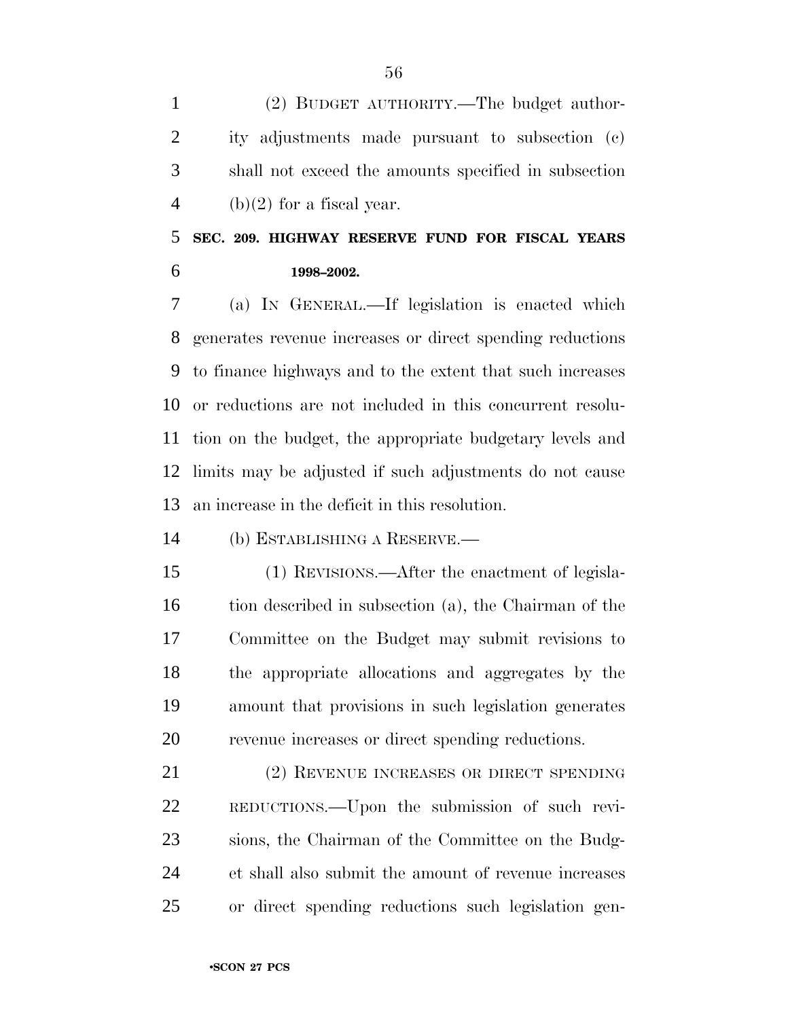(2) BUDGET AUTHORITY.—The budget author- ity adjustments made pursuant to subsection (c) shall not exceed the amounts specified in subsection 4 (b)(2) for a fiscal year.

 **SEC. 209. HIGHWAY RESERVE FUND FOR FISCAL YEARS 1998–2002.**

 (a) IN GENERAL.—If legislation is enacted which generates revenue increases or direct spending reductions to finance highways and to the extent that such increases or reductions are not included in this concurrent resolu- tion on the budget, the appropriate budgetary levels and limits may be adjusted if such adjustments do not cause an increase in the deficit in this resolution.

(b) ESTABLISHING A RESERVE.—

 (1) REVISIONS.—After the enactment of legisla- tion described in subsection (a), the Chairman of the Committee on the Budget may submit revisions to the appropriate allocations and aggregates by the amount that provisions in such legislation generates revenue increases or direct spending reductions.

 (2) REVENUE INCREASES OR DIRECT SPENDING REDUCTIONS.—Upon the submission of such revi- sions, the Chairman of the Committee on the Budg- et shall also submit the amount of revenue increases or direct spending reductions such legislation gen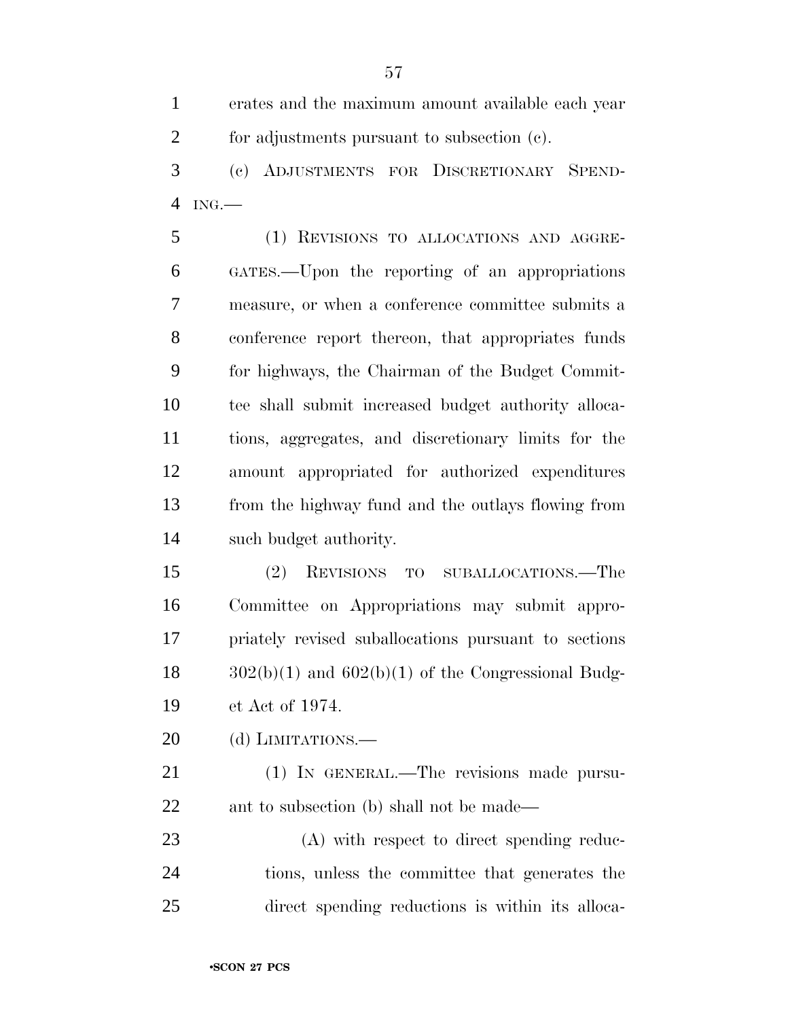erates and the maximum amount available each year for adjustments pursuant to subsection (c).

 (c) ADJUSTMENTS FOR DISCRETIONARY SPEND-ING.—

 (1) REVISIONS TO ALLOCATIONS AND AGGRE- GATES.—Upon the reporting of an appropriations measure, or when a conference committee submits a conference report thereon, that appropriates funds for highways, the Chairman of the Budget Commit- tee shall submit increased budget authority alloca- tions, aggregates, and discretionary limits for the amount appropriated for authorized expenditures from the highway fund and the outlays flowing from such budget authority.

 (2) REVISIONS TO SUBALLOCATIONS.—The Committee on Appropriations may submit appro- priately revised suballocations pursuant to sections  $18 \qquad \frac{302(b)(1)}{20}$  and  $\frac{602(b)(1)}{20}$  of the Congressional Budg-et Act of 1974.

20 (d) LIMITATIONS.—

 (1) IN GENERAL.—The revisions made pursu-ant to subsection (b) shall not be made—

 (A) with respect to direct spending reduc- tions, unless the committee that generates the direct spending reductions is within its alloca-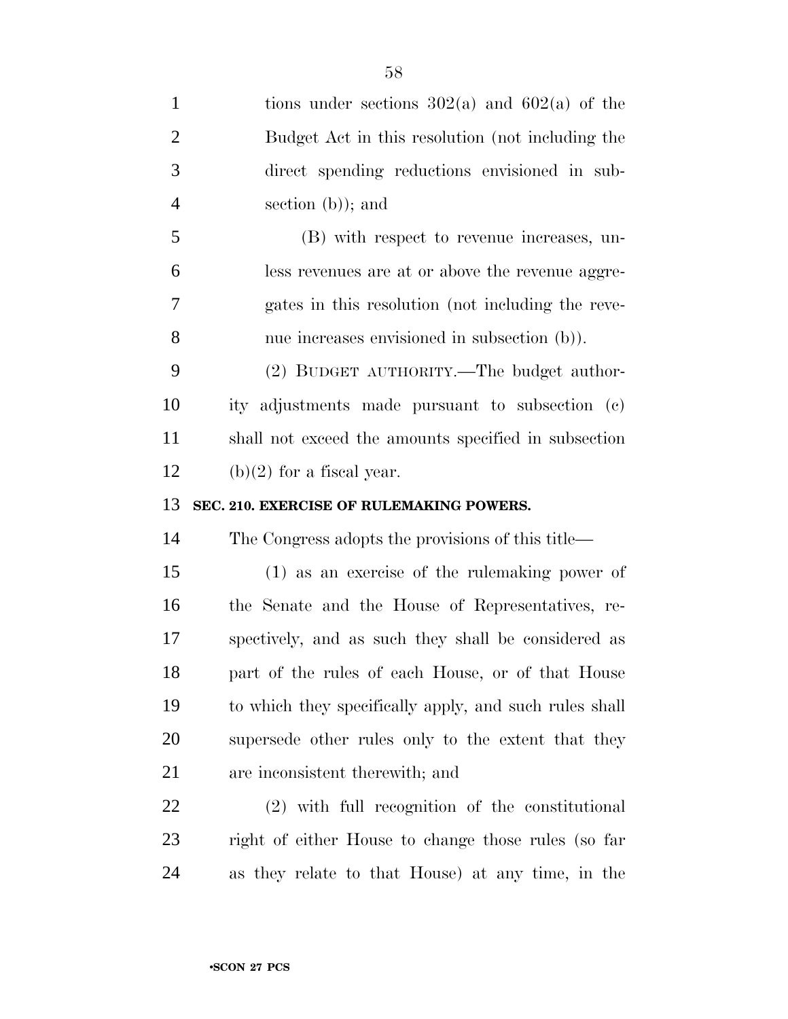| $\mathbf{1}$   | tions under sections $302(a)$ and $602(a)$ of the      |
|----------------|--------------------------------------------------------|
| $\overline{2}$ | Budget Act in this resolution (not including the       |
| 3              | direct spending reductions envisioned in sub-          |
| $\overline{4}$ | section $(b)$ ; and                                    |
| 5              | (B) with respect to revenue increases, un-             |
| 6              | less revenues are at or above the revenue aggre-       |
| 7              | gates in this resolution (not including the reve-      |
| 8              | nue increases envisioned in subsection (b)).           |
| 9              | (2) BUDGET AUTHORITY.—The budget author-               |
| 10             | ity adjustments made pursuant to subsection (c)        |
| 11             | shall not exceed the amounts specified in subsection   |
| 12             | $(b)(2)$ for a fiscal year.                            |
|                |                                                        |
| 13             | SEC. 210. EXERCISE OF RULEMAKING POWERS.               |
| 14             | The Congress adopts the provisions of this title—      |
| 15             | $(1)$ as an exercise of the rule making power of       |
| 16             | the Senate and the House of Representatives, re-       |
| 17             | spectively, and as such they shall be considered as    |
| 18             | part of the rules of each House, or of that House      |
| 19             | to which they specifically apply, and such rules shall |
| 20             | supersede other rules only to the extent that they     |
| 21             | are inconsistent therewith; and                        |
| 22             | (2) with full recognition of the constitutional        |
| 23             | right of either House to change those rules (so far    |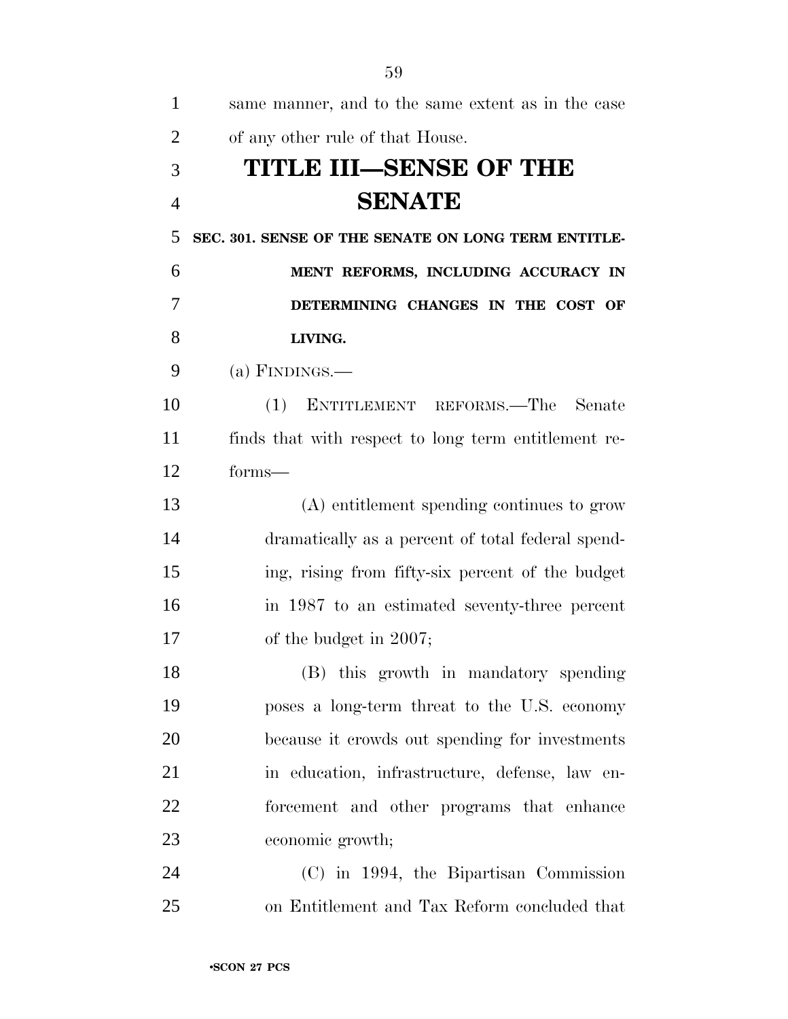| $\mathbf{1}$   | same manner, and to the same extent as in the case   |
|----------------|------------------------------------------------------|
| $\overline{2}$ | of any other rule of that House.                     |
| 3              | TITLE III—SENSE OF THE                               |
| $\overline{4}$ | <b>SENATE</b>                                        |
| 5              | SEC. 301. SENSE OF THE SENATE ON LONG TERM ENTITLE-  |
| 6              | MENT REFORMS, INCLUDING ACCURACY IN                  |
| 7              | DETERMINING CHANGES IN THE COST OF                   |
| 8              | LIVING.                                              |
| 9              | (a) FINDINGS.—                                       |
| 10             | ENTITLEMENT REFORMS.—The Senate<br>(1)               |
| 11             | finds that with respect to long term entitlement re- |
| 12             | forms—                                               |
| 13             | (A) entitlement spending continues to grow           |
| 14             | dramatically as a percent of total federal spend-    |
| 15             | ing, rising from fifty-six percent of the budget     |
| 16             | in 1987 to an estimated seventy-three percent        |
| 17             | of the budget in 2007;                               |
| 18             | (B) this growth in mandatory spending                |
| 19             | poses a long-term threat to the U.S. economy         |
| 20             | because it crowds out spending for investments       |
| 21             | in education, infrastructure, defense, law en-       |
| 22             | forcement and other programs that enhance            |
| 23             | economic growth;                                     |
| 24             | (C) in 1994, the Bipartisan Commission               |
| 25             | on Entitlement and Tax Reform concluded that         |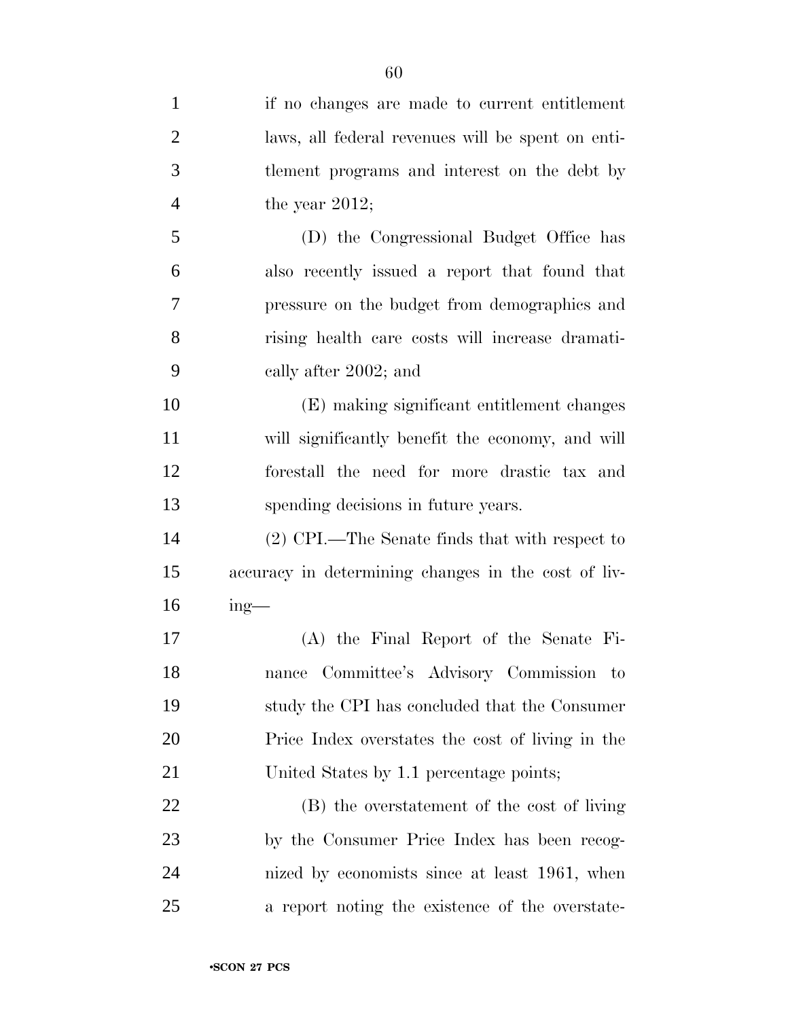| $\mathbf{1}$   | if no changes are made to current entitlement       |
|----------------|-----------------------------------------------------|
| $\overline{2}$ | laws, all federal revenues will be spent on enti-   |
| 3              | tlement programs and interest on the debt by        |
| $\overline{4}$ | the year $2012$ ;                                   |
| 5              | (D) the Congressional Budget Office has             |
| 6              | also recently issued a report that found that       |
| 7              | pressure on the budget from demographics and        |
| 8              | rising health care costs will increase dramati-     |
| 9              | cally after 2002; and                               |
| 10             | (E) making significant entitlement changes          |
| 11             | will significantly benefit the economy, and will    |
| 12             | forestall the need for more drastic tax and         |
| 13             | spending decisions in future years.                 |
| 14             | (2) CPI.—The Senate finds that with respect to      |
| 15             | accuracy in determining changes in the cost of liv- |
| 16             | $ing$ —                                             |
| 17             | (A) the Final Report of the Senate Fi-              |
| 18             | Committee's Advisory Commission to<br>nance         |
| 19             | study the CPI has concluded that the Consumer       |
| 20             | Price Index overstates the cost of living in the    |
| 21             | United States by 1.1 percentage points;             |
| 22             | (B) the overstatement of the cost of living         |
| 23             | by the Consumer Price Index has been recog-         |
| 24             | nized by economists since at least 1961, when       |
| 25             | a report noting the existence of the overstate-     |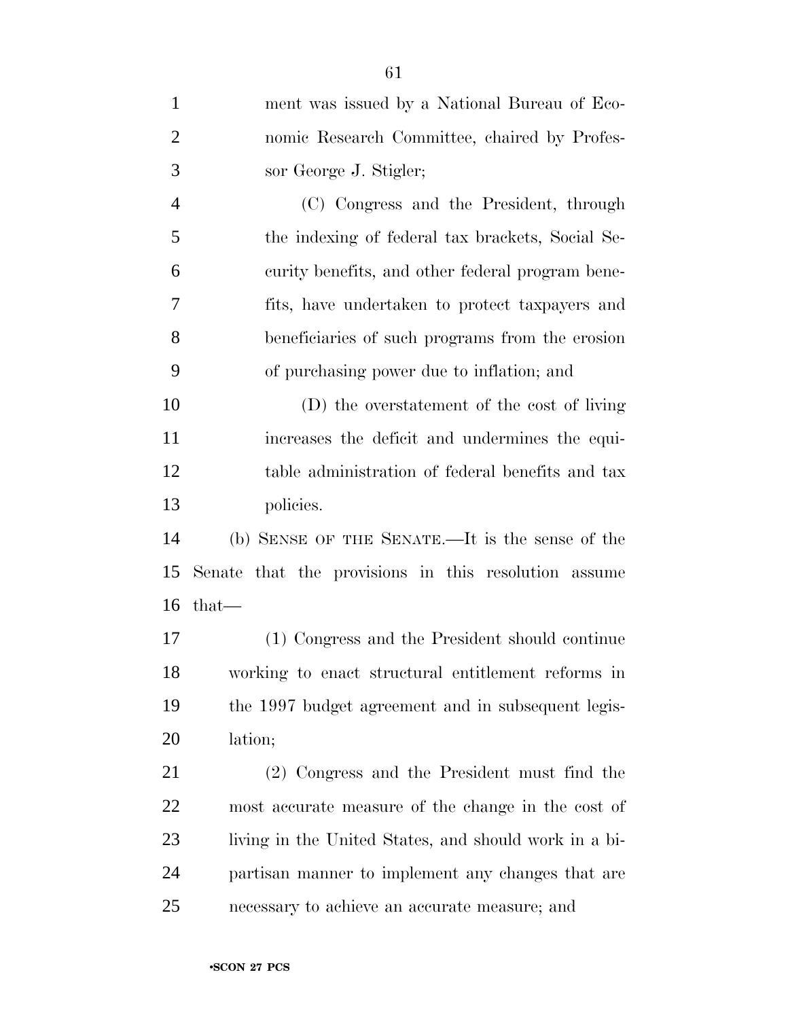| $\mathbf{1}$   | ment was issued by a National Bureau of Eco-          |
|----------------|-------------------------------------------------------|
| $\overline{2}$ | nomic Research Committee, chaired by Profes-          |
| 3              | sor George J. Stigler;                                |
| $\overline{4}$ | (C) Congress and the President, through               |
| 5              | the indexing of federal tax brackets, Social Se-      |
| 6              | curity benefits, and other federal program bene-      |
| 7              | fits, have undertaken to protect taxpayers and        |
| 8              | beneficiaries of such programs from the erosion       |
| 9              | of purchasing power due to inflation; and             |
| 10             | (D) the overstatement of the cost of living           |
| 11             | increases the deficit and undermines the equi-        |
| 12             | table administration of federal benefits and tax      |
| 13             | policies.                                             |
| 14             | (b) SENSE OF THE SENATE.—It is the sense of the       |
| 15             | Senate that the provisions in this resolution assume  |
| 16             | $that-$                                               |
| 17             | (1) Congress and the President should continue        |
| 18             | working to enact structural entitlement reforms in    |
| 19             | the 1997 budget agreement and in subsequent legis-    |
| 20             | lation;                                               |
| 21             | (2) Congress and the President must find the          |
| 22             | most accurate measure of the change in the cost of    |
| 23             | living in the United States, and should work in a bi- |
| 24             | partisan manner to implement any changes that are     |
| 25             | necessary to achieve an accurate measure; and         |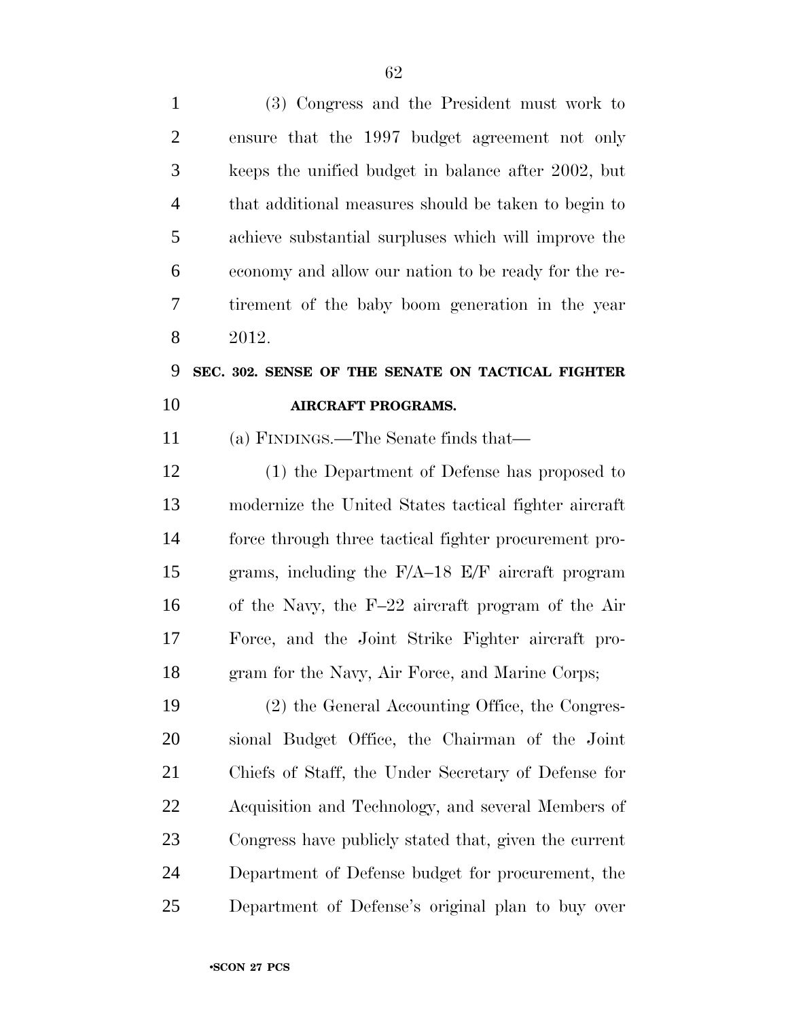| $\mathbf{1}$   | (3) Congress and the President must work to           |
|----------------|-------------------------------------------------------|
| $\overline{2}$ | ensure that the 1997 budget agreement not only        |
| 3              | keeps the unified budget in balance after 2002, but   |
| $\overline{4}$ | that additional measures should be taken to begin to  |
| 5              | achieve substantial surpluses which will improve the  |
| 6              | economy and allow our nation to be ready for the re-  |
| 7              | tirement of the baby boom generation in the year      |
| 8              | 2012.                                                 |
| 9              | SEC. 302. SENSE OF THE SENATE ON TACTICAL FIGHTER     |
| 10             | <b>AIRCRAFT PROGRAMS.</b>                             |
| 11             | (a) FINDINGS.—The Senate finds that—                  |
| 12             | (1) the Department of Defense has proposed to         |
| 13             | modernize the United States tactical fighter aircraft |
| 14             | force through three tactical fighter procurement pro- |
| 15             | grams, including the F/A-18 E/F aircraft program      |
| 16             | of the Navy, the F-22 aircraft program of the Air     |
| 17             | Force, and the Joint Strike Fighter aircraft pro-     |
| 18             | gram for the Navy, Air Force, and Marine Corps;       |
| 19             | (2) the General Accounting Office, the Congres-       |
| 20             | sional Budget Office, the Chairman of the Joint       |
| 21             | Chiefs of Staff, the Under Secretary of Defense for   |
| 22             | Acquisition and Technology, and several Members of    |
| 23             | Congress have publicly stated that, given the current |
| 24             | Department of Defense budget for procurement, the     |
| 25             | Department of Defense's original plan to buy over     |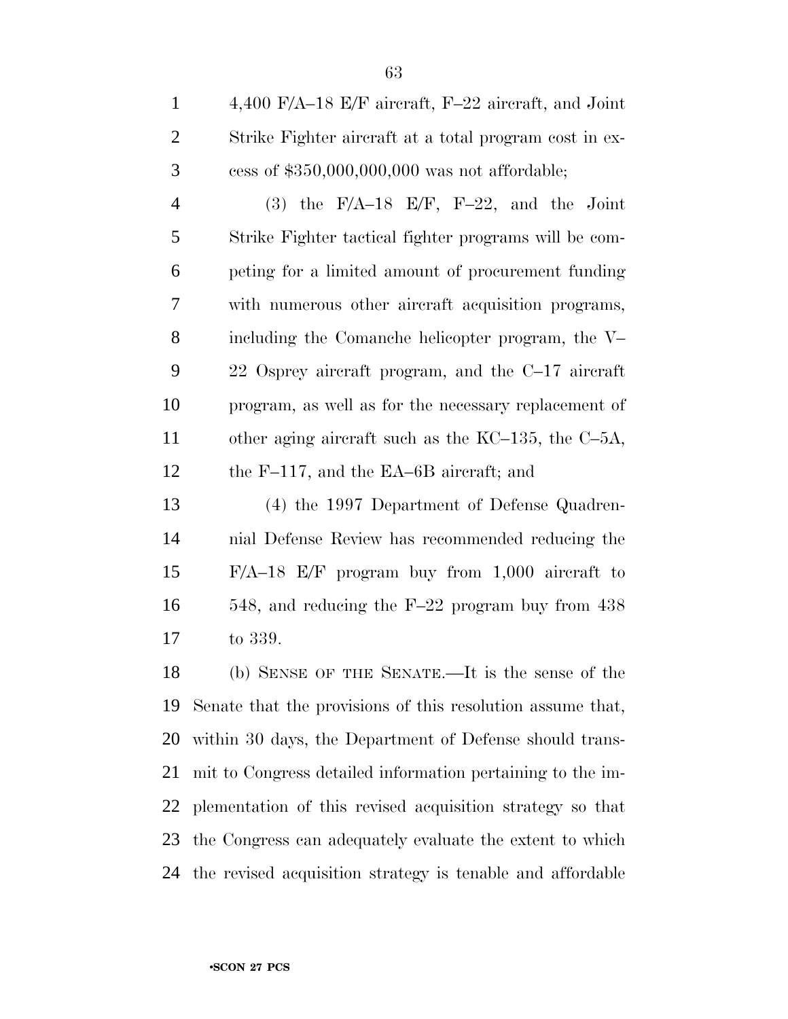4,400 F/A–18 E/F aircraft, F–22 aircraft, and Joint Strike Fighter aircraft at a total program cost in ex-cess of \$350,000,000,000 was not affordable;

4 (3) the F/A–18 E/F, F–22, and the Joint Strike Fighter tactical fighter programs will be com- peting for a limited amount of procurement funding with numerous other aircraft acquisition programs, including the Comanche helicopter program, the V– 22 Osprey aircraft program, and the C–17 aircraft program, as well as for the necessary replacement of other aging aircraft such as the KC–135, the C–5A, the F–117, and the EA–6B aircraft; and

 (4) the 1997 Department of Defense Quadren- nial Defense Review has recommended reducing the F/A–18 E/F program buy from 1,000 aircraft to 548, and reducing the F–22 program buy from 438 to 339.

 (b) SENSE OF THE SENATE.—It is the sense of the Senate that the provisions of this resolution assume that, within 30 days, the Department of Defense should trans- mit to Congress detailed information pertaining to the im- plementation of this revised acquisition strategy so that the Congress can adequately evaluate the extent to which the revised acquisition strategy is tenable and affordable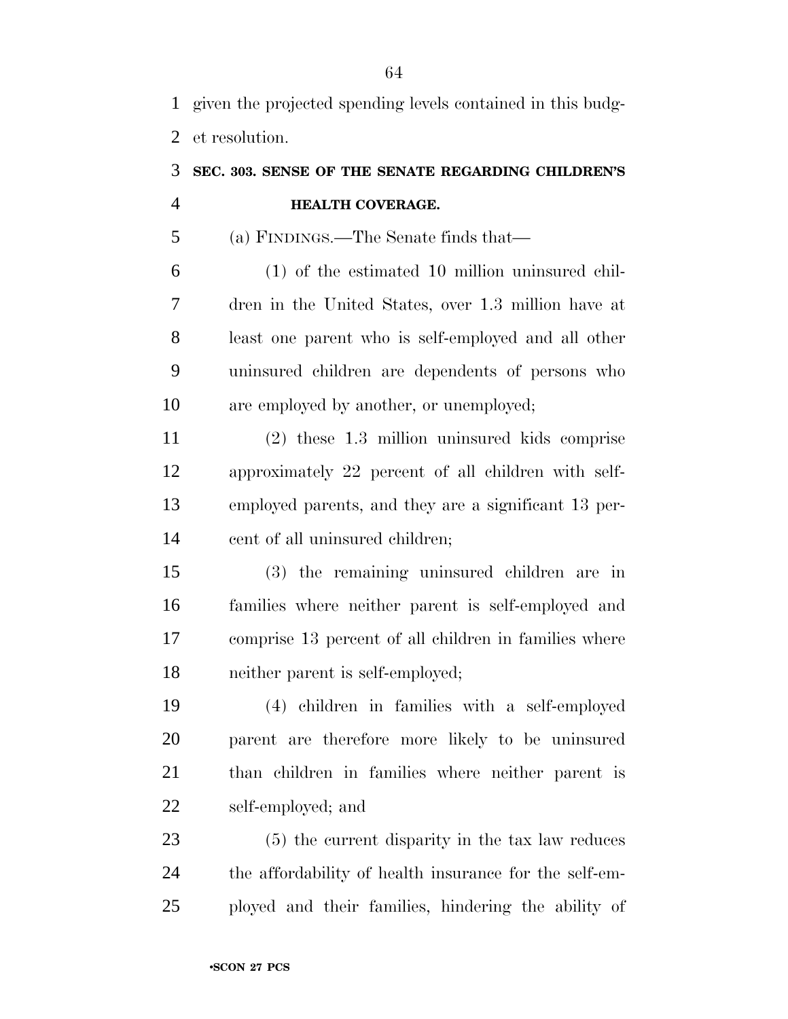given the projected spending levels contained in this budg-et resolution.

### **SEC. 303. SENSE OF THE SENATE REGARDING CHILDREN'S HEALTH COVERAGE.**

(a) FINDINGS.—The Senate finds that—

 (1) of the estimated 10 million uninsured chil- dren in the United States, over 1.3 million have at least one parent who is self-employed and all other uninsured children are dependents of persons who are employed by another, or unemployed;

 (2) these 1.3 million uninsured kids comprise approximately 22 percent of all children with self- employed parents, and they are a significant 13 per-cent of all uninsured children;

 (3) the remaining uninsured children are in families where neither parent is self-employed and comprise 13 percent of all children in families where neither parent is self-employed;

 (4) children in families with a self-employed parent are therefore more likely to be uninsured than children in families where neither parent is self-employed; and

 (5) the current disparity in the tax law reduces the affordability of health insurance for the self-em-ployed and their families, hindering the ability of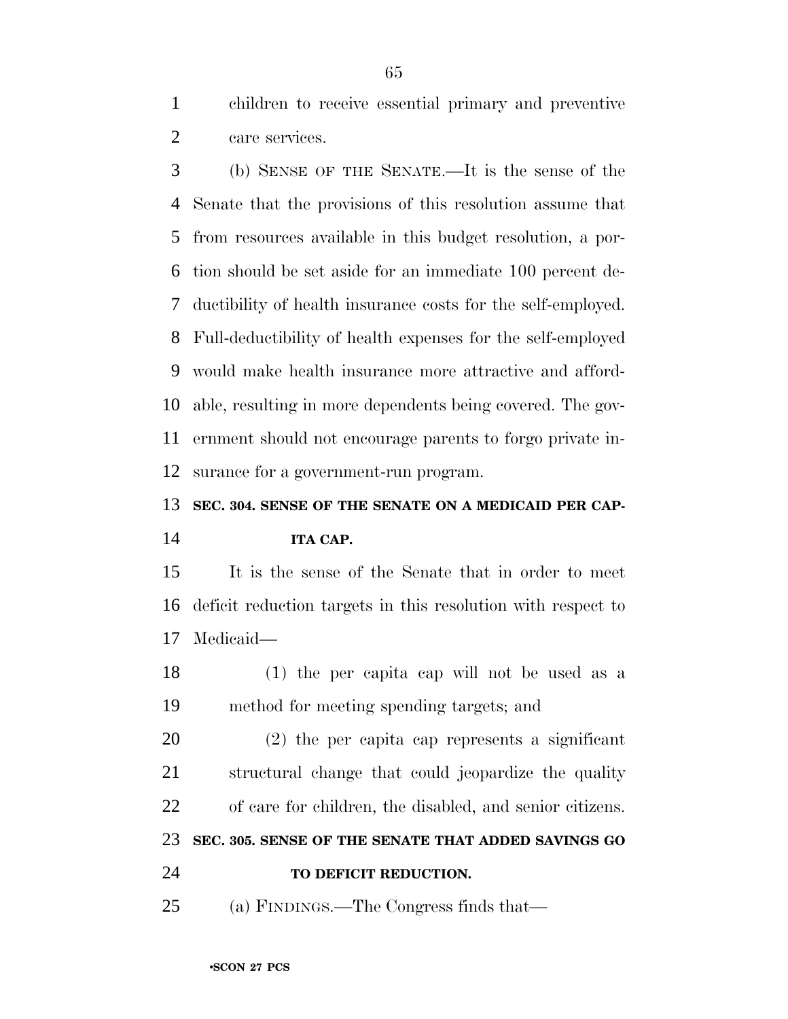children to receive essential primary and preventive care services.

 (b) SENSE OF THE SENATE.—It is the sense of the Senate that the provisions of this resolution assume that from resources available in this budget resolution, a por- tion should be set aside for an immediate 100 percent de- ductibility of health insurance costs for the self-employed. Full-deductibility of health expenses for the self-employed would make health insurance more attractive and afford- able, resulting in more dependents being covered. The gov- ernment should not encourage parents to forgo private in-surance for a government-run program.

**SEC. 304. SENSE OF THE SENATE ON A MEDICAID PER CAP-**

### **ITA CAP.**

 It is the sense of the Senate that in order to meet deficit reduction targets in this resolution with respect to Medicaid—

 (1) the per capita cap will not be used as a method for meeting spending targets; and

 (2) the per capita cap represents a significant structural change that could jeopardize the quality of care for children, the disabled, and senior citizens. **SEC. 305. SENSE OF THE SENATE THAT ADDED SAVINGS GO**

**TO DEFICIT REDUCTION.**

(a) FINDINGS.—The Congress finds that—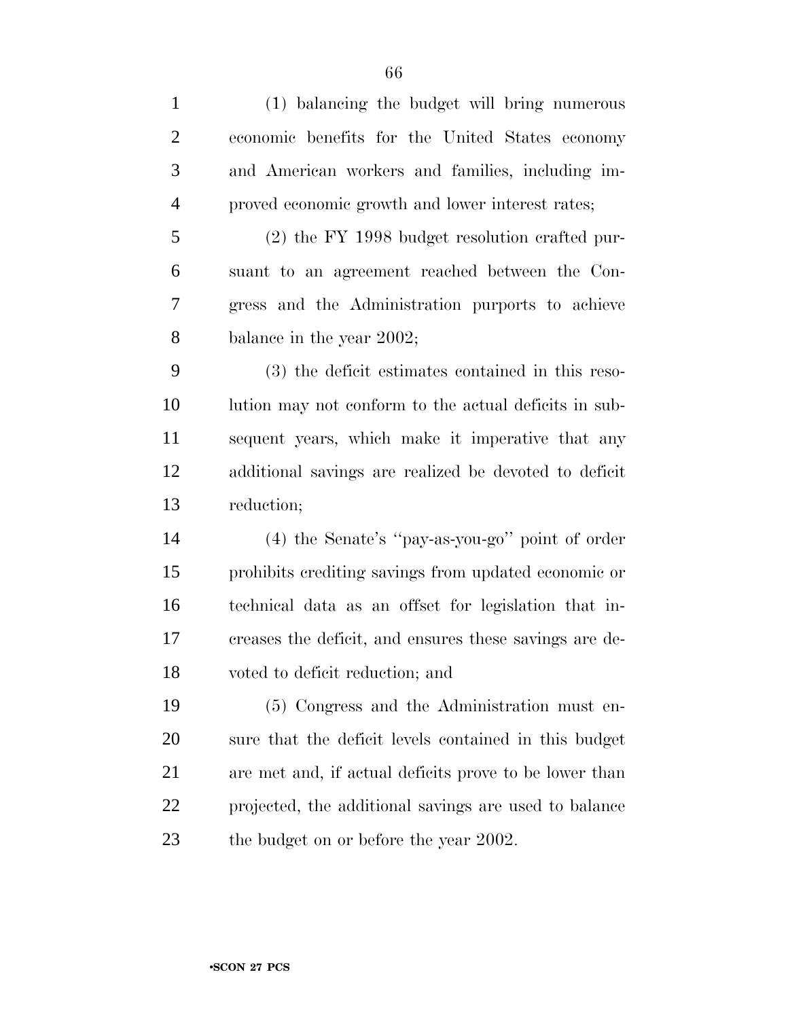| $\mathbf{1}$   | (1) balancing the budget will bring numerous           |
|----------------|--------------------------------------------------------|
| $\overline{2}$ | economic benefits for the United States economy        |
| 3              | and American workers and families, including im-       |
| $\overline{4}$ | proved economic growth and lower interest rates;       |
| 5              | $(2)$ the FY 1998 budget resolution crafted pur-       |
| 6              | suant to an agreement reached between the Con-         |
| 7              | gress and the Administration purports to achieve       |
| 8              | balance in the year 2002;                              |
| 9              | (3) the deficit estimates contained in this reso-      |
| 10             | lution may not conform to the actual deficits in sub-  |
| 11             | sequent years, which make it imperative that any       |
| 12             | additional savings are realized be devoted to deficit  |
| 13             | reduction;                                             |
| 14             | (4) the Senate's "pay-as-you-go" point of order        |
| 15             | prohibits crediting savings from updated economic or   |
| 16             | technical data as an offset for legislation that in-   |
| 17             | creases the deficit, and ensures these savings are de- |
| 18             | voted to deficit reduction; and                        |
| 19             | (5) Congress and the Administration must en-           |
| 20             | sure that the deficit levels contained in this budget  |
| 21             | are met and, if actual deficits prove to be lower than |
| 22             | projected, the additional savings are used to balance  |
| 23             | the budget on or before the year 2002.                 |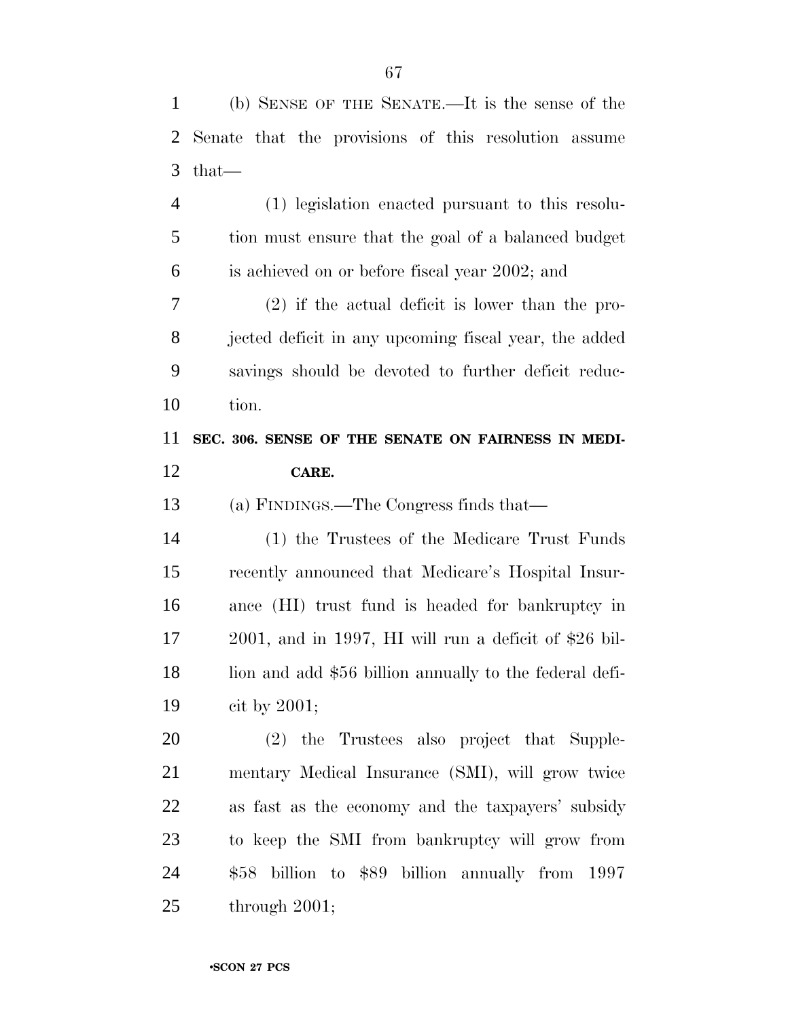| 2              | Senate that the provisions of this resolution assume     |
|----------------|----------------------------------------------------------|
| 3              | $that-$                                                  |
| $\overline{4}$ | (1) legislation enacted pursuant to this resolu-         |
| 5              | tion must ensure that the goal of a balanced budget      |
| 6              | is achieved on or before fiscal year 2002; and           |
| 7              | $(2)$ if the actual deficit is lower than the pro-       |
| 8              | jected deficit in any upcoming fiscal year, the added    |
| 9              | savings should be devoted to further deficit reduc-      |
| 10             | tion.                                                    |
| 11             | SEC. 306. SENSE OF THE SENATE ON FAIRNESS IN MEDI-       |
| 12             | CARE.                                                    |
| 13             | (a) FINDINGS.—The Congress finds that—                   |
| 14             | (1) the Trustees of the Medicare Trust Funds             |
| 15             | recently announced that Medicare's Hospital Insur-       |
| 16             | ance (HI) trust fund is headed for bankruptcy in         |
| 17             | $2001$ , and in 1997, HI will run a deficit of \$26 bil- |
| 18             | lion and add \$56 billion annually to the federal defi-  |
| 19             | cit by $2001$ ;                                          |
| 20             | (2) the Trustees also project that Supple-               |
| 21             | mentary Medical Insurance (SMI), will grow twice         |
| 22             | as fast as the economy and the taxpayers' subsidy        |
| 23             | to keep the SMI from bankruptcy will grow from           |
| 24             | \$58 billion to \$89 billion annually from 1997          |
|                |                                                          |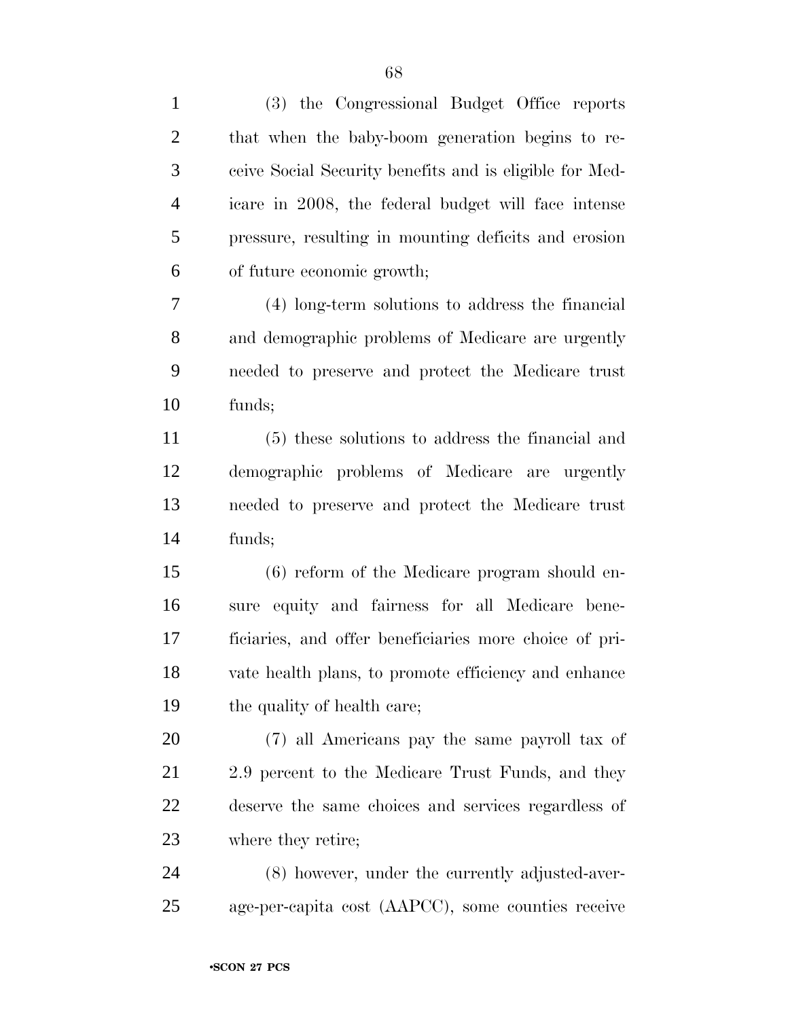| $\mathbf{1}$   | (3) the Congressional Budget Office reports             |
|----------------|---------------------------------------------------------|
| $\overline{2}$ | that when the baby-boom generation begins to re-        |
| 3              | ceive Social Security benefits and is eligible for Med- |
| $\overline{4}$ | icare in 2008, the federal budget will face intense     |
| 5              | pressure, resulting in mounting deficits and erosion    |
| 6              | of future economic growth;                              |
| 7              | (4) long-term solutions to address the financial        |
| 8              | and demographic problems of Medicare are urgently       |
| 9              | needed to preserve and protect the Medicare trust       |
| 10             | funds;                                                  |
| 11             | (5) these solutions to address the financial and        |
| 12             | demographic problems of Medicare are urgently           |
| 13             | needed to preserve and protect the Medicare trust       |
| 14             | funds;                                                  |
| 15             | (6) reform of the Medicare program should en-           |
| 16             | sure equity and fairness for all Medicare bene-         |
| 17             | ficiaries, and offer beneficiaries more choice of pri-  |
| 18             | vate health plans, to promote efficiency and enhance    |
| 19             | the quality of health care;                             |
| 20             | (7) all Americans pay the same payroll tax of           |
| 21             | 2.9 percent to the Medicare Trust Funds, and they       |
| 22             | deserve the same choices and services regardless of     |
| 23             | where they retire;                                      |
| 24             | (8) however, under the currently adjusted-aver-         |
| 25             | age-per-capita cost (AAPCC), some counties receive      |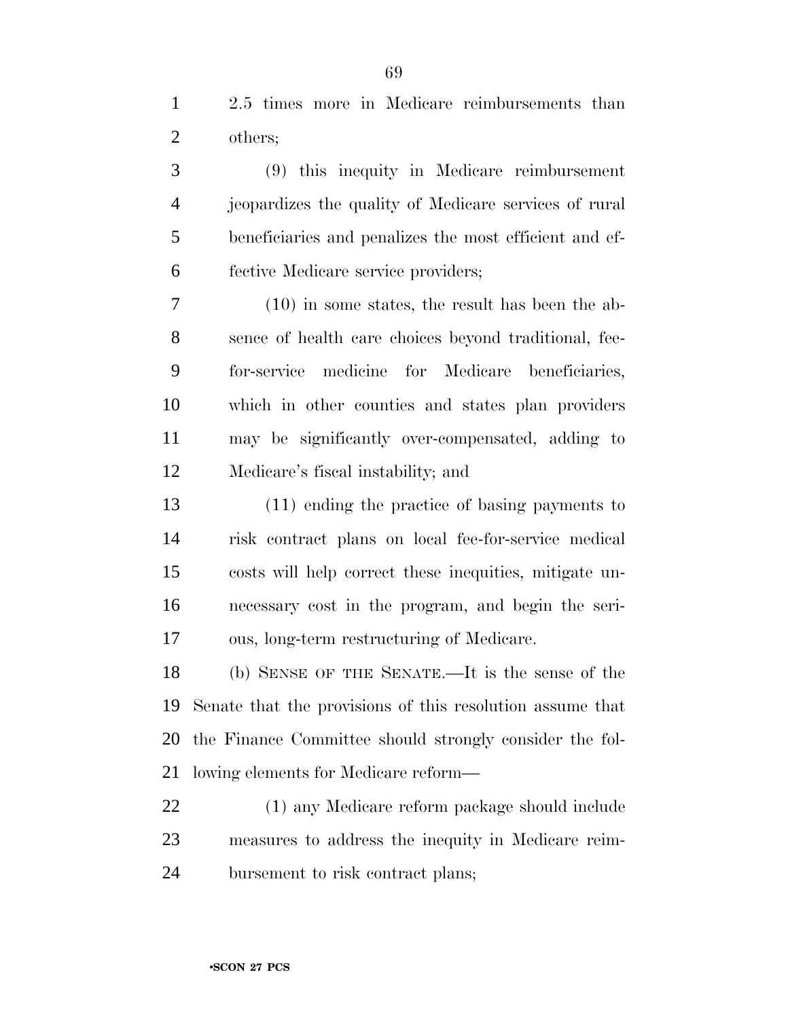2.5 times more in Medicare reimbursements than others;

 (9) this inequity in Medicare reimbursement jeopardizes the quality of Medicare services of rural beneficiaries and penalizes the most efficient and ef-fective Medicare service providers;

 (10) in some states, the result has been the ab- sence of health care choices beyond traditional, fee- for-service medicine for Medicare beneficiaries, which in other counties and states plan providers may be significantly over-compensated, adding to Medicare's fiscal instability; and

 (11) ending the practice of basing payments to risk contract plans on local fee-for-service medical costs will help correct these inequities, mitigate un- necessary cost in the program, and begin the seri-ous, long-term restructuring of Medicare.

 (b) SENSE OF THE SENATE.—It is the sense of the Senate that the provisions of this resolution assume that the Finance Committee should strongly consider the fol-lowing elements for Medicare reform—

 (1) any Medicare reform package should include measures to address the inequity in Medicare reim-bursement to risk contract plans;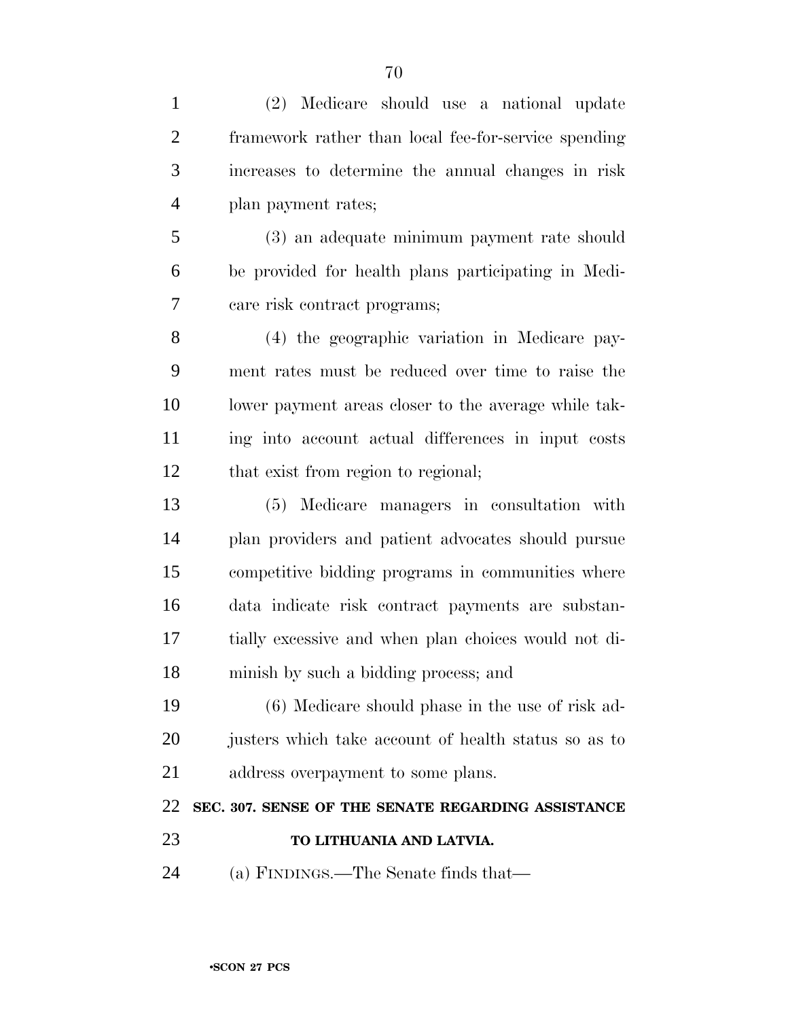(2) Medicare should use a national update framework rather than local fee-for-service spending increases to determine the annual changes in risk plan payment rates; (3) an adequate minimum payment rate should be provided for health plans participating in Medi- care risk contract programs; (4) the geographic variation in Medicare pay- ment rates must be reduced over time to raise the lower payment areas closer to the average while tak- ing into account actual differences in input costs that exist from region to regional; (5) Medicare managers in consultation with plan providers and patient advocates should pursue competitive bidding programs in communities where data indicate risk contract payments are substan- tially excessive and when plan choices would not di- minish by such a bidding process; and (6) Medicare should phase in the use of risk ad- justers which take account of health status so as to 21 address overpayment to some plans. **SEC. 307. SENSE OF THE SENATE REGARDING ASSISTANCE TO LITHUANIA AND LATVIA.** (a) FINDINGS.—The Senate finds that—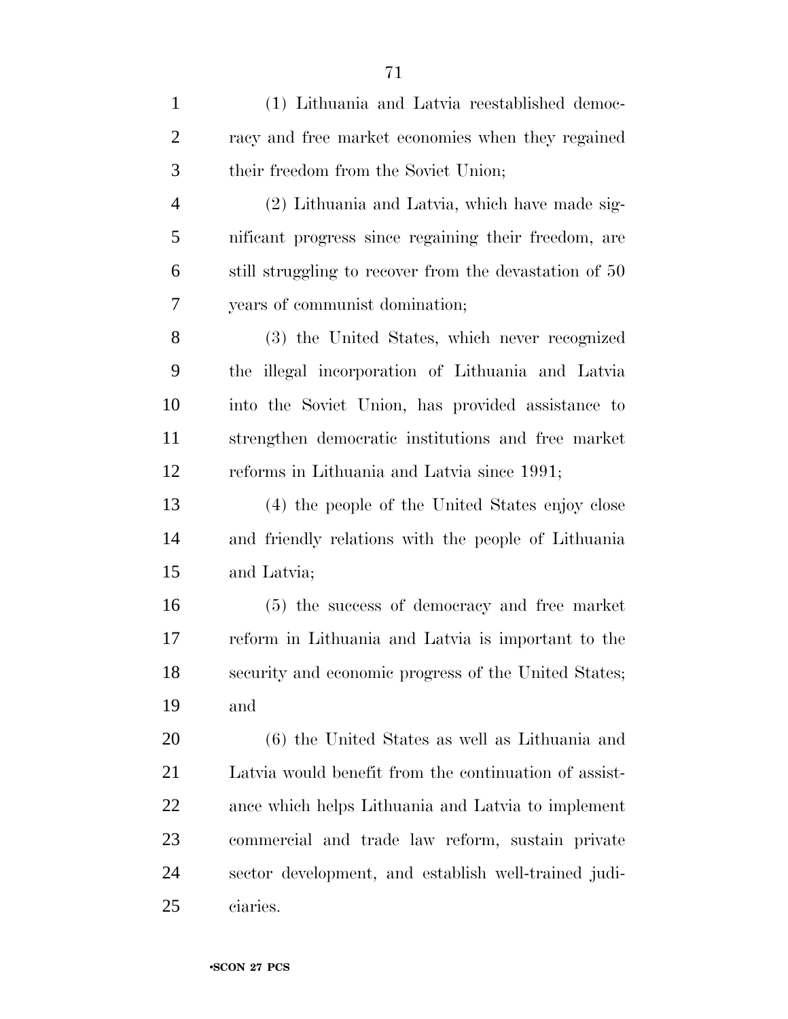| $\mathbf{1}$   | (1) Lithuania and Latvia reestablished democ-          |
|----------------|--------------------------------------------------------|
| $\overline{2}$ | racy and free market economies when they regained      |
| 3              | their freedom from the Soviet Union;                   |
| $\overline{4}$ | (2) Lithuania and Latvia, which have made sig-         |
| 5              | nificant progress since regaining their freedom, are   |
| 6              | still struggling to recover from the devastation of 50 |
| 7              | years of communist domination;                         |
| 8              | (3) the United States, which never recognized          |
| 9              | the illegal incorporation of Lithuania and Latvia      |
| 10             | into the Soviet Union, has provided assistance to      |
| 11             | strengthen democratic institutions and free market     |
| 12             | reforms in Lithuania and Latvia since 1991;            |
| 13             | (4) the people of the United States enjoy close        |
| 14             | and friendly relations with the people of Lithuania    |
| 15             | and Latvia;                                            |
| 16             | (5) the success of democracy and free market           |
| 17             | reform in Lithuania and Latvia is important to the     |
| 18             | security and economic progress of the United States;   |
| 19             | and                                                    |
| 20             | (6) the United States as well as Lithuania and         |
| 21             | Latvia would benefit from the continuation of assist-  |
| 22             | ance which helps Lithuania and Latvia to implement     |
| 23             | commercial and trade law reform, sustain private       |
| 24             | sector development, and establish well-trained judi-   |
| 25             | ciaries.                                               |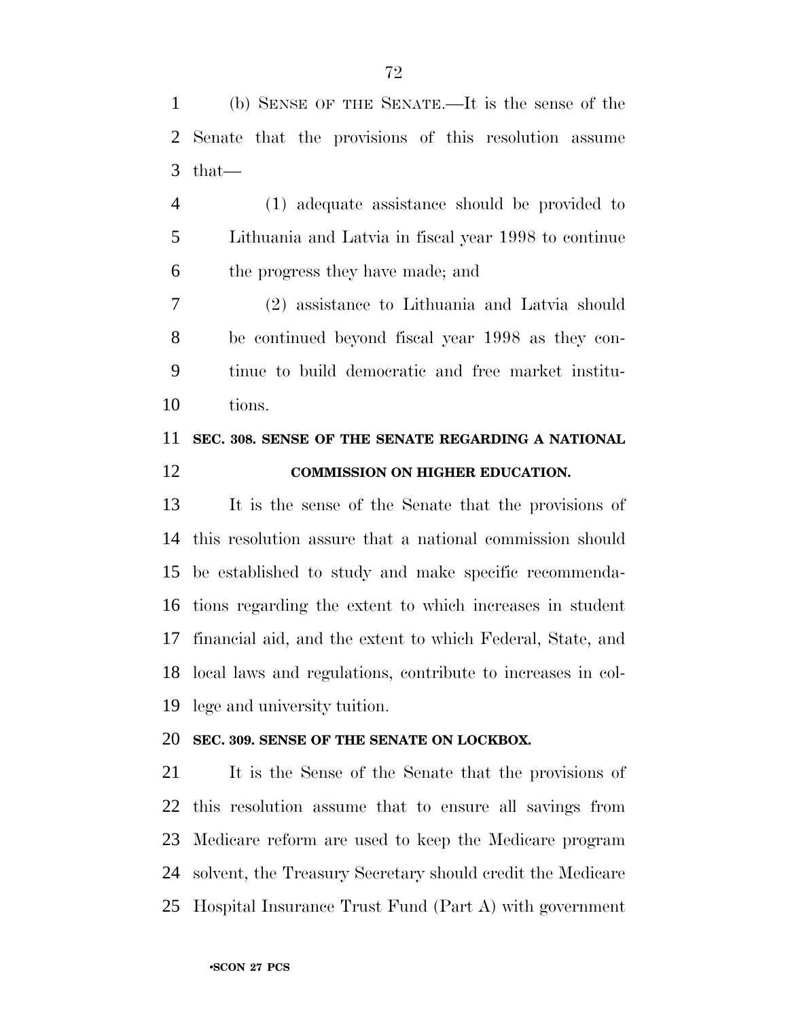(b) SENSE OF THE SENATE.—It is the sense of the Senate that the provisions of this resolution assume that—

 (1) adequate assistance should be provided to Lithuania and Latvia in fiscal year 1998 to continue the progress they have made; and

 (2) assistance to Lithuania and Latvia should be continued beyond fiscal year 1998 as they con- tinue to build democratic and free market institu-tions.

## **SEC. 308. SENSE OF THE SENATE REGARDING A NATIONAL COMMISSION ON HIGHER EDUCATION.**

 It is the sense of the Senate that the provisions of this resolution assure that a national commission should be established to study and make specific recommenda- tions regarding the extent to which increases in student financial aid, and the extent to which Federal, State, and local laws and regulations, contribute to increases in col-lege and university tuition.

## **SEC. 309. SENSE OF THE SENATE ON LOCKBOX.**

 It is the Sense of the Senate that the provisions of this resolution assume that to ensure all savings from Medicare reform are used to keep the Medicare program solvent, the Treasury Secretary should credit the Medicare Hospital Insurance Trust Fund (Part A) with government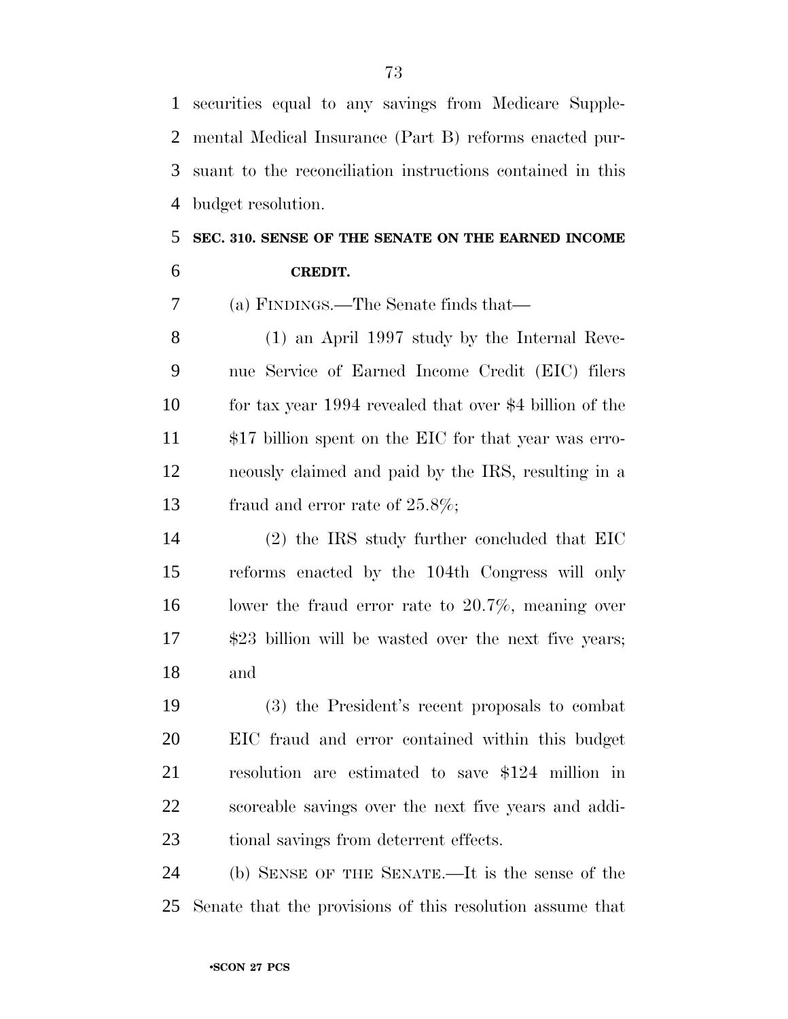securities equal to any savings from Medicare Supple- mental Medical Insurance (Part B) reforms enacted pur- suant to the reconciliation instructions contained in this budget resolution.

## **SEC. 310. SENSE OF THE SENATE ON THE EARNED INCOME CREDIT.**

(a) FINDINGS.—The Senate finds that—

 (1) an April 1997 study by the Internal Reve- nue Service of Earned Income Credit (EIC) filers for tax year 1994 revealed that over \$4 billion of the \$17 billion spent on the EIC for that year was erro- neously claimed and paid by the IRS, resulting in a 13 fraud and error rate of  $25.8\%$ ;

 (2) the IRS study further concluded that EIC reforms enacted by the 104th Congress will only lower the fraud error rate to 20.7%, meaning over \$23 billion will be wasted over the next five years; and

 (3) the President's recent proposals to combat EIC fraud and error contained within this budget resolution are estimated to save \$124 million in scoreable savings over the next five years and addi-tional savings from deterrent effects.

 (b) SENSE OF THE SENATE.—It is the sense of the Senate that the provisions of this resolution assume that